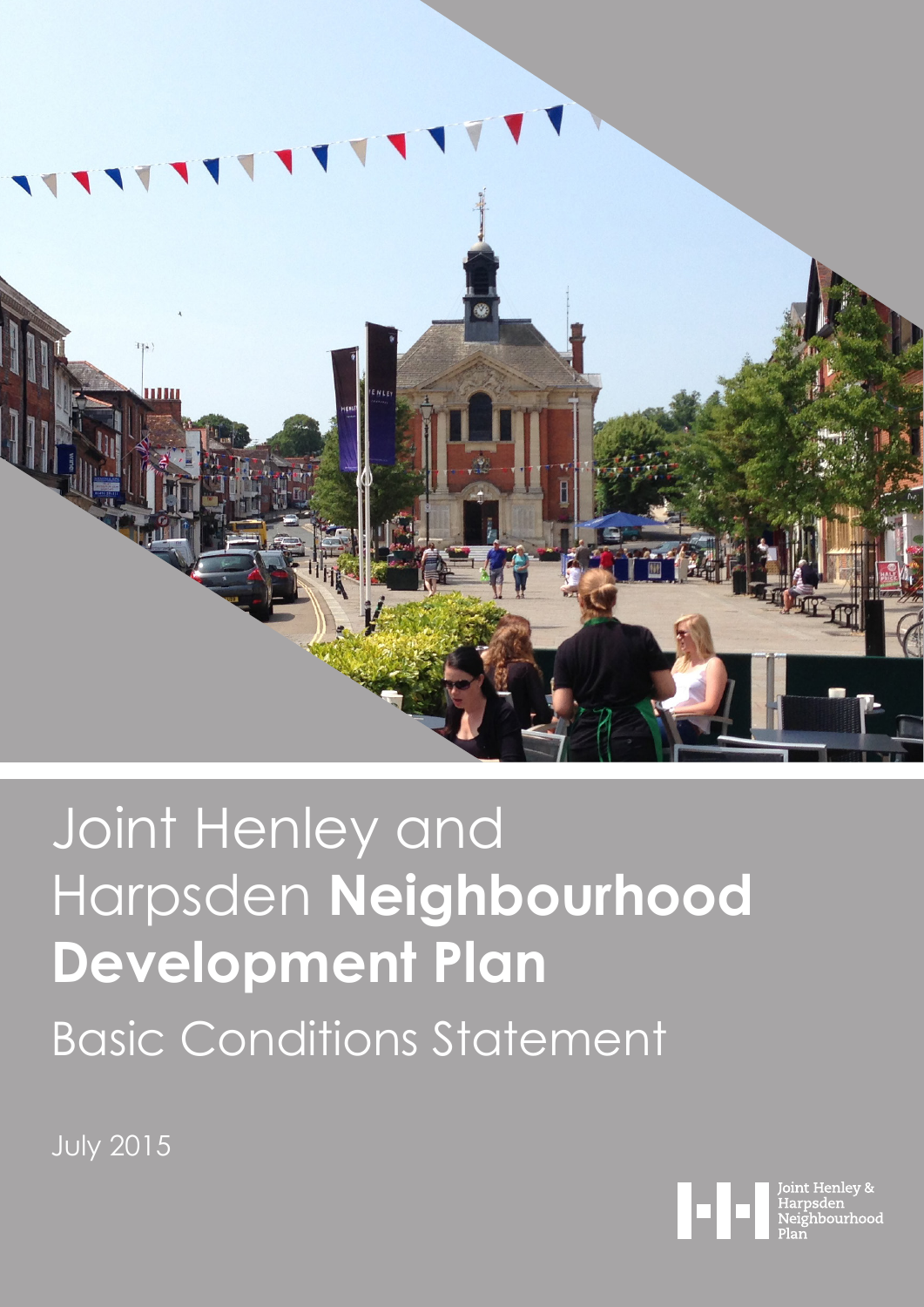

# Joint Henley and Harpsden **Neighbourhood Development Plan** Basic Conditions Statement

July 2015

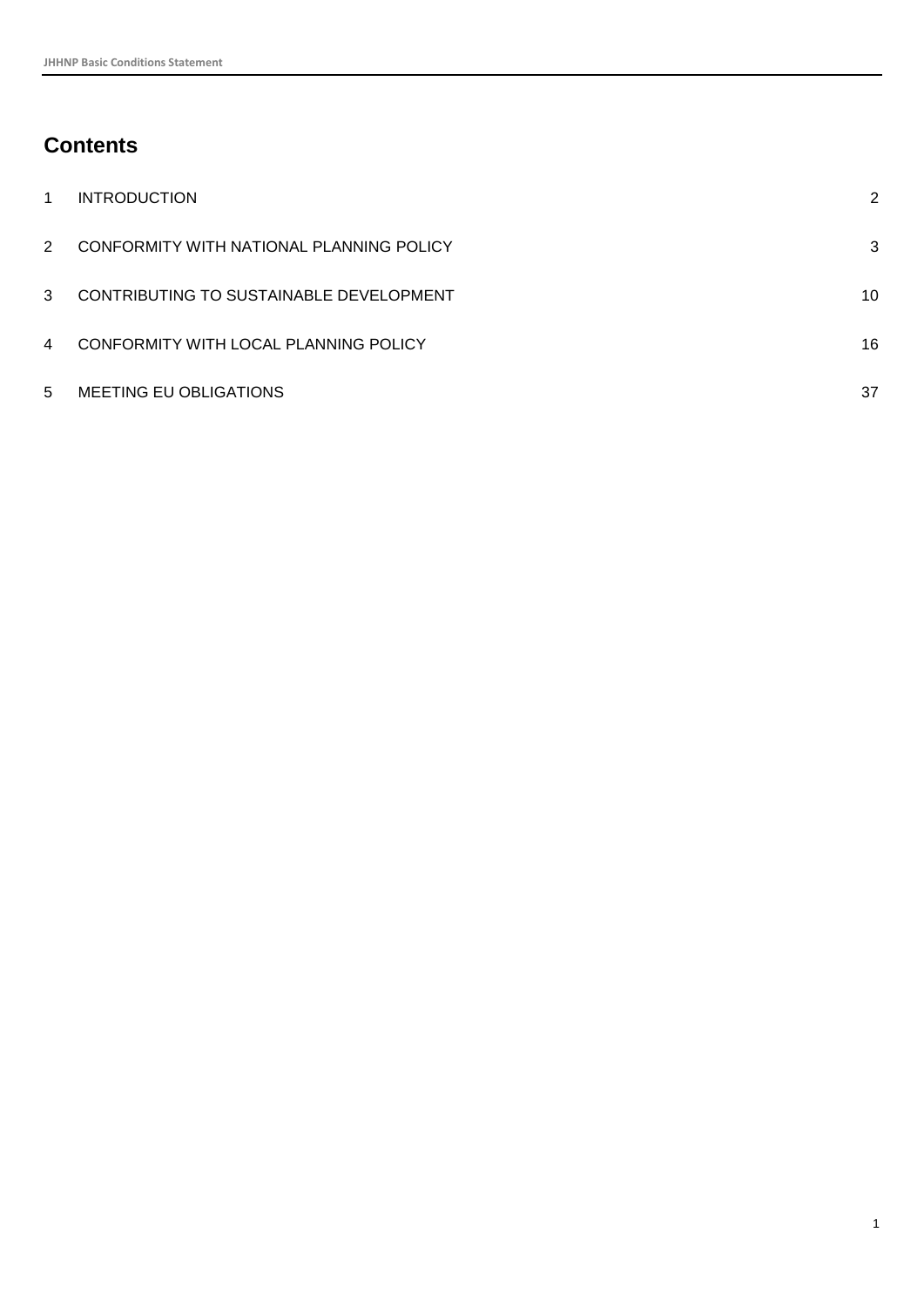## **Contents**

| 1              | <b>INTRODUCTION</b>                      | 2  |
|----------------|------------------------------------------|----|
| 2              | CONFORMITY WITH NATIONAL PLANNING POLICY | 3  |
| 3              | CONTRIBUTING TO SUSTAINABLE DEVELOPMENT  | 10 |
| $\overline{4}$ | CONFORMITY WITH LOCAL PLANNING POLICY    | 16 |
| 5              | MEETING EU OBLIGATIONS                   | 37 |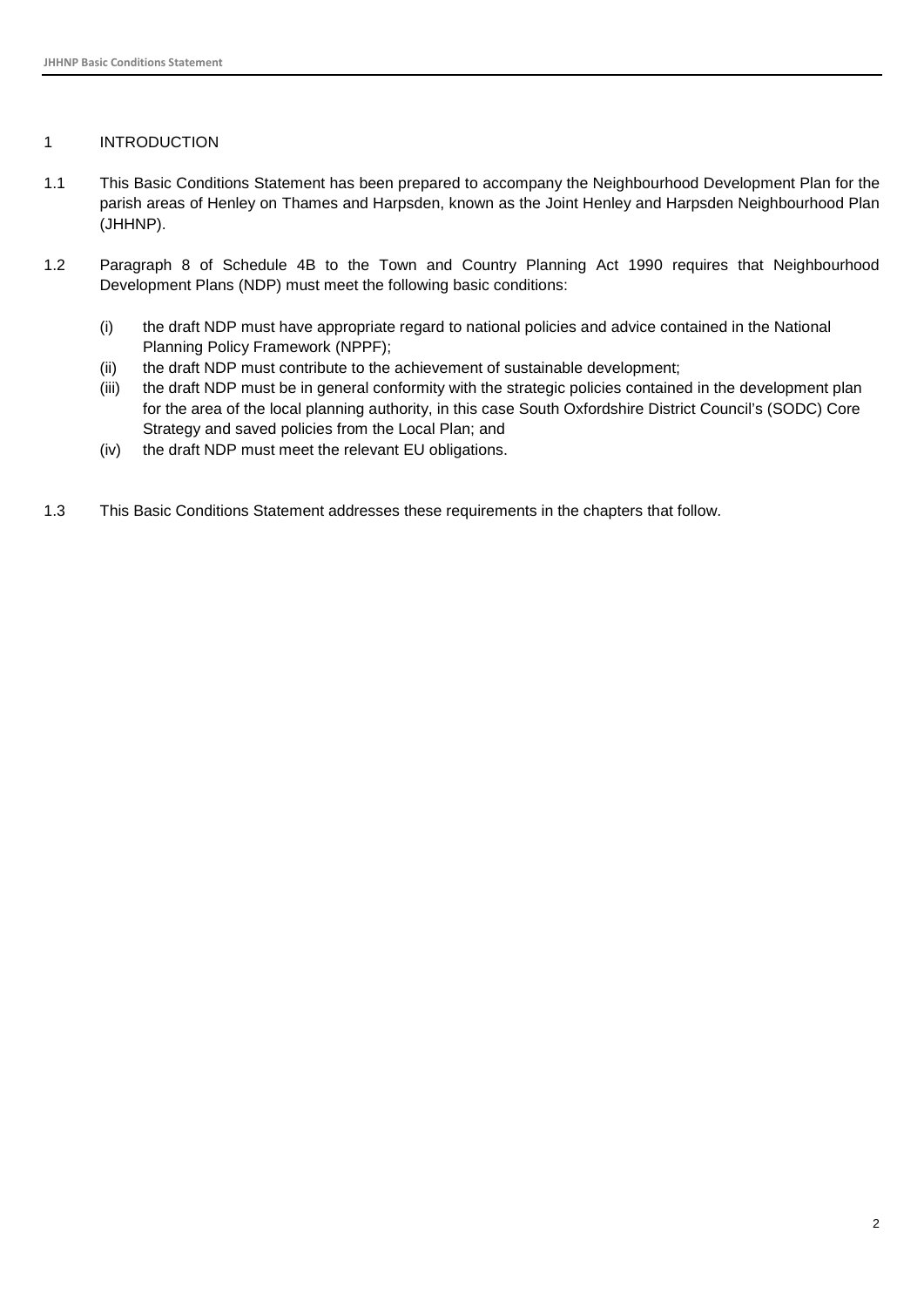#### <span id="page-2-0"></span>1 INTRODUCTION

- 1.1 This Basic Conditions Statement has been prepared to accompany the Neighbourhood Development Plan for the parish areas of Henley on Thames and Harpsden, known as the Joint Henley and Harpsden Neighbourhood Plan (JHHNP).
- 1.2 Paragraph 8 of Schedule 4B to the Town and Country Planning Act 1990 requires that Neighbourhood Development Plans (NDP) must meet the following basic conditions:
	- (i) the draft NDP must have appropriate regard to national policies and advice contained in the National Planning Policy Framework (NPPF);
	- (ii) the draft NDP must contribute to the achievement of sustainable development;
	- (iii) the draft NDP must be in general conformity with the strategic policies contained in the development plan for the area of the local planning authority, in this case South Oxfordshire District Council's (SODC) Core Strategy and saved policies from the Local Plan; and
	- (iv) the draft NDP must meet the relevant EU obligations.
- 1.3 This Basic Conditions Statement addresses these requirements in the chapters that follow.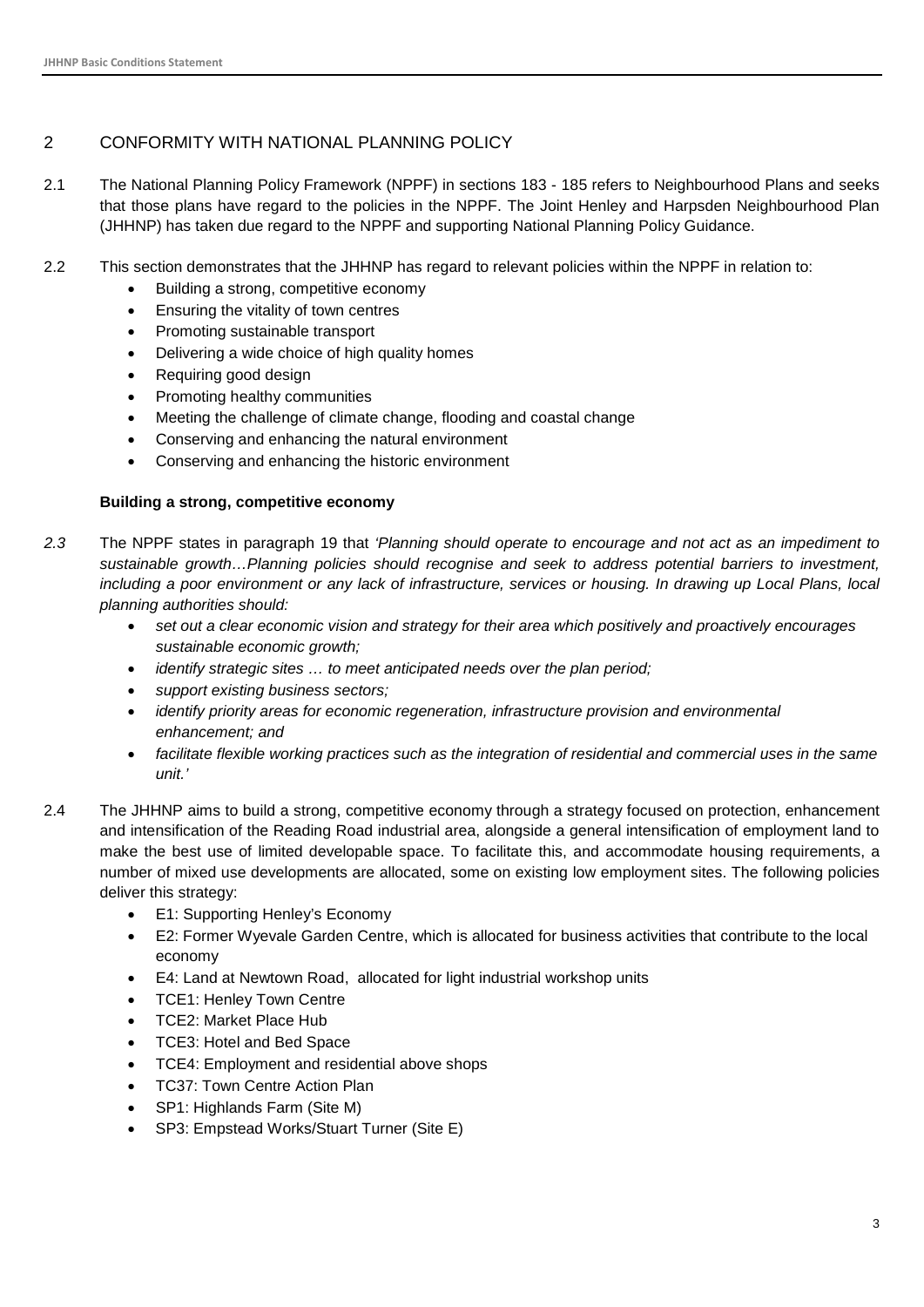#### <span id="page-3-0"></span>2 CONFORMITY WITH NATIONAL PLANNING POLICY

- 2.1 The National Planning Policy Framework (NPPF) in sections 183 185 refers to Neighbourhood Plans and seeks that those plans have regard to the policies in the NPPF. The Joint Henley and Harpsden Neighbourhood Plan (JHHNP) has taken due regard to the NPPF and supporting National Planning Policy Guidance.
- 2.2 This section demonstrates that the JHHNP has regard to relevant policies within the NPPF in relation to:
	- Building a strong, competitive economy
	- Ensuring the vitality of town centres
	- Promoting sustainable transport
	- Delivering a wide choice of high quality homes
	- Requiring good design
	- Promoting healthy communities
	- Meeting the challenge of climate change, flooding and coastal change
	- Conserving and enhancing the natural environment
	- Conserving and enhancing the historic environment

#### **Building a strong, competitive economy**

- *2.3* The NPPF states in paragraph 19 that *'Planning should operate to encourage and not act as an impediment to sustainable growth…Planning policies should recognise and seek to address potential barriers to investment,*  including a poor environment or any lack of infrastructure, services or housing. In drawing up Local Plans, local *planning authorities should:*
	- *set out a clear economic vision and strategy for their area which positively and proactively encourages sustainable economic growth;*
	- *identify strategic sites … to meet anticipated needs over the plan period;*
	- *support existing business sectors;*
	- *identify priority areas for economic regeneration, infrastructure provision and environmental enhancement; and*
	- *facilitate flexible working practices such as the integration of residential and commercial uses in the same unit.'*
- 2.4 The JHHNP aims to build a strong, competitive economy through a strategy focused on protection, enhancement and intensification of the Reading Road industrial area, alongside a general intensification of employment land to make the best use of limited developable space. To facilitate this, and accommodate housing requirements, a number of mixed use developments are allocated, some on existing low employment sites. The following policies deliver this strategy:
	- E1: Supporting Henley's Economy
	- E2: Former Wyevale Garden Centre, which is allocated for business activities that contribute to the local economy
	- E4: Land at Newtown Road, allocated for light industrial workshop units
	- TCE1: Henley Town Centre
	- TCE2: Market Place Hub
	- TCE3: Hotel and Bed Space
	- TCE4: Employment and residential above shops
	- TC37: Town Centre Action Plan
	- SP1: Highlands Farm (Site M)
	- SP3: Empstead Works/Stuart Turner (Site E)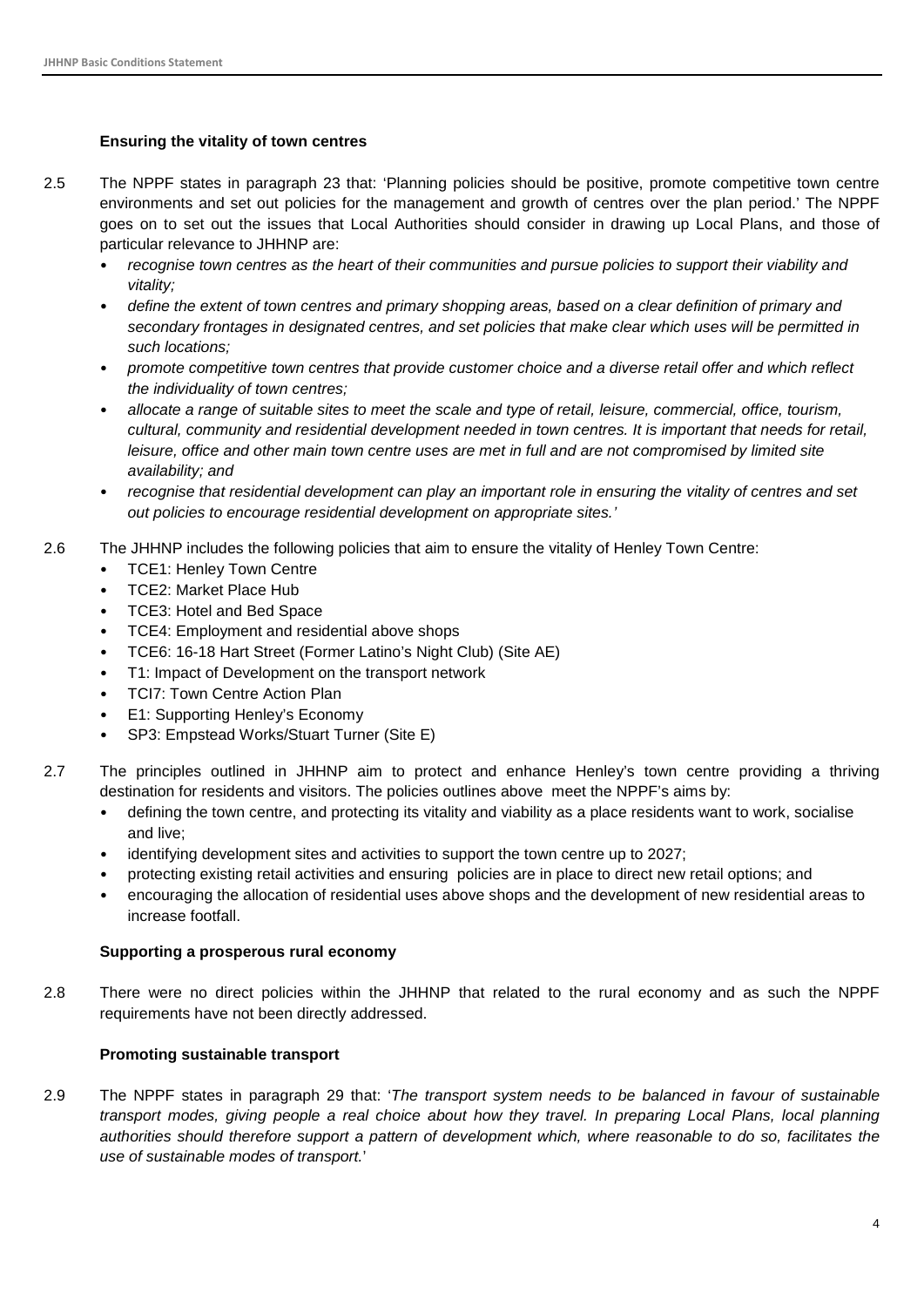#### **Ensuring the vitality of town centres**

- 2.5 The NPPF states in paragraph 23 that: 'Planning policies should be positive, promote competitive town centre environments and set out policies for the management and growth of centres over the plan period.' The NPPF goes on to set out the issues that Local Authorities should consider in drawing up Local Plans, and those of particular relevance to JHHNP are:
	- *recognise town centres as the heart of their communities and pursue policies to support their viability and vitality;*
	- *define the extent of town centres and primary shopping areas, based on a clear definition of primary and secondary frontages in designated centres, and set policies that make clear which uses will be permitted in such locations;*
	- *promote competitive town centres that provide customer choice and a diverse retail offer and which reflect the individuality of town centres;*
	- *allocate a range of suitable sites to meet the scale and type of retail, leisure, commercial, office, tourism, cultural, community and residential development needed in town centres. It is important that needs for retail, leisure, office and other main town centre uses are met in full and are not compromised by limited site availability; and*
	- *recognise that residential development can play an important role in ensuring the vitality of centres and set out policies to encourage residential development on appropriate sites.'*
- 2.6 The JHHNP includes the following policies that aim to ensure the vitality of Henley Town Centre:
	- TCE1: Henley Town Centre
	- TCE2: Market Place Hub
	- TCE3: Hotel and Bed Space
	- TCE4: Employment and residential above shops
	- TCE6: 16-18 Hart Street (Former Latino's Night Club) (Site AE)
	- T1: Impact of Development on the transport network
	- TCI7: Town Centre Action Plan
	- E1: Supporting Henley's Economy
	- SP3: Empstead Works/Stuart Turner (Site E)
- 2.7 The principles outlined in JHHNP aim to protect and enhance Henley's town centre providing a thriving destination for residents and visitors. The policies outlines above meet the NPPF's aims by:
	- defining the town centre, and protecting its vitality and viability as a place residents want to work, socialise and live;
	- identifying development sites and activities to support the town centre up to 2027;
	- protecting existing retail activities and ensuring policies are in place to direct new retail options; and
	- encouraging the allocation of residential uses above shops and the development of new residential areas to increase footfall.

#### **Supporting a prosperous rural economy**

2.8 There were no direct policies within the JHHNP that related to the rural economy and as such the NPPF requirements have not been directly addressed.

#### **Promoting sustainable transport**

2.9 The NPPF states in paragraph 29 that: '*The transport system needs to be balanced in favour of sustainable transport modes, giving people a real choice about how they travel. In preparing Local Plans, local planning authorities should therefore support a pattern of development which, where reasonable to do so, facilitates the use of sustainable modes of transport.*'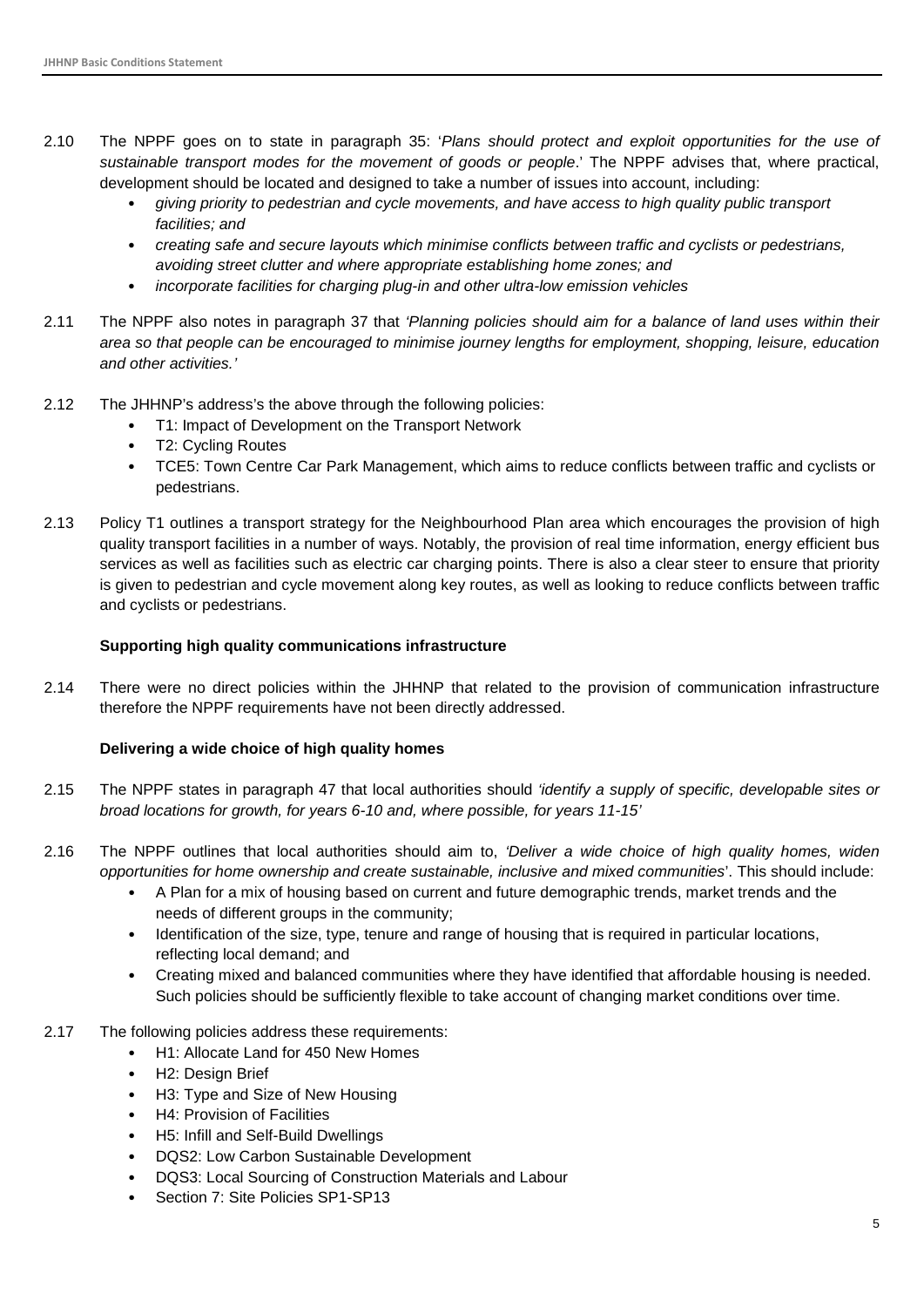- 2.10 The NPPF goes on to state in paragraph 35: '*Plans should protect and exploit opportunities for the use of sustainable transport modes for the movement of goods or people*.' The NPPF advises that, where practical, development should be located and designed to take a number of issues into account, including:
	- *giving priority to pedestrian and cycle movements, and have access to high quality public transport facilities; and*
	- *creating safe and secure layouts which minimise conflicts between traffic and cyclists or pedestrians, avoiding street clutter and where appropriate establishing home zones; and*
	- *incorporate facilities for charging plug-in and other ultra-low emission vehicles*
- 2.11 The NPPF also notes in paragraph 37 that *'Planning policies should aim for a balance of land uses within their area so that people can be encouraged to minimise journey lengths for employment, shopping, leisure, education and other activities.'*
- 2.12 The JHHNP's address's the above through the following policies:
	- T1: Impact of Development on the Transport Network
	- T2: Cycling Routes
	- TCE5: Town Centre Car Park Management, which aims to reduce conflicts between traffic and cyclists or pedestrians.
- 2.13 Policy T1 outlines a transport strategy for the Neighbourhood Plan area which encourages the provision of high quality transport facilities in a number of ways. Notably, the provision of real time information, energy efficient bus services as well as facilities such as electric car charging points. There is also a clear steer to ensure that priority is given to pedestrian and cycle movement along key routes, as well as looking to reduce conflicts between traffic and cyclists or pedestrians.

#### **Supporting high quality communications infrastructure**

2.14 There were no direct policies within the JHHNP that related to the provision of communication infrastructure therefore the NPPF requirements have not been directly addressed.

#### **Delivering a wide choice of high quality homes**

- 2.15 The NPPF states in paragraph 47 that local authorities should *'identify a supply of specific, developable sites or broad locations for growth, for years 6-10 and, where possible, for years 11-15'*
- 2.16 The NPPF outlines that local authorities should aim to, *'Deliver a wide choice of high quality homes, widen opportunities for home ownership and create sustainable, inclusive and mixed communities*'. This should include:
	- A Plan for a mix of housing based on current and future demographic trends, market trends and the needs of different groups in the community;
	- Identification of the size, type, tenure and range of housing that is required in particular locations, reflecting local demand; and
	- Creating mixed and balanced communities where they have identified that affordable housing is needed. Such policies should be sufficiently flexible to take account of changing market conditions over time.
- 2.17 The following policies address these requirements:
	- H1: Allocate Land for 450 New Homes
	- H2: Design Brief
	- H3: Type and Size of New Housing
	- H4: Provision of Facilities
	- H5: Infill and Self-Build Dwellings
	- DQS2: Low Carbon Sustainable Development
	- DQS3: Local Sourcing of Construction Materials and Labour
	- Section 7: Site Policies SP1-SP13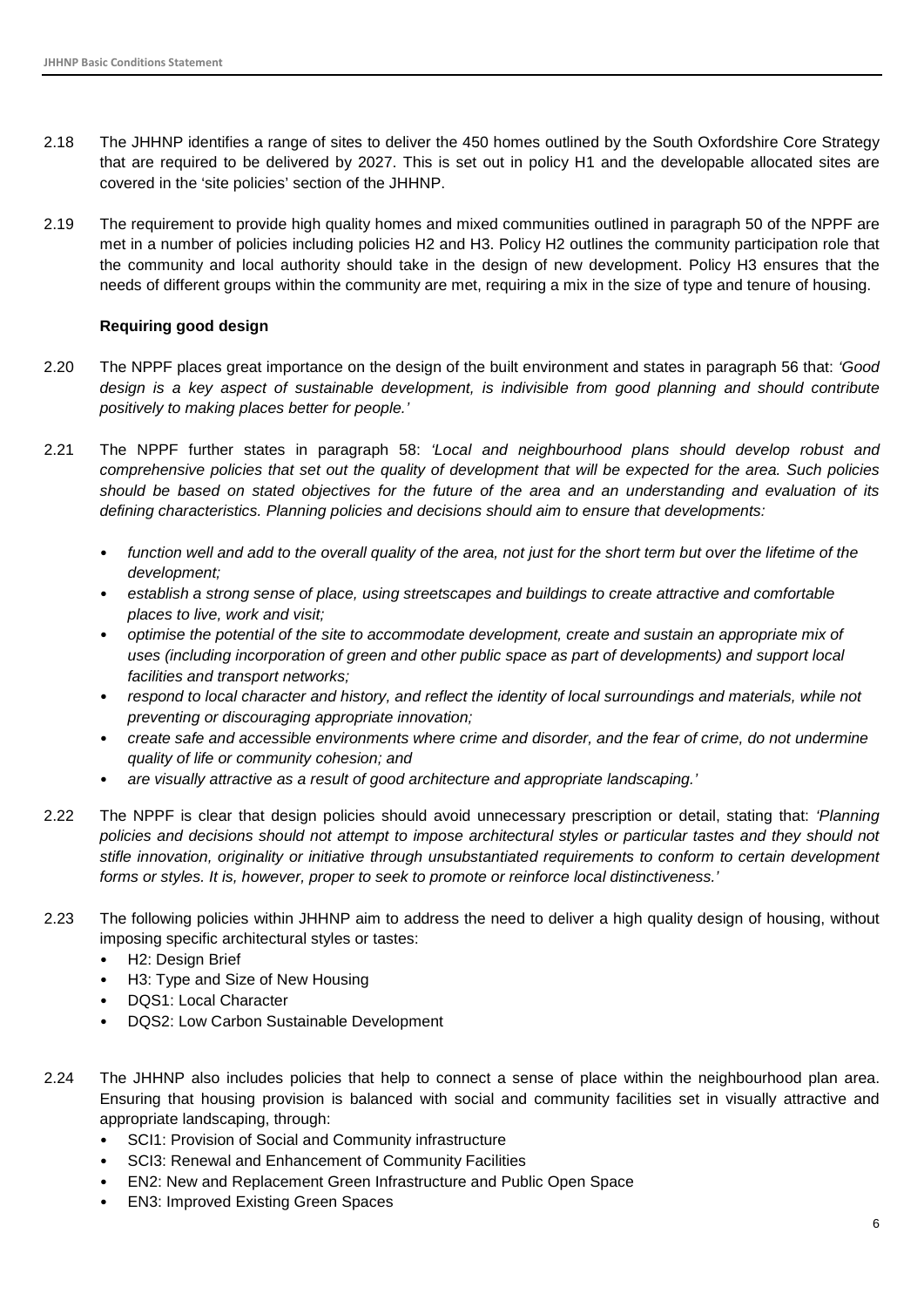- 2.18 The JHHNP identifies a range of sites to deliver the 450 homes outlined by the South Oxfordshire Core Strategy that are required to be delivered by 2027. This is set out in policy H1 and the developable allocated sites are covered in the 'site policies' section of the JHHNP.
- 2.19 The requirement to provide high quality homes and mixed communities outlined in paragraph 50 of the NPPF are met in a number of policies including policies H2 and H3. Policy H2 outlines the community participation role that the community and local authority should take in the design of new development. Policy H3 ensures that the needs of different groups within the community are met, requiring a mix in the size of type and tenure of housing.

#### **Requiring good design**

- 2.20 The NPPF places great importance on the design of the built environment and states in paragraph 56 that: *'Good*  design is a key aspect of sustainable development, is indivisible from good planning and should contribute *positively to making places better for people.'*
- 2.21 The NPPF further states in paragraph 58: *'Local and neighbourhood plans should develop robust and comprehensive policies that set out the quality of development that will be expected for the area. Such policies should be based on stated objectives for the future of the area and an understanding and evaluation of its defining characteristics. Planning policies and decisions should aim to ensure that developments:* 
	- *function well and add to the overall quality of the area, not just for the short term but over the lifetime of the development;*
	- *establish a strong sense of place, using streetscapes and buildings to create attractive and comfortable places to live, work and visit;*
	- *optimise the potential of the site to accommodate development, create and sustain an appropriate mix of uses (including incorporation of green and other public space as part of developments) and support local facilities and transport networks;*
	- *respond to local character and history, and reflect the identity of local surroundings and materials, while not preventing or discouraging appropriate innovation;*
	- *create safe and accessible environments where crime and disorder, and the fear of crime, do not undermine quality of life or community cohesion; and*
	- *are visually attractive as a result of good architecture and appropriate landscaping.'*
- 2.22 The NPPF is clear that design policies should avoid unnecessary prescription or detail, stating that: *'Planning policies and decisions should not attempt to impose architectural styles or particular tastes and they should not stifle innovation, originality or initiative through unsubstantiated requirements to conform to certain development forms or styles. It is, however, proper to seek to promote or reinforce local distinctiveness.'*
- 2.23 The following policies within JHHNP aim to address the need to deliver a high quality design of housing, without imposing specific architectural styles or tastes:
	- H2: Design Brief
	- H3: Type and Size of New Housing
	- DQS1: Local Character
	- DQS2: Low Carbon Sustainable Development
- 2.24 The JHHNP also includes policies that help to connect a sense of place within the neighbourhood plan area. Ensuring that housing provision is balanced with social and community facilities set in visually attractive and appropriate landscaping, through:
	- SCI1: Provision of Social and Community infrastructure
	- SCI3: Renewal and Enhancement of Community Facilities
	- EN2: New and Replacement Green Infrastructure and Public Open Space
	- EN3: Improved Existing Green Spaces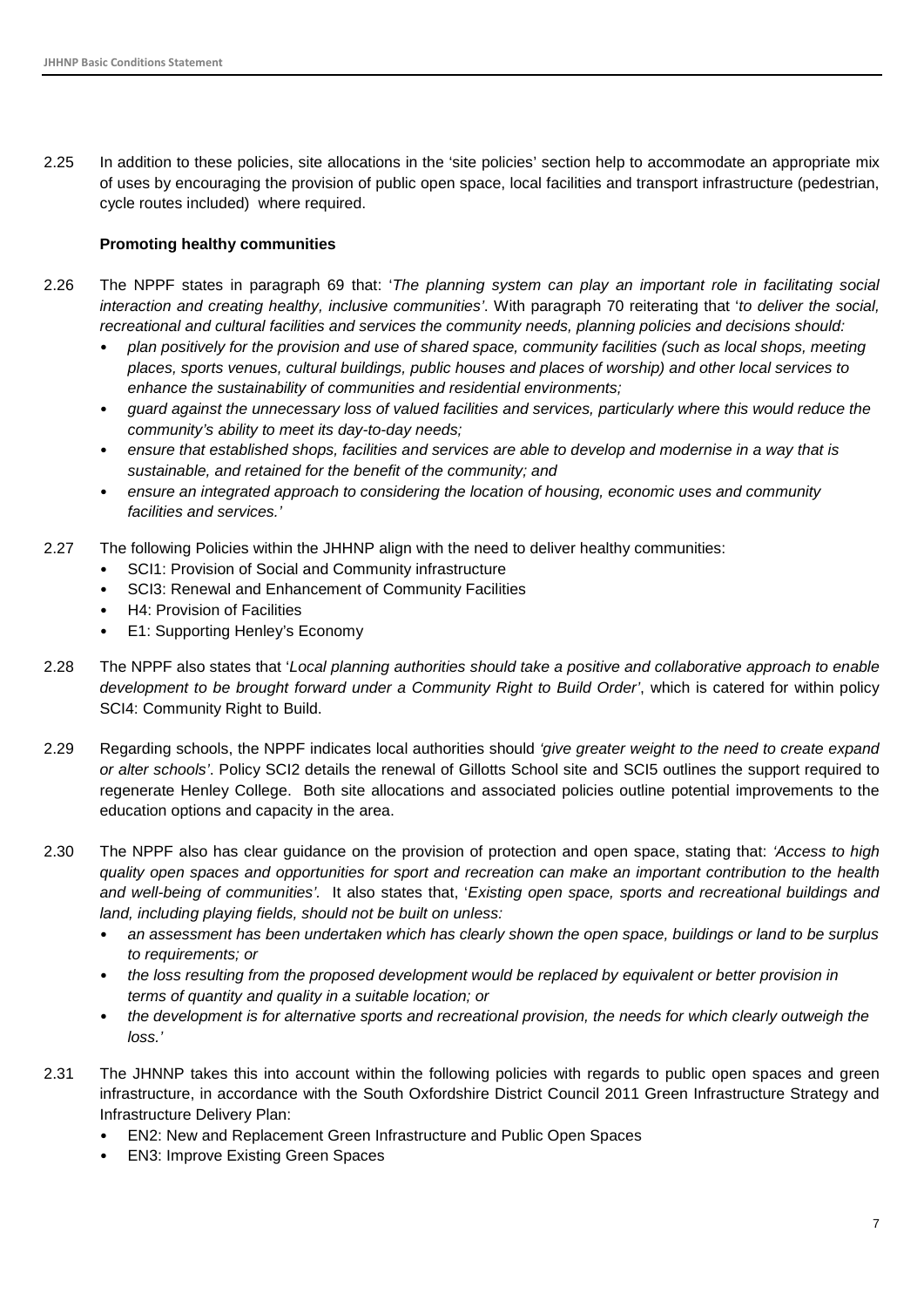2.25 In addition to these policies, site allocations in the 'site policies' section help to accommodate an appropriate mix of uses by encouraging the provision of public open space, local facilities and transport infrastructure (pedestrian, cycle routes included) where required.

#### **Promoting healthy communities**

- 2.26 The NPPF states in paragraph 69 that: '*The planning system can play an important role in facilitating social interaction and creating healthy, inclusive communities'*. With paragraph 70 reiterating that '*to deliver the social, recreational and cultural facilities and services the community needs, planning policies and decisions should:*
	- *plan positively for the provision and use of shared space, community facilities (such as local shops, meeting places, sports venues, cultural buildings, public houses and places of worship) and other local services to enhance the sustainability of communities and residential environments;*
	- *guard against the unnecessary loss of valued facilities and services, particularly where this would reduce the community's ability to meet its day-to-day needs;*
	- *ensure that established shops, facilities and services are able to develop and modernise in a way that is sustainable, and retained for the benefit of the community; and*
	- *ensure an integrated approach to considering the location of housing, economic uses and community facilities and services.'*
- 2.27 The following Policies within the JHHNP align with the need to deliver healthy communities:
	- SCI1: Provision of Social and Community infrastructure
	- SCI3: Renewal and Enhancement of Community Facilities
	- H4: Provision of Facilities
	- E1: Supporting Henley's Economy
- 2.28 The NPPF also states that '*Local planning authorities should take a positive and collaborative approach to enable development to be brought forward under a Community Right to Build Order'*, which is catered for within policy SCI4: Community Right to Build.
- 2.29 Regarding schools, the NPPF indicates local authorities should *'give greater weight to the need to create expand or alter schools'*. Policy SCI2 details the renewal of Gillotts School site and SCI5 outlines the support required to regenerate Henley College. Both site allocations and associated policies outline potential improvements to the education options and capacity in the area.
- 2.30 The NPPF also has clear guidance on the provision of protection and open space, stating that: *'Access to high quality open spaces and opportunities for sport and recreation can make an important contribution to the health and well-being of communities'.* It also states that, '*Existing open space, sports and recreational buildings and land, including playing fields, should not be built on unless:*
	- *an assessment has been undertaken which has clearly shown the open space, buildings or land to be surplus to requirements; or*
	- *the loss resulting from the proposed development would be replaced by equivalent or better provision in terms of quantity and quality in a suitable location; or*
	- *the development is for alternative sports and recreational provision, the needs for which clearly outweigh the loss.'*
- 2.31 The JHNNP takes this into account within the following policies with regards to public open spaces and green infrastructure, in accordance with the South Oxfordshire District Council 2011 Green Infrastructure Strategy and Infrastructure Delivery Plan:
	- EN2: New and Replacement Green Infrastructure and Public Open Spaces
	- EN3: Improve Existing Green Spaces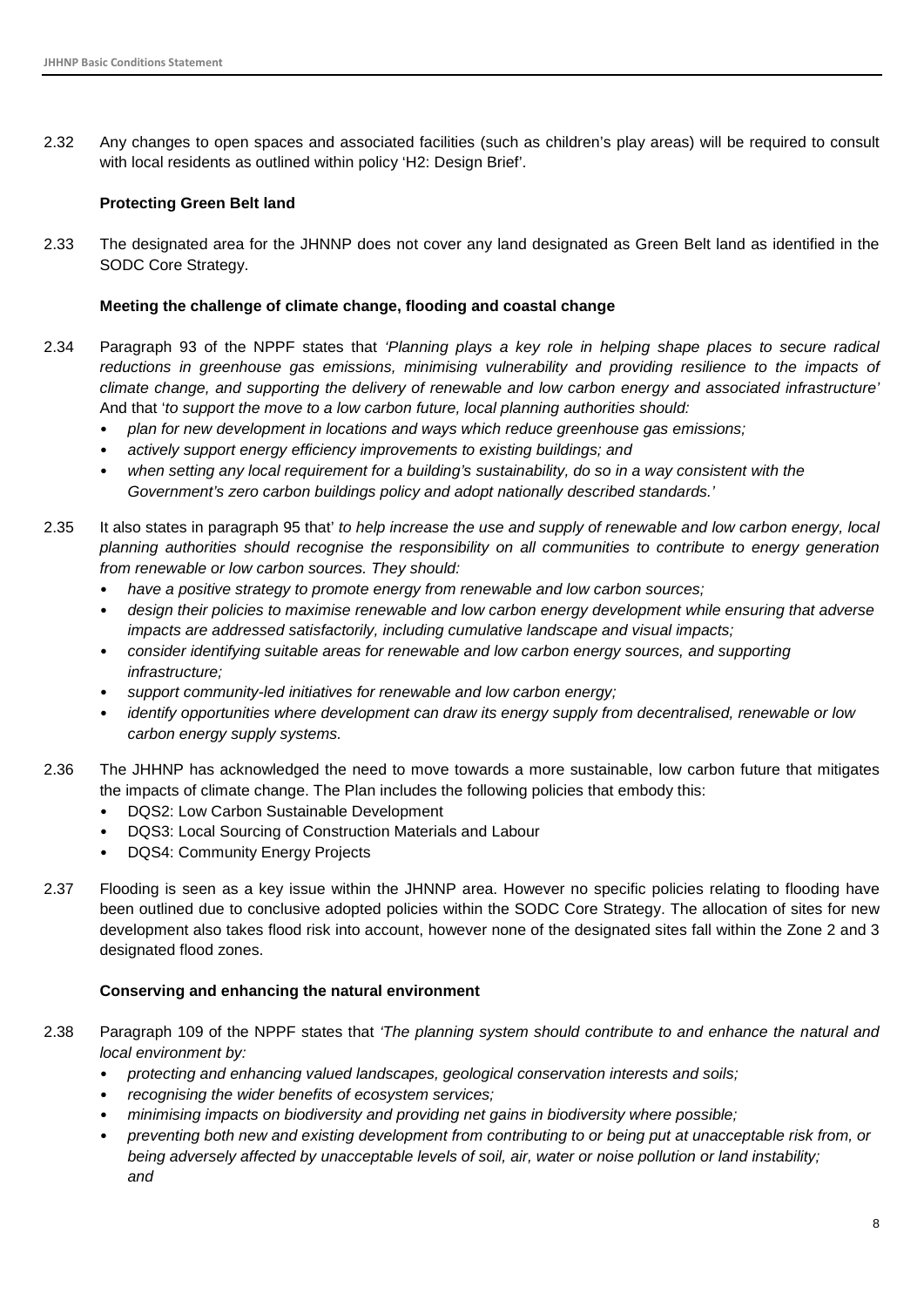2.32 Any changes to open spaces and associated facilities (such as children's play areas) will be required to consult with local residents as outlined within policy 'H2: Design Brief'.

#### **Protecting Green Belt land**

2.33 The designated area for the JHNNP does not cover any land designated as Green Belt land as identified in the SODC Core Strategy.

#### **Meeting the challenge of climate change, flooding and coastal change**

- 2.34 Paragraph 93 of the NPPF states that *'Planning plays a key role in helping shape places to secure radical reductions in greenhouse gas emissions, minimising vulnerability and providing resilience to the impacts of climate change, and supporting the delivery of renewable and low carbon energy and associated infrastructure'* And that '*to support the move to a low carbon future, local planning authorities should:*
	- *plan for new development in locations and ways which reduce greenhouse gas emissions;*
	- *actively support energy efficiency improvements to existing buildings; and*
	- *when setting any local requirement for a building's sustainability, do so in a way consistent with the Government's zero carbon buildings policy and adopt nationally described standards.'*
- 2.35 It also states in paragraph 95 that' *to help increase the use and supply of renewable and low carbon energy, local planning authorities should recognise the responsibility on all communities to contribute to energy generation from renewable or low carbon sources. They should:*
	- *have a positive strategy to promote energy from renewable and low carbon sources;*
	- *design their policies to maximise renewable and low carbon energy development while ensuring that adverse impacts are addressed satisfactorily, including cumulative landscape and visual impacts;*
	- *consider identifying suitable areas for renewable and low carbon energy sources, and supporting infrastructure;*
	- *support community-led initiatives for renewable and low carbon energy;*
	- *identify opportunities where development can draw its energy supply from decentralised, renewable or low carbon energy supply systems.*
- 2.36 The JHHNP has acknowledged the need to move towards a more sustainable, low carbon future that mitigates the impacts of climate change. The Plan includes the following policies that embody this:
	- DQS2: Low Carbon Sustainable Development
	- DQS3: Local Sourcing of Construction Materials and Labour
	- DQS4: Community Energy Projects
- 2.37 Flooding is seen as a key issue within the JHNNP area. However no specific policies relating to flooding have been outlined due to conclusive adopted policies within the SODC Core Strategy. The allocation of sites for new development also takes flood risk into account, however none of the designated sites fall within the Zone 2 and 3 designated flood zones.

#### **Conserving and enhancing the natural environment**

- 2.38 Paragraph 109 of the NPPF states that *'The planning system should contribute to and enhance the natural and local environment by:*
	- *protecting and enhancing valued landscapes, geological conservation interests and soils;*
	- *recognising the wider benefits of ecosystem services;*
	- *minimising impacts on biodiversity and providing net gains in biodiversity where possible;*
	- *preventing both new and existing development from contributing to or being put at unacceptable risk from, or being adversely affected by unacceptable levels of soil, air, water or noise pollution or land instability; and*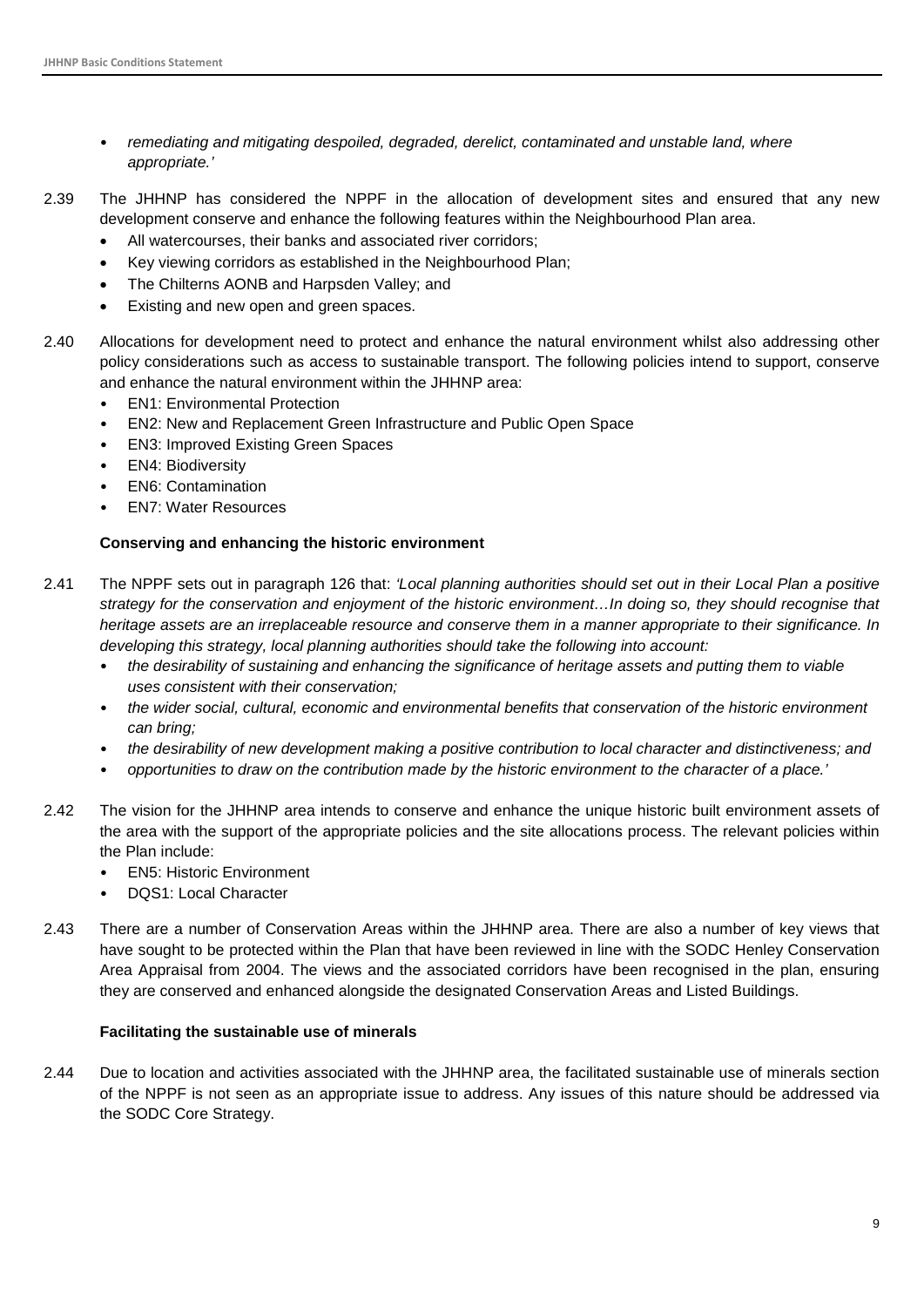- *remediating and mitigating despoiled, degraded, derelict, contaminated and unstable land, where appropriate.'*
- 2.39 The JHHNP has considered the NPPF in the allocation of development sites and ensured that any new development conserve and enhance the following features within the Neighbourhood Plan area.
	- All watercourses, their banks and associated river corridors;
	- Key viewing corridors as established in the Neighbourhood Plan;
	- The Chilterns AONB and Harpsden Valley; and
	- Existing and new open and green spaces.
- 2.40 Allocations for development need to protect and enhance the natural environment whilst also addressing other policy considerations such as access to sustainable transport. The following policies intend to support, conserve and enhance the natural environment within the JHHNP area:
	- EN1: Environmental Protection
	- EN2: New and Replacement Green Infrastructure and Public Open Space
	- EN3: Improved Existing Green Spaces
	- EN4: Biodiversity
	- EN6: Contamination
	- EN7: Water Resources

#### **Conserving and enhancing the historic environment**

- 2.41 The NPPF sets out in paragraph 126 that: *'Local planning authorities should set out in their Local Plan a positive strategy for the conservation and enjoyment of the historic environment…In doing so, they should recognise that heritage assets are an irreplaceable resource and conserve them in a manner appropriate to their significance. In developing this strategy, local planning authorities should take the following into account:*
	- *the desirability of sustaining and enhancing the significance of heritage assets and putting them to viable uses consistent with their conservation;*
	- *the wider social, cultural, economic and environmental benefits that conservation of the historic environment can bring;*
	- *the desirability of new development making a positive contribution to local character and distinctiveness; and*
	- *opportunities to draw on the contribution made by the historic environment to the character of a place.'*
- 2.42 The vision for the JHHNP area intends to conserve and enhance the unique historic built environment assets of the area with the support of the appropriate policies and the site allocations process. The relevant policies within the Plan include:
	- EN5: Historic Environment
	- DQS1: Local Character
- 2.43 There are a number of Conservation Areas within the JHHNP area. There are also a number of key views that have sought to be protected within the Plan that have been reviewed in line with the SODC Henley Conservation Area Appraisal from 2004. The views and the associated corridors have been recognised in the plan, ensuring they are conserved and enhanced alongside the designated Conservation Areas and Listed Buildings.

#### **Facilitating the sustainable use of minerals**

2.44 Due to location and activities associated with the JHHNP area, the facilitated sustainable use of minerals section of the NPPF is not seen as an appropriate issue to address. Any issues of this nature should be addressed via the SODC Core Strategy.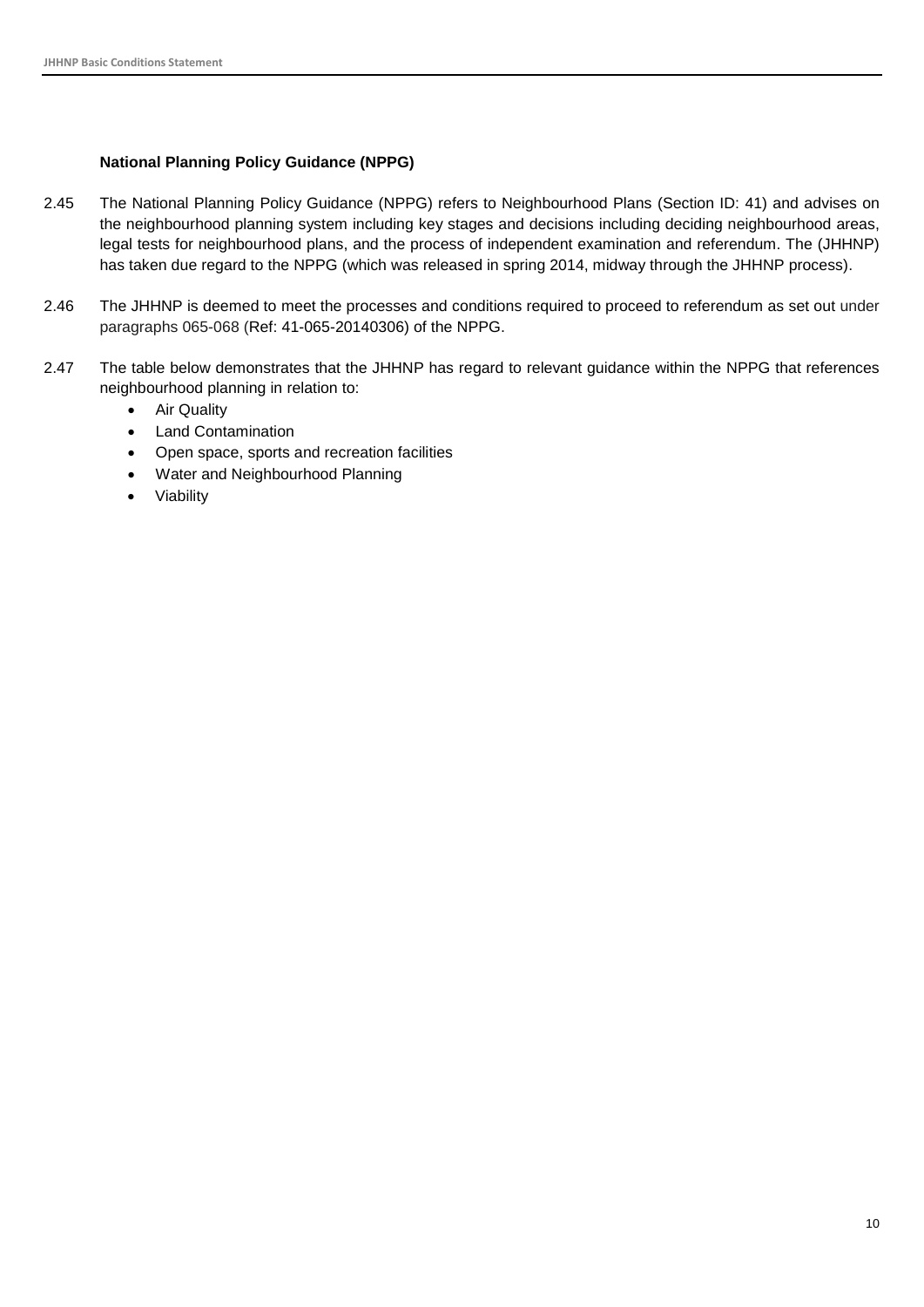#### **National Planning Policy Guidance (NPPG)**

- 2.45 The National Planning Policy Guidance (NPPG) refers to Neighbourhood Plans (Section ID: 41) and advises on the neighbourhood planning system including key stages and decisions including deciding neighbourhood areas, legal tests for neighbourhood plans, and the process of independent examination and referendum. The (JHHNP) has taken due regard to the NPPG (which was released in spring 2014, midway through the JHHNP process).
- 2.46 The JHHNP is deemed to meet the processes and conditions required to proceed to referendum as set out under paragraphs 065-068 (Ref: 41-065-20140306) of the NPPG.
- <span id="page-10-0"></span>2.47 The table below demonstrates that the JHHNP has regard to relevant guidance within the NPPG that references neighbourhood planning in relation to:
	- Air Quality
	- Land Contamination
	- Open space, sports and recreation facilities
	- Water and Neighbourhood Planning
	- **Viability**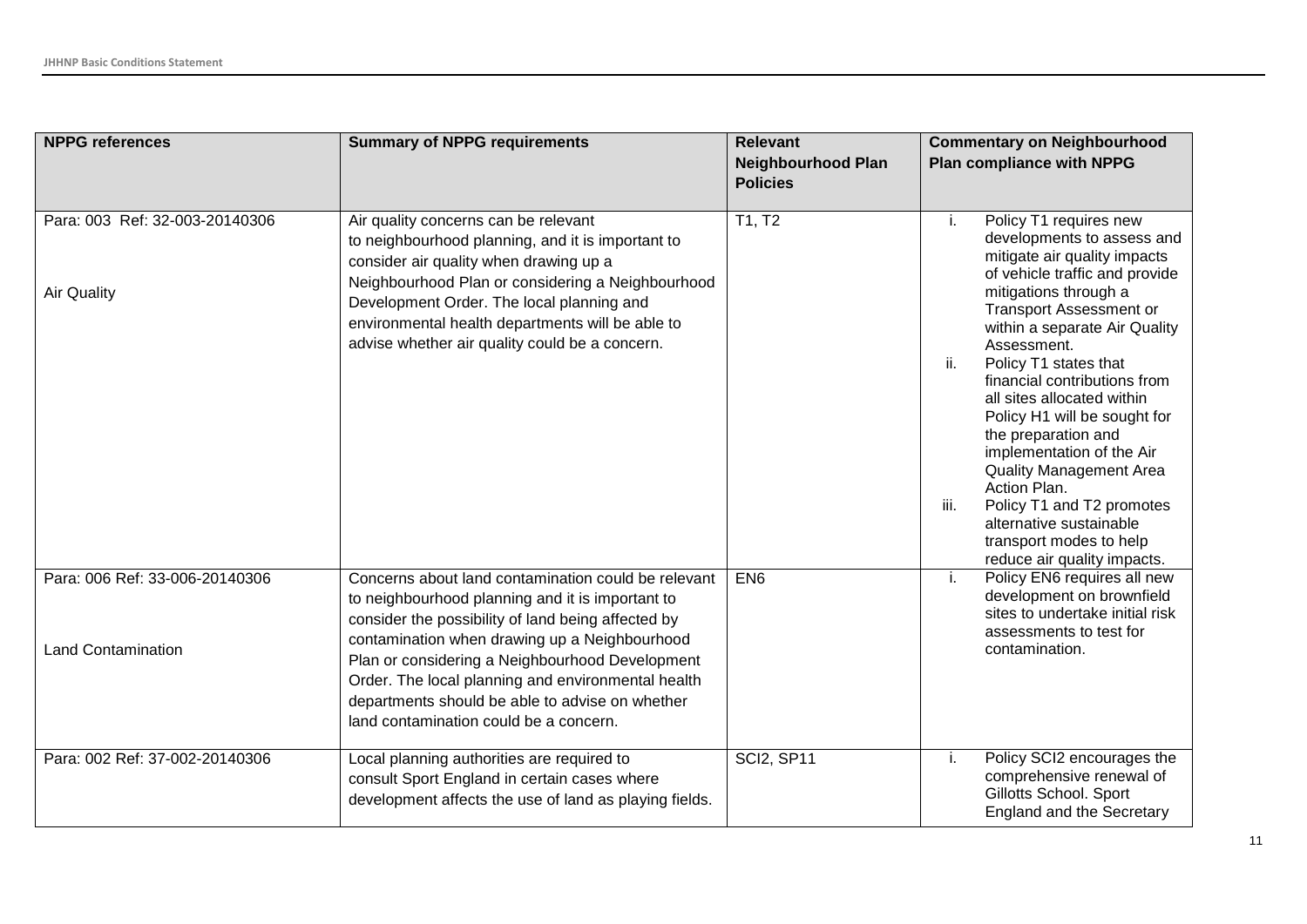| <b>NPPG references</b>                                      | <b>Summary of NPPG requirements</b>                                                                                                                                                                                                                                                                                                                                                                                  | <b>Relevant</b><br><b>Neighbourhood Plan</b><br><b>Policies</b> | <b>Commentary on Neighbourhood</b><br><b>Plan compliance with NPPG</b>                                                                                                                                                                                                                                                                                                                                                                                                                                                                                                                                |
|-------------------------------------------------------------|----------------------------------------------------------------------------------------------------------------------------------------------------------------------------------------------------------------------------------------------------------------------------------------------------------------------------------------------------------------------------------------------------------------------|-----------------------------------------------------------------|-------------------------------------------------------------------------------------------------------------------------------------------------------------------------------------------------------------------------------------------------------------------------------------------------------------------------------------------------------------------------------------------------------------------------------------------------------------------------------------------------------------------------------------------------------------------------------------------------------|
| Para: 003 Ref: 32-003-20140306<br><b>Air Quality</b>        | Air quality concerns can be relevant<br>to neighbourhood planning, and it is important to<br>consider air quality when drawing up a<br>Neighbourhood Plan or considering a Neighbourhood<br>Development Order. The local planning and<br>environmental health departments will be able to<br>advise whether air quality could be a concern.                                                                          | T1, T2                                                          | Policy T1 requires new<br>i.<br>developments to assess and<br>mitigate air quality impacts<br>of vehicle traffic and provide<br>mitigations through a<br><b>Transport Assessment or</b><br>within a separate Air Quality<br>Assessment.<br>ii.<br>Policy T1 states that<br>financial contributions from<br>all sites allocated within<br>Policy H1 will be sought for<br>the preparation and<br>implementation of the Air<br><b>Quality Management Area</b><br>Action Plan.<br>iii.<br>Policy T1 and T2 promotes<br>alternative sustainable<br>transport modes to help<br>reduce air quality impacts. |
| Para: 006 Ref: 33-006-20140306<br><b>Land Contamination</b> | Concerns about land contamination could be relevant<br>to neighbourhood planning and it is important to<br>consider the possibility of land being affected by<br>contamination when drawing up a Neighbourhood<br>Plan or considering a Neighbourhood Development<br>Order. The local planning and environmental health<br>departments should be able to advise on whether<br>land contamination could be a concern. | EN <sub>6</sub>                                                 | Policy EN6 requires all new<br>i.<br>development on brownfield<br>sites to undertake initial risk<br>assessments to test for<br>contamination.                                                                                                                                                                                                                                                                                                                                                                                                                                                        |
| Para: 002 Ref: 37-002-20140306                              | Local planning authorities are required to<br>consult Sport England in certain cases where<br>development affects the use of land as playing fields.                                                                                                                                                                                                                                                                 | <b>SCI2, SP11</b>                                               | Policy SCI2 encourages the<br>i.<br>comprehensive renewal of<br>Gillotts School. Sport<br><b>England and the Secretary</b>                                                                                                                                                                                                                                                                                                                                                                                                                                                                            |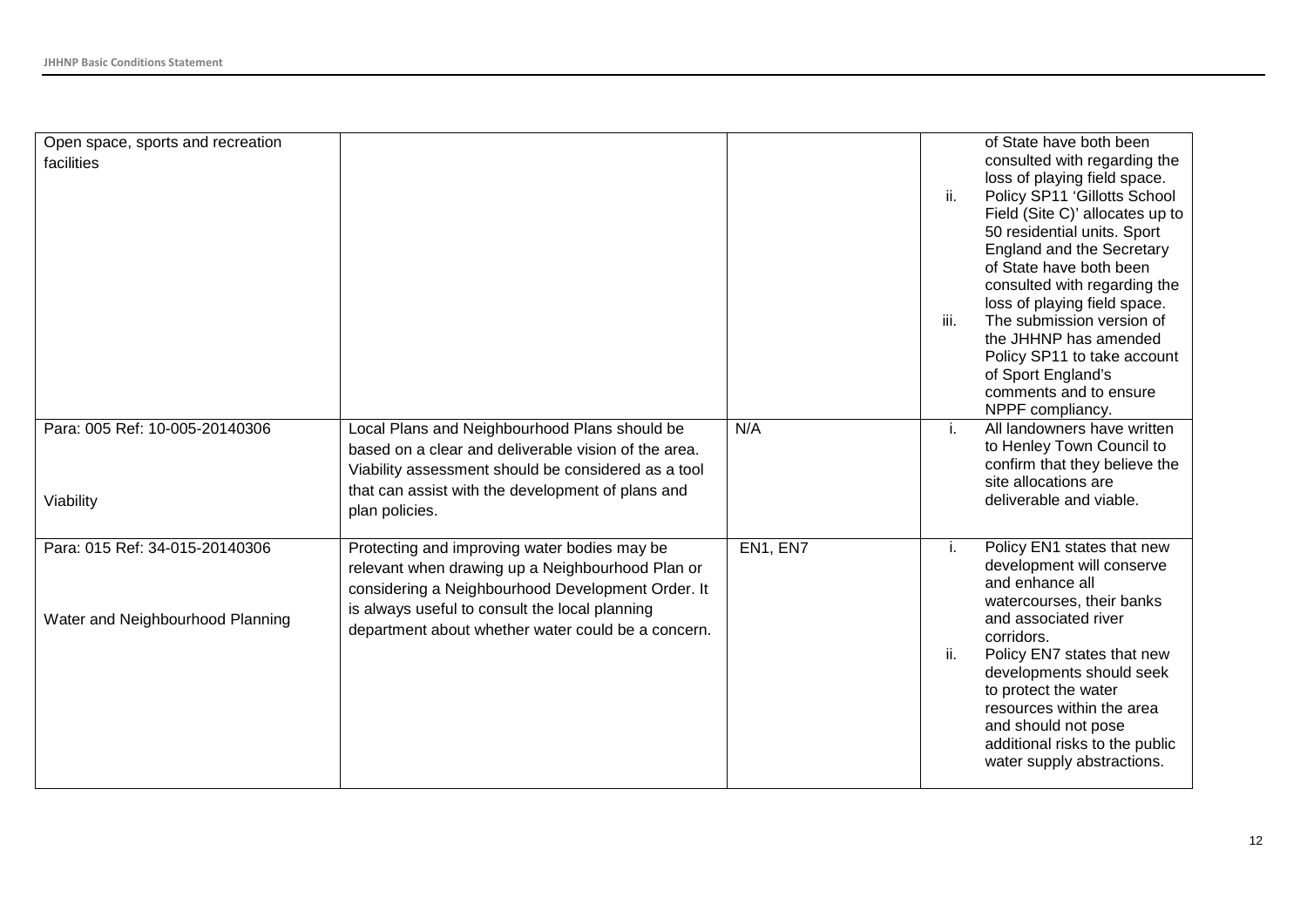| Open space, sports and recreation |                                                      |          |      | of State have both been          |
|-----------------------------------|------------------------------------------------------|----------|------|----------------------------------|
| facilities                        |                                                      |          |      | consulted with regarding the     |
|                                   |                                                      |          |      | loss of playing field space.     |
|                                   |                                                      |          | ii.  | Policy SP11 'Gillotts School     |
|                                   |                                                      |          |      | Field (Site C)' allocates up to  |
|                                   |                                                      |          |      | 50 residential units. Sport      |
|                                   |                                                      |          |      | <b>England and the Secretary</b> |
|                                   |                                                      |          |      | of State have both been          |
|                                   |                                                      |          |      | consulted with regarding the     |
|                                   |                                                      |          |      | loss of playing field space.     |
|                                   |                                                      |          | iii. | The submission version of        |
|                                   |                                                      |          |      | the JHHNP has amended            |
|                                   |                                                      |          |      | Policy SP11 to take account      |
|                                   |                                                      |          |      | of Sport England's               |
|                                   |                                                      |          |      | comments and to ensure           |
|                                   |                                                      |          |      | NPPF compliancy.                 |
| Para: 005 Ref: 10-005-20140306    | Local Plans and Neighbourhood Plans should be        | N/A      | İ.   | All landowners have written      |
|                                   | based on a clear and deliverable vision of the area. |          |      | to Henley Town Council to        |
|                                   | Viability assessment should be considered as a tool  |          |      | confirm that they believe the    |
|                                   | that can assist with the development of plans and    |          |      | site allocations are             |
| Viability                         | plan policies.                                       |          |      | deliverable and viable.          |
|                                   |                                                      |          |      |                                  |
| Para: 015 Ref: 34-015-20140306    | Protecting and improving water bodies may be         | EN1, EN7 | i.   | Policy EN1 states that new       |
|                                   | relevant when drawing up a Neighbourhood Plan or     |          |      | development will conserve        |
|                                   | considering a Neighbourhood Development Order. It    |          |      | and enhance all                  |
|                                   |                                                      |          |      | watercourses, their banks        |
| Water and Neighbourhood Planning  | is always useful to consult the local planning       |          |      | and associated river             |
|                                   | department about whether water could be a concern.   |          |      | corridors.                       |
|                                   |                                                      |          | ii.  | Policy EN7 states that new       |
|                                   |                                                      |          |      | developments should seek         |
|                                   |                                                      |          |      | to protect the water             |
|                                   |                                                      |          |      | resources within the area        |
|                                   |                                                      |          |      | and should not pose              |
|                                   |                                                      |          |      | additional risks to the public   |
|                                   |                                                      |          |      | water supply abstractions.       |
|                                   |                                                      |          |      |                                  |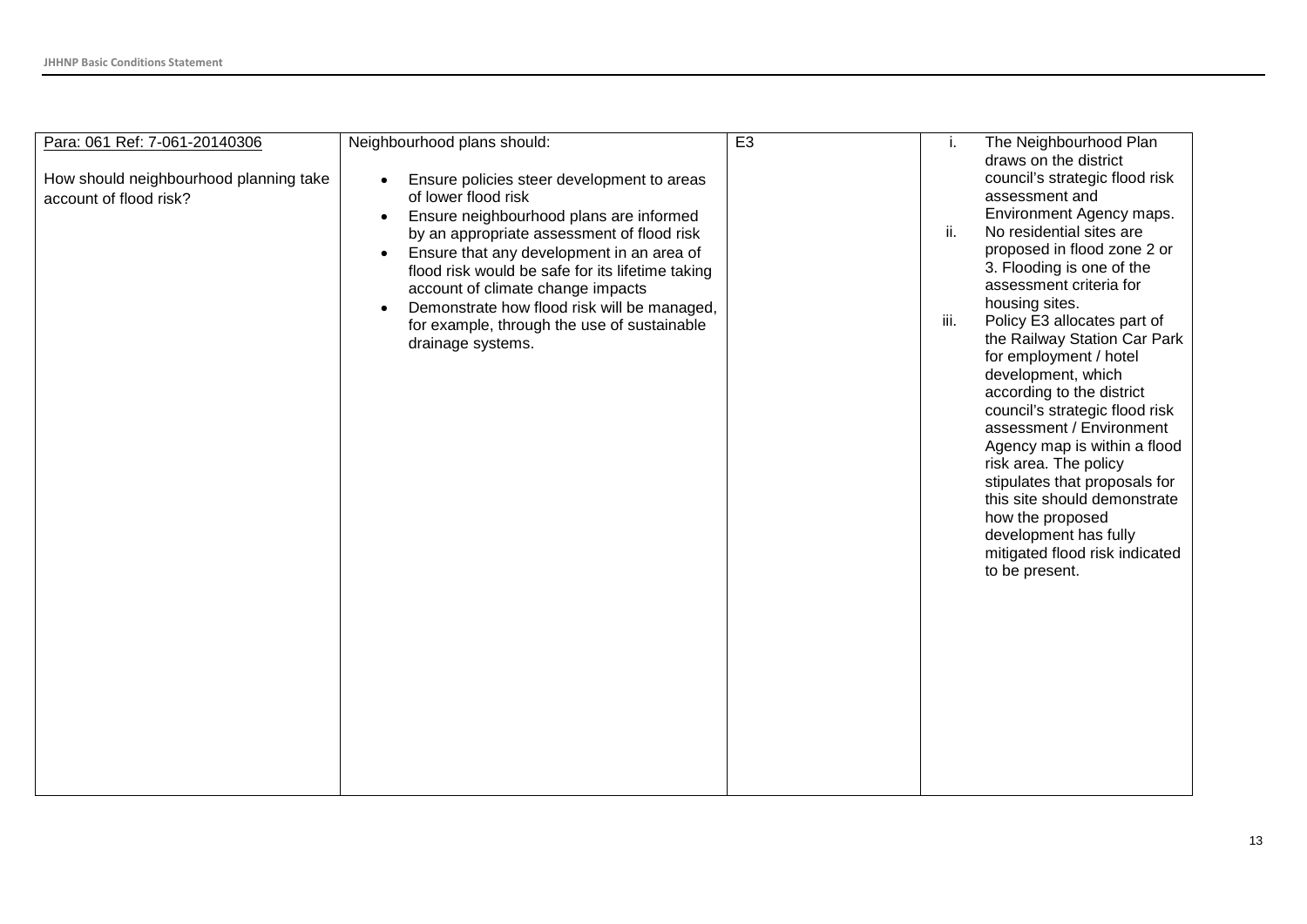| Neighbourhood plans should:<br>Para: 061 Ref: 7-061-20140306<br>How should neighbourhood planning take<br>Ensure policies steer development to areas<br>$\bullet$<br>of lower flood risk<br>account of flood risk?<br>Ensure neighbourhood plans are informed<br>$\bullet$<br>by an appropriate assessment of flood risk<br>Ensure that any development in an area of<br>$\bullet$<br>flood risk would be safe for its lifetime taking<br>account of climate change impacts<br>Demonstrate how flood risk will be managed,<br>$\bullet$<br>for example, through the use of sustainable<br>drainage systems. | E <sub>3</sub> | The Neighbourhood Plan<br>Ĺ.<br>draws on the district<br>council's strategic flood risk<br>assessment and<br>Environment Agency maps.<br>ii.<br>No residential sites are<br>proposed in flood zone 2 or<br>3. Flooding is one of the<br>assessment criteria for<br>housing sites.<br>iii.<br>Policy E3 allocates part of<br>the Railway Station Car Park<br>for employment / hotel<br>development, which<br>according to the district<br>council's strategic flood risk<br>assessment / Environment<br>Agency map is within a flood<br>risk area. The policy<br>stipulates that proposals for<br>this site should demonstrate<br>how the proposed<br>development has fully<br>mitigated flood risk indicated<br>to be present. |
|-------------------------------------------------------------------------------------------------------------------------------------------------------------------------------------------------------------------------------------------------------------------------------------------------------------------------------------------------------------------------------------------------------------------------------------------------------------------------------------------------------------------------------------------------------------------------------------------------------------|----------------|--------------------------------------------------------------------------------------------------------------------------------------------------------------------------------------------------------------------------------------------------------------------------------------------------------------------------------------------------------------------------------------------------------------------------------------------------------------------------------------------------------------------------------------------------------------------------------------------------------------------------------------------------------------------------------------------------------------------------------|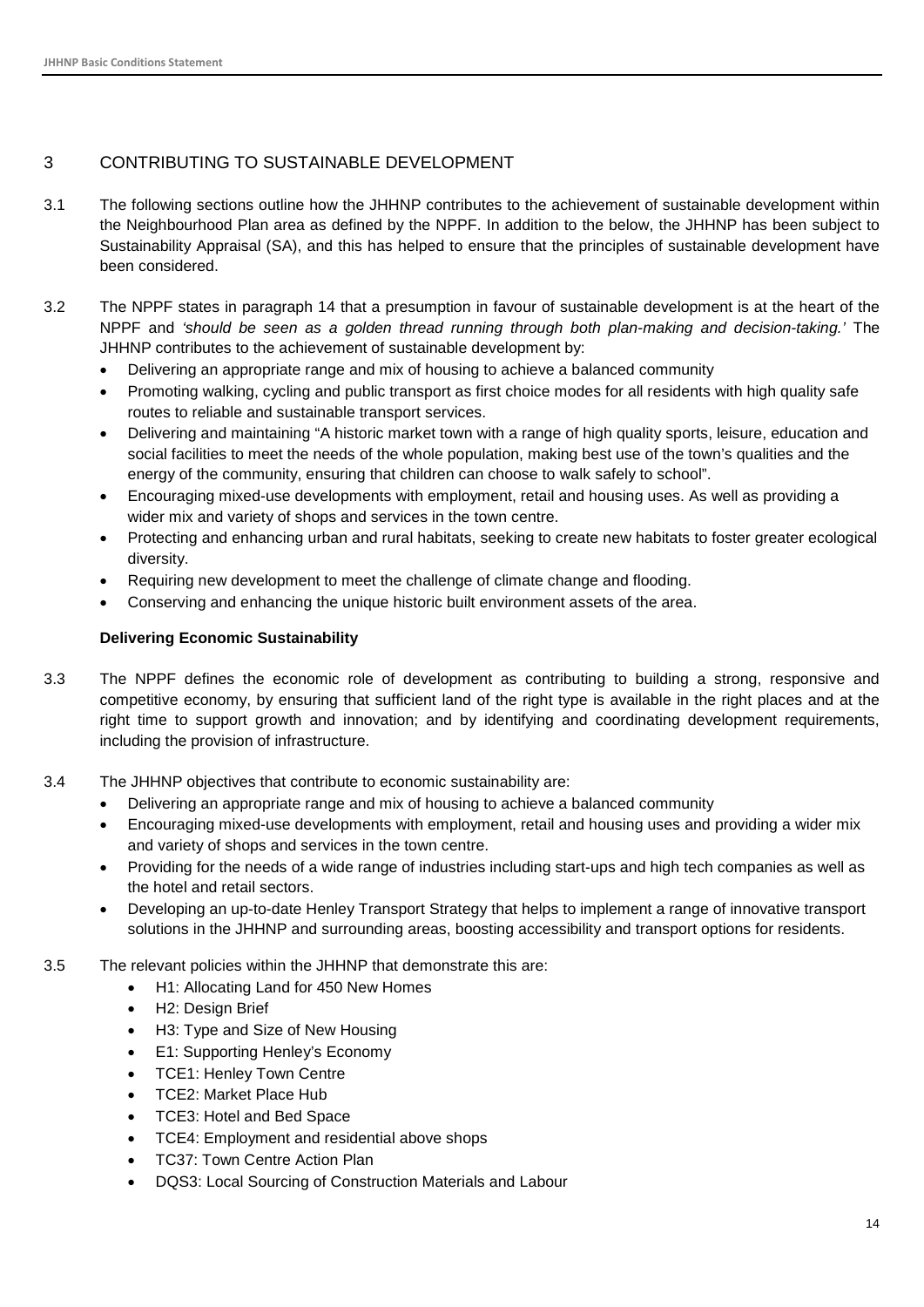#### 3 CONTRIBUTING TO SUSTAINABLE DEVELOPMENT

- 3.1 The following sections outline how the JHHNP contributes to the achievement of sustainable development within the Neighbourhood Plan area as defined by the NPPF. In addition to the below, the JHHNP has been subject to Sustainability Appraisal (SA), and this has helped to ensure that the principles of sustainable development have been considered.
- 3.2 The NPPF states in paragraph 14 that a presumption in favour of sustainable development is at the heart of the NPPF and *'should be seen as a golden thread running through both plan-making and decision-taking.'* The JHHNP contributes to the achievement of sustainable development by:
	- Delivering an appropriate range and mix of housing to achieve a balanced community
	- Promoting walking, cycling and public transport as first choice modes for all residents with high quality safe routes to reliable and sustainable transport services.
	- Delivering and maintaining "A historic market town with a range of high quality sports, leisure, education and social facilities to meet the needs of the whole population, making best use of the town's qualities and the energy of the community, ensuring that children can choose to walk safely to school".
	- Encouraging mixed-use developments with employment, retail and housing uses. As well as providing a wider mix and variety of shops and services in the town centre.
	- Protecting and enhancing urban and rural habitats, seeking to create new habitats to foster greater ecological diversity.
	- Requiring new development to meet the challenge of climate change and flooding.
	- Conserving and enhancing the unique historic built environment assets of the area.

#### **Delivering Economic Sustainability**

- 3.3 The NPPF defines the economic role of development as contributing to building a strong, responsive and competitive economy, by ensuring that sufficient land of the right type is available in the right places and at the right time to support growth and innovation; and by identifying and coordinating development requirements, including the provision of infrastructure.
- 3.4 The JHHNP objectives that contribute to economic sustainability are:
	- Delivering an appropriate range and mix of housing to achieve a balanced community
	- Encouraging mixed-use developments with employment, retail and housing uses and providing a wider mix and variety of shops and services in the town centre.
	- Providing for the needs of a wide range of industries including start-ups and high tech companies as well as the hotel and retail sectors.
	- Developing an up-to-date Henley Transport Strategy that helps to implement a range of innovative transport solutions in the JHHNP and surrounding areas, boosting accessibility and transport options for residents.
- 3.5 The relevant policies within the JHHNP that demonstrate this are:
	- H1: Allocating Land for 450 New Homes
	- H2: Design Brief
	- H3: Type and Size of New Housing
	- E1: Supporting Henley's Economy
	- TCE1: Henley Town Centre
	- TCE2: Market Place Hub
	- TCE3: Hotel and Bed Space
	- TCE4: Employment and residential above shops
	- TC37: Town Centre Action Plan
	- DQS3: Local Sourcing of Construction Materials and Labour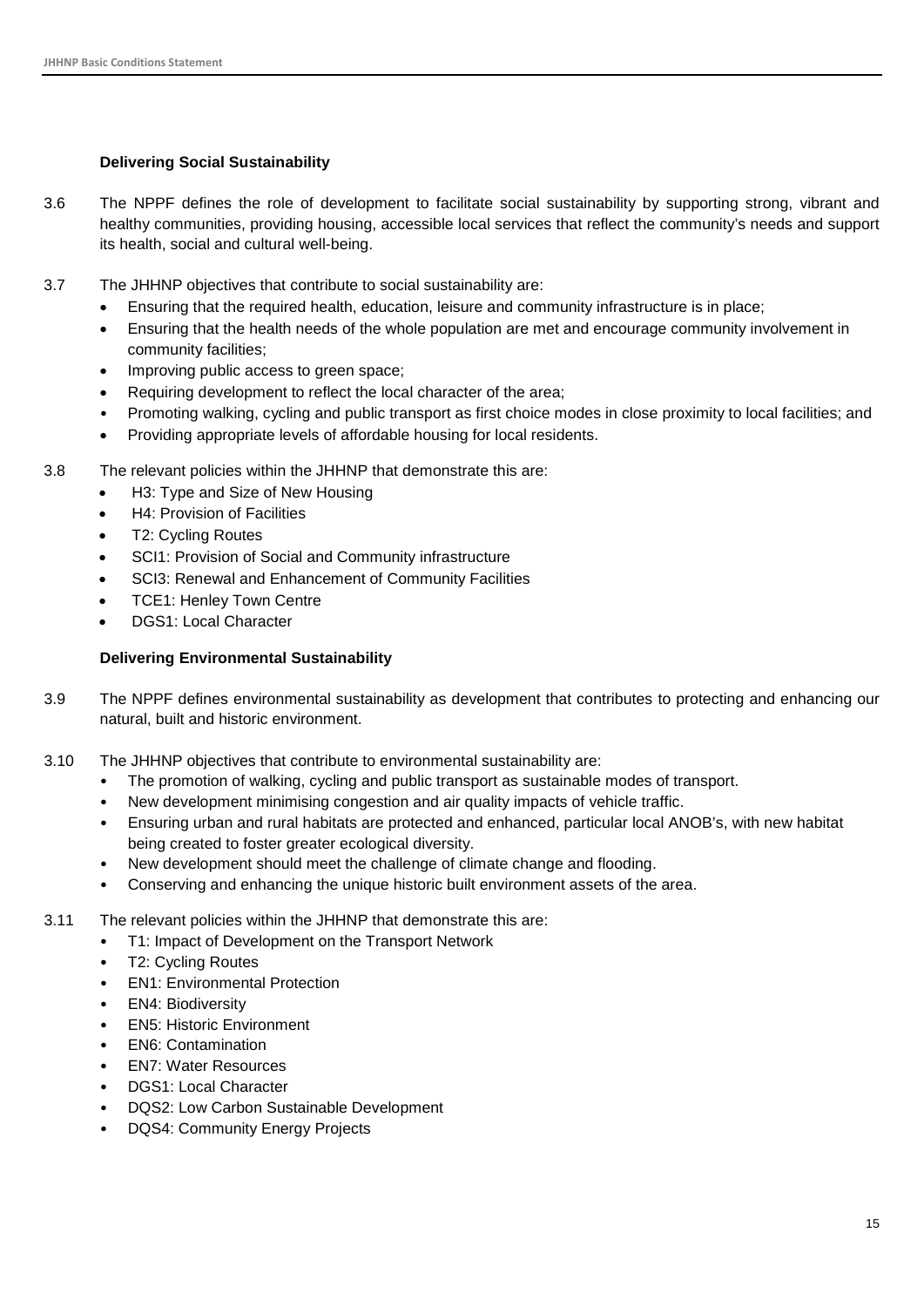#### **Delivering Social Sustainability**

- 3.6 The NPPF defines the role of development to facilitate social sustainability by supporting strong, vibrant and healthy communities, providing housing, accessible local services that reflect the community's needs and support its health, social and cultural well-being.
- 3.7 The JHHNP objectives that contribute to social sustainability are:
	- Ensuring that the required health, education, leisure and community infrastructure is in place;
	- Ensuring that the health needs of the whole population are met and encourage community involvement in community facilities;
	- Improving public access to green space;
	- Requiring development to reflect the local character of the area;
	- Promoting walking, cycling and public transport as first choice modes in close proximity to local facilities; and
	- Providing appropriate levels of affordable housing for local residents.
- 3.8 The relevant policies within the JHHNP that demonstrate this are:
	- H3: Type and Size of New Housing
	- H4: Provision of Facilities
	- T2: Cycling Routes
	- SCI1: Provision of Social and Community infrastructure
	- SCI3: Renewal and Enhancement of Community Facilities
	- **TCE1: Henley Town Centre**
	- DGS1: Local Character

#### **Delivering Environmental Sustainability**

- 3.9 The NPPF defines environmental sustainability as development that contributes to protecting and enhancing our natural, built and historic environment.
- 3.10 The JHHNP objectives that contribute to environmental sustainability are:
	- The promotion of walking, cycling and public transport as sustainable modes of transport.
	- New development minimising congestion and air quality impacts of vehicle traffic.
	- Ensuring urban and rural habitats are protected and enhanced, particular local ANOB's, with new habitat being created to foster greater ecological diversity.
	- New development should meet the challenge of climate change and flooding.
	- Conserving and enhancing the unique historic built environment assets of the area.
- 3.11 The relevant policies within the JHHNP that demonstrate this are:
	- T1: Impact of Development on the Transport Network
	- T2: Cycling Routes
	- EN1: Environmental Protection
	- EN4: Biodiversity
	- EN5: Historic Environment
	- EN6: Contamination
	- EN7: Water Resources
	- DGS1: Local Character
	- DQS2: Low Carbon Sustainable Development
	- DQS4: Community Energy Projects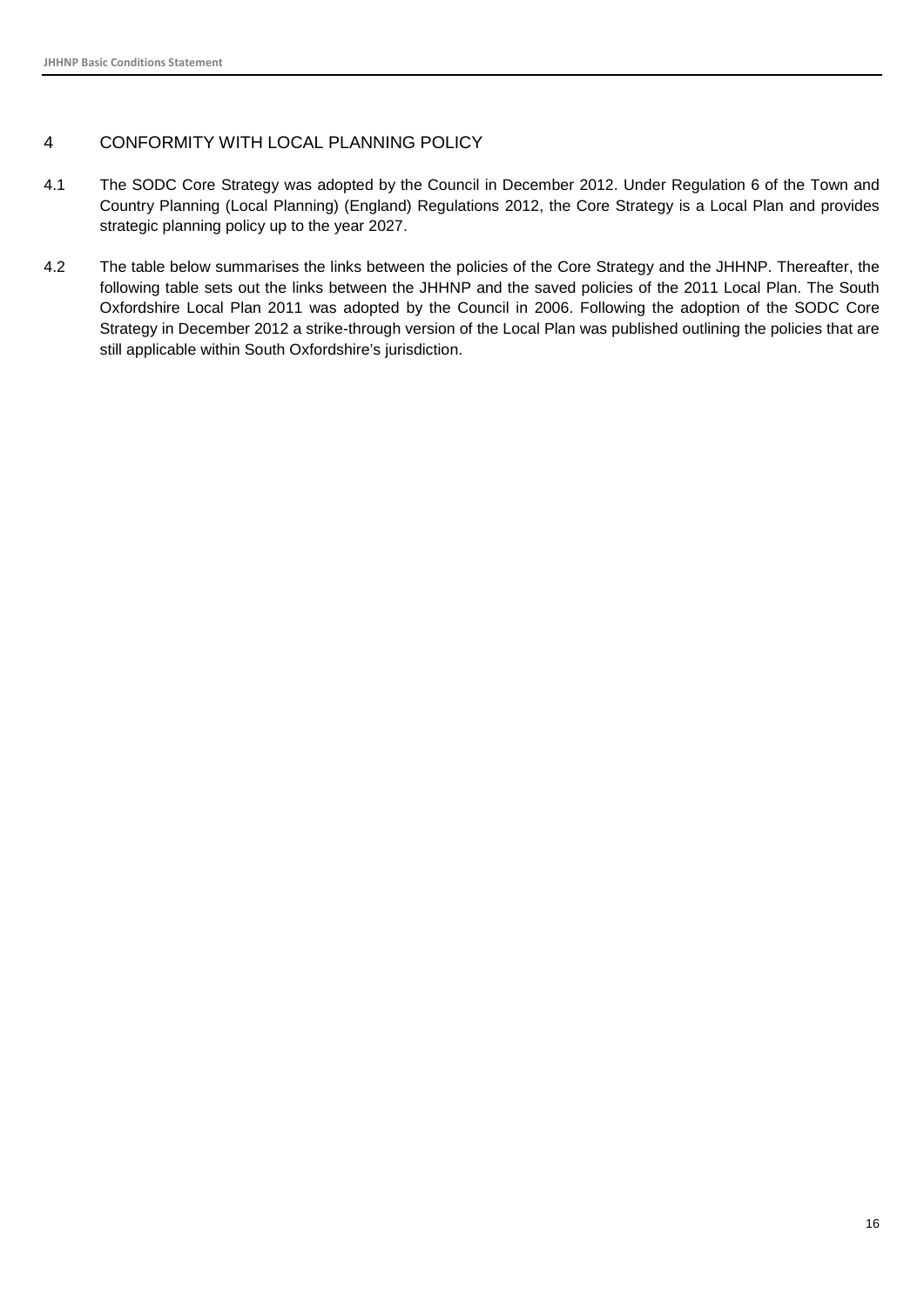#### <span id="page-16-0"></span>4 CONFORMITY WITH LOCAL PLANNING POLICY

- 4.1 The SODC Core Strategy was adopted by the Council in December 2012. Under Regulation 6 of the Town and Country Planning (Local Planning) (England) Regulations 2012, the Core Strategy is a Local Plan and provides strategic planning policy up to the year 2027.
- 4.2 The table below summarises the links between the policies of the Core Strategy and the JHHNP. Thereafter, the following table sets out the links between the JHHNP and the saved policies of the 2011 Local Plan. The South Oxfordshire Local Plan 2011 was adopted by the Council in 2006. Following the adoption of the SODC Core Strategy in December 2012 a strike-through version of the Local Plan was published outlining the policies that are still applicable within South Oxfordshire's jurisdiction.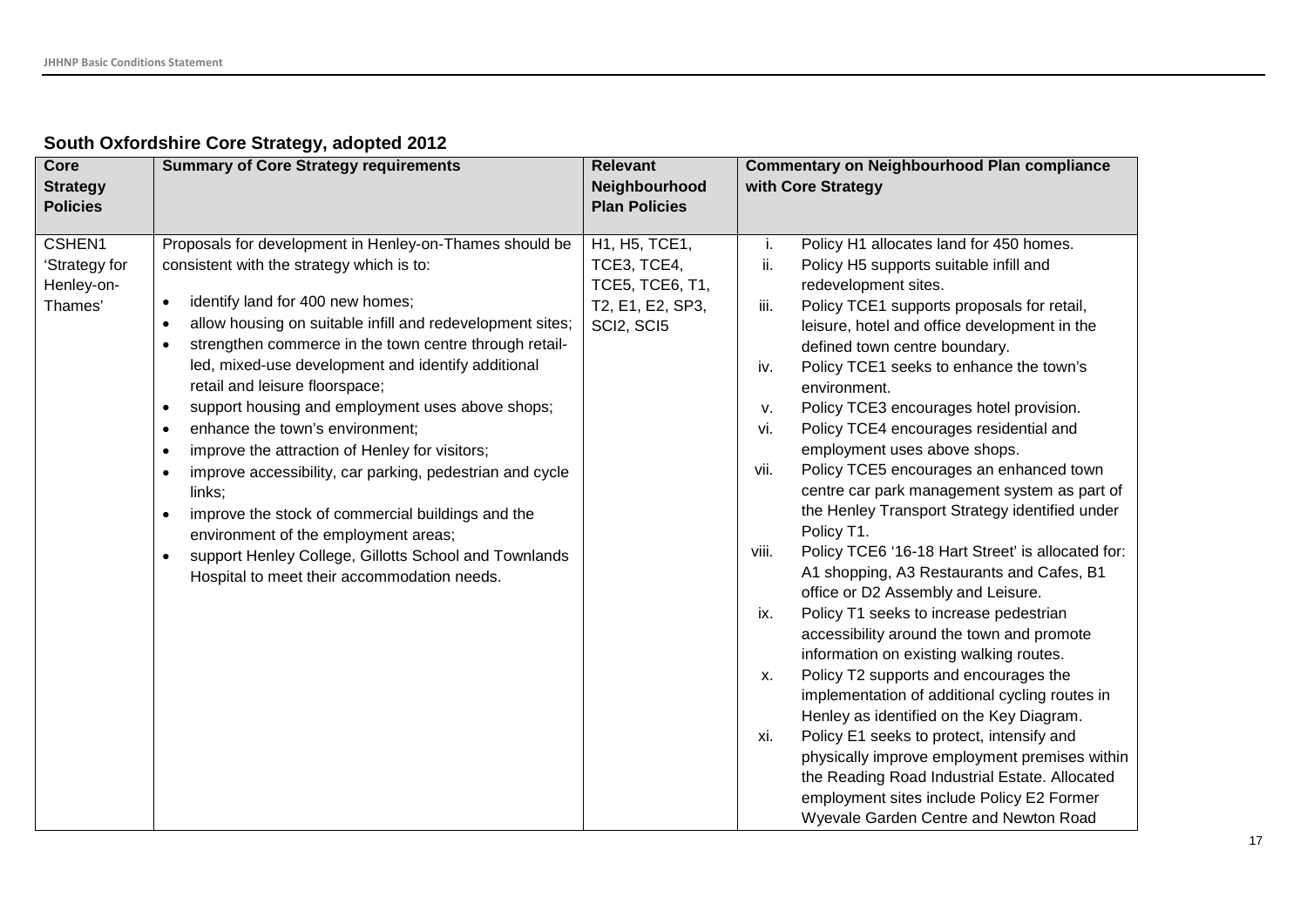### **South Oxfordshire Core Strategy, adopted 2012**

| Core<br><b>Strategy</b><br><b>Policies</b>       | <b>Summary of Core Strategy requirements</b>                                                                                                                                                                                                                                                                                                                                                                                                                                                                                                                                                                                                                                                                                                                                                                                                                                                     | <b>Relevant</b><br>Neighbourhood<br><b>Plan Policies</b>                          | <b>Commentary on Neighbourhood Plan compliance</b><br>with Core Strategy                                                                                                                                                                                                                                                                                                                                                                                                                                                                                                                                                                                                                                                                                                                                                                                                                                                                                                                                                                                                                                                                                                                                                                                                                                                |
|--------------------------------------------------|--------------------------------------------------------------------------------------------------------------------------------------------------------------------------------------------------------------------------------------------------------------------------------------------------------------------------------------------------------------------------------------------------------------------------------------------------------------------------------------------------------------------------------------------------------------------------------------------------------------------------------------------------------------------------------------------------------------------------------------------------------------------------------------------------------------------------------------------------------------------------------------------------|-----------------------------------------------------------------------------------|-------------------------------------------------------------------------------------------------------------------------------------------------------------------------------------------------------------------------------------------------------------------------------------------------------------------------------------------------------------------------------------------------------------------------------------------------------------------------------------------------------------------------------------------------------------------------------------------------------------------------------------------------------------------------------------------------------------------------------------------------------------------------------------------------------------------------------------------------------------------------------------------------------------------------------------------------------------------------------------------------------------------------------------------------------------------------------------------------------------------------------------------------------------------------------------------------------------------------------------------------------------------------------------------------------------------------|
| CSHEN1<br>'Strategy for<br>Henley-on-<br>Thames' | Proposals for development in Henley-on-Thames should be<br>consistent with the strategy which is to:<br>identify land for 400 new homes;<br>$\bullet$<br>allow housing on suitable infill and redevelopment sites;<br>$\bullet$<br>strengthen commerce in the town centre through retail-<br>$\bullet$<br>led, mixed-use development and identify additional<br>retail and leisure floorspace;<br>support housing and employment uses above shops;<br>$\bullet$<br>enhance the town's environment;<br>$\bullet$<br>improve the attraction of Henley for visitors;<br>$\bullet$<br>improve accessibility, car parking, pedestrian and cycle<br>$\bullet$<br>links;<br>improve the stock of commercial buildings and the<br>$\bullet$<br>environment of the employment areas;<br>support Henley College, Gillotts School and Townlands<br>$\bullet$<br>Hospital to meet their accommodation needs. | H1, H5, TCE1,<br>TCE3, TCE4,<br>TCE5, TCE6, T1,<br>T2, E1, E2, SP3,<br>SCI2, SCI5 | Policy H1 allocates land for 450 homes.<br>i.<br>ii.<br>Policy H5 supports suitable infill and<br>redevelopment sites.<br>iii.<br>Policy TCE1 supports proposals for retail,<br>leisure, hotel and office development in the<br>defined town centre boundary.<br>Policy TCE1 seeks to enhance the town's<br>iv.<br>environment.<br>Policy TCE3 encourages hotel provision.<br>v.<br>Policy TCE4 encourages residential and<br>vi.<br>employment uses above shops.<br>Policy TCE5 encourages an enhanced town<br>vii.<br>centre car park management system as part of<br>the Henley Transport Strategy identified under<br>Policy T1.<br>viii.<br>Policy TCE6 '16-18 Hart Street' is allocated for:<br>A1 shopping, A3 Restaurants and Cafes, B1<br>office or D2 Assembly and Leisure.<br>Policy T1 seeks to increase pedestrian<br>ix.<br>accessibility around the town and promote<br>information on existing walking routes.<br>Policy T2 supports and encourages the<br>х.<br>implementation of additional cycling routes in<br>Henley as identified on the Key Diagram.<br>Policy E1 seeks to protect, intensify and<br>xi.<br>physically improve employment premises within<br>the Reading Road Industrial Estate. Allocated<br>employment sites include Policy E2 Former<br>Wyevale Garden Centre and Newton Road |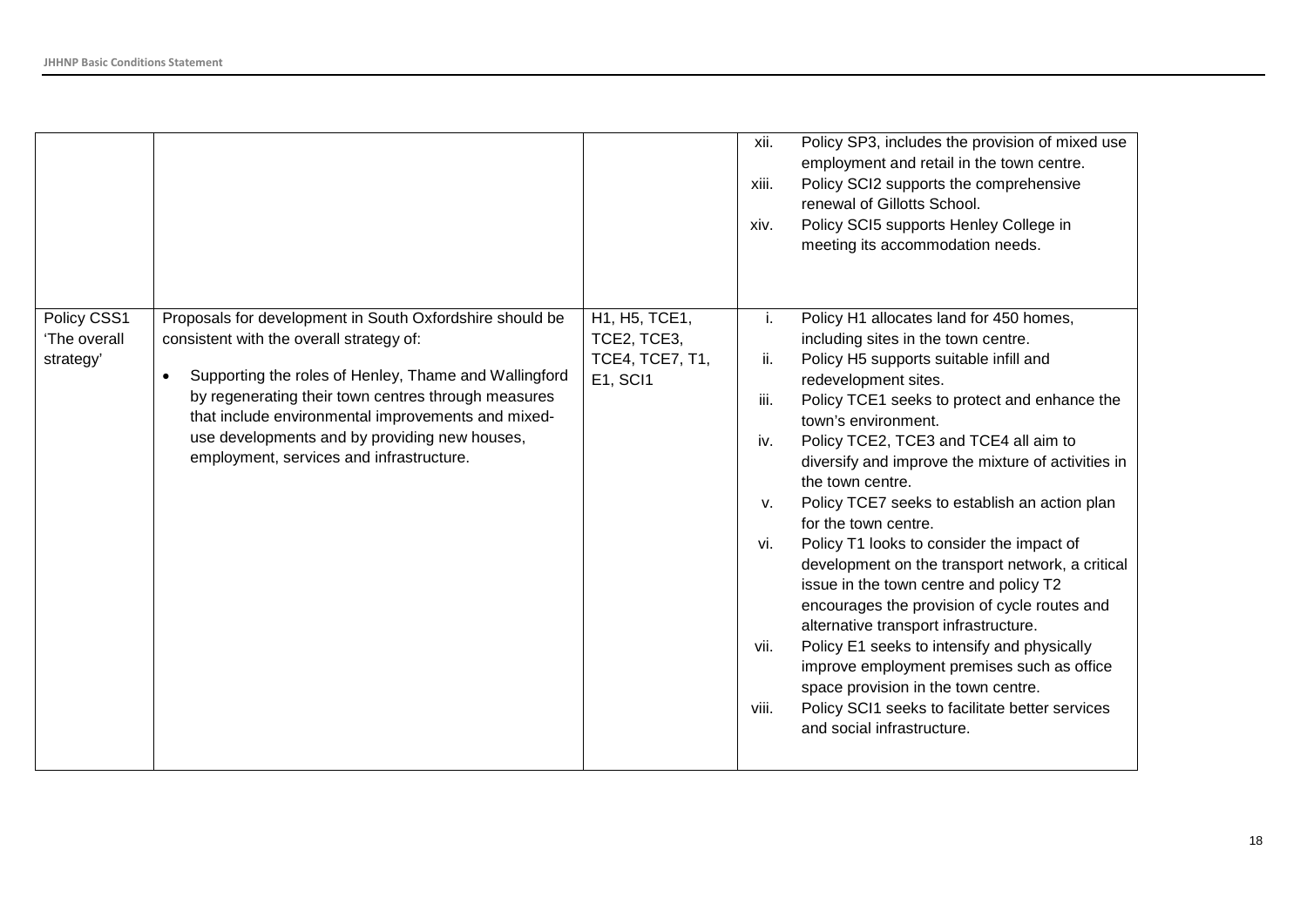|                                          |                                                                                                                                                                                                                                                                                                                                                                         |                                                                           | xii.<br>xiii.<br>xiv.                                  | Policy SP3, includes the provision of mixed use<br>employment and retail in the town centre.<br>Policy SCI2 supports the comprehensive<br>renewal of Gillotts School.<br>Policy SCI5 supports Henley College in<br>meeting its accommodation needs.                                                                                                                                                                                                                                                                                                                                                                                                                                                                                                                                                                                                                          |
|------------------------------------------|-------------------------------------------------------------------------------------------------------------------------------------------------------------------------------------------------------------------------------------------------------------------------------------------------------------------------------------------------------------------------|---------------------------------------------------------------------------|--------------------------------------------------------|------------------------------------------------------------------------------------------------------------------------------------------------------------------------------------------------------------------------------------------------------------------------------------------------------------------------------------------------------------------------------------------------------------------------------------------------------------------------------------------------------------------------------------------------------------------------------------------------------------------------------------------------------------------------------------------------------------------------------------------------------------------------------------------------------------------------------------------------------------------------------|
| Policy CSS1<br>'The overall<br>strategy' | Proposals for development in South Oxfordshire should be<br>consistent with the overall strategy of:<br>Supporting the roles of Henley, Thame and Wallingford<br>by regenerating their town centres through measures<br>that include environmental improvements and mixed-<br>use developments and by providing new houses,<br>employment, services and infrastructure. | H1, H5, TCE1,<br>TCE2, TCE3,<br><b>TCE4, TCE7, T1,</b><br><b>E1, SCI1</b> | i.<br>ii.<br>iii.<br>iv.<br>v.<br>vi.<br>vii.<br>viii. | Policy H1 allocates land for 450 homes,<br>including sites in the town centre.<br>Policy H5 supports suitable infill and<br>redevelopment sites.<br>Policy TCE1 seeks to protect and enhance the<br>town's environment.<br>Policy TCE2, TCE3 and TCE4 all aim to<br>diversify and improve the mixture of activities in<br>the town centre.<br>Policy TCE7 seeks to establish an action plan<br>for the town centre.<br>Policy T1 looks to consider the impact of<br>development on the transport network, a critical<br>issue in the town centre and policy T2<br>encourages the provision of cycle routes and<br>alternative transport infrastructure.<br>Policy E1 seeks to intensify and physically<br>improve employment premises such as office<br>space provision in the town centre.<br>Policy SCI1 seeks to facilitate better services<br>and social infrastructure. |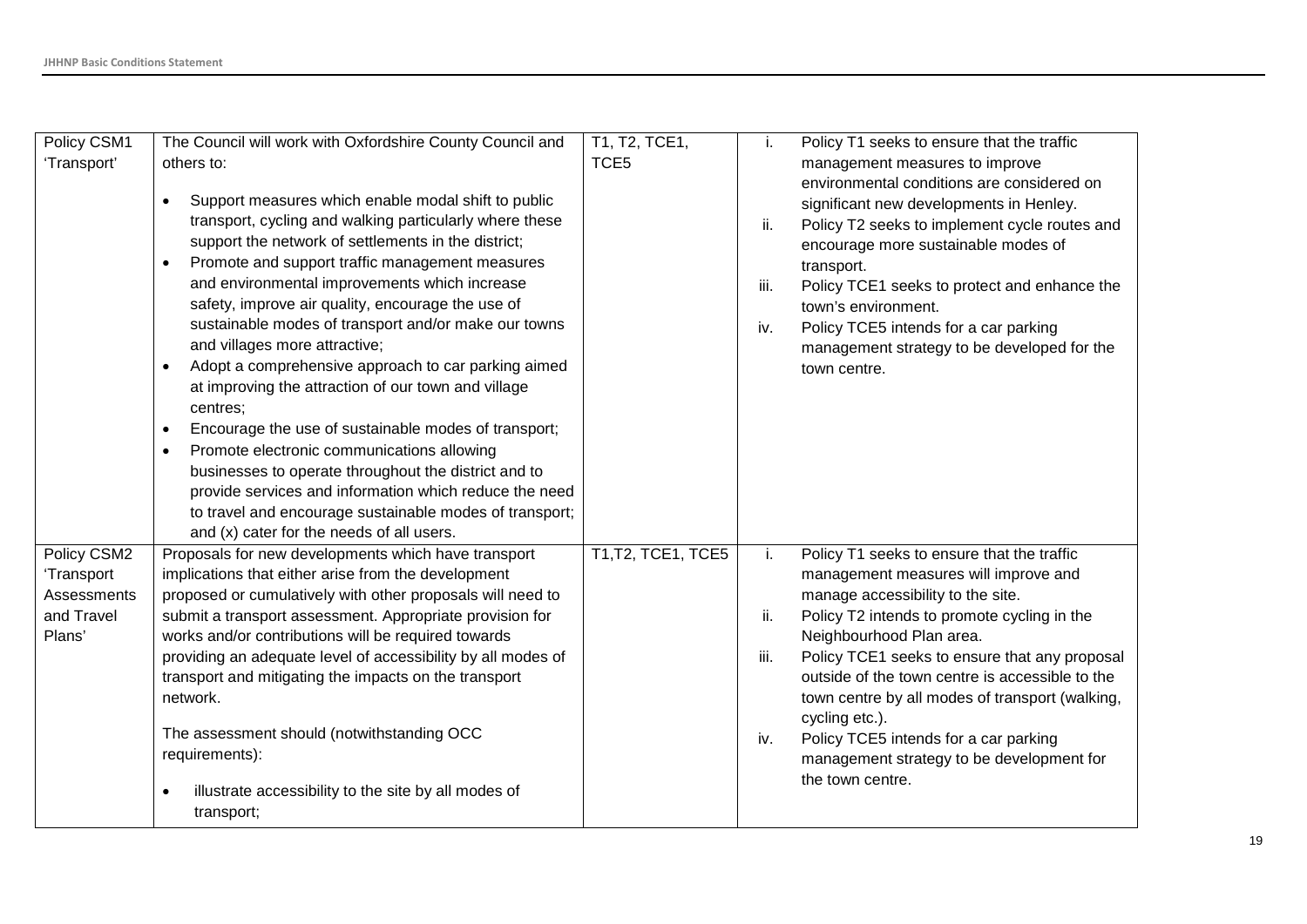| Policy CSM1 | The Council will work with Oxfordshire County Council and                                            | T1, T2, TCE1,      | Ĺ.   | Policy T1 seeks to ensure that the traffic                                            |
|-------------|------------------------------------------------------------------------------------------------------|--------------------|------|---------------------------------------------------------------------------------------|
| 'Transport' | others to:                                                                                           | TCE <sub>5</sub>   |      | management measures to improve                                                        |
|             | Support measures which enable modal shift to public                                                  |                    |      | environmental conditions are considered on<br>significant new developments in Henley. |
|             | transport, cycling and walking particularly where these                                              |                    | ii.  | Policy T2 seeks to implement cycle routes and                                         |
|             | support the network of settlements in the district;                                                  |                    |      | encourage more sustainable modes of                                                   |
|             | Promote and support traffic management measures                                                      |                    |      | transport.                                                                            |
|             | and environmental improvements which increase<br>safety, improve air quality, encourage the use of   |                    | iii. | Policy TCE1 seeks to protect and enhance the                                          |
|             | sustainable modes of transport and/or make our towns                                                 |                    | iv.  | town's environment.<br>Policy TCE5 intends for a car parking                          |
|             | and villages more attractive;                                                                        |                    |      | management strategy to be developed for the                                           |
|             | Adopt a comprehensive approach to car parking aimed<br>$\bullet$                                     |                    |      | town centre.                                                                          |
|             | at improving the attraction of our town and village                                                  |                    |      |                                                                                       |
|             | centres;                                                                                             |                    |      |                                                                                       |
|             | Encourage the use of sustainable modes of transport;                                                 |                    |      |                                                                                       |
|             | Promote electronic communications allowing                                                           |                    |      |                                                                                       |
|             | businesses to operate throughout the district and to                                                 |                    |      |                                                                                       |
|             | provide services and information which reduce the need                                               |                    |      |                                                                                       |
|             | to travel and encourage sustainable modes of transport;<br>and (x) cater for the needs of all users. |                    |      |                                                                                       |
| Policy CSM2 | Proposals for new developments which have transport                                                  | T1, T2, TCE1, TCE5 | i.   | Policy T1 seeks to ensure that the traffic                                            |
| 'Transport  | implications that either arise from the development                                                  |                    |      | management measures will improve and                                                  |
| Assessments | proposed or cumulatively with other proposals will need to                                           |                    |      | manage accessibility to the site.                                                     |
| and Travel  | submit a transport assessment. Appropriate provision for                                             |                    | ii.  | Policy T2 intends to promote cycling in the                                           |
| Plans'      | works and/or contributions will be required towards                                                  |                    |      | Neighbourhood Plan area.                                                              |
|             | providing an adequate level of accessibility by all modes of                                         |                    | iii. | Policy TCE1 seeks to ensure that any proposal                                         |
|             | transport and mitigating the impacts on the transport                                                |                    |      | outside of the town centre is accessible to the                                       |
|             | network.                                                                                             |                    |      | town centre by all modes of transport (walking,                                       |
|             | The assessment should (notwithstanding OCC                                                           |                    | iv.  | cycling etc.).<br>Policy TCE5 intends for a car parking                               |
|             | requirements):                                                                                       |                    |      | management strategy to be development for                                             |
|             |                                                                                                      |                    |      | the town centre.                                                                      |
|             | illustrate accessibility to the site by all modes of                                                 |                    |      |                                                                                       |
|             | transport;                                                                                           |                    |      |                                                                                       |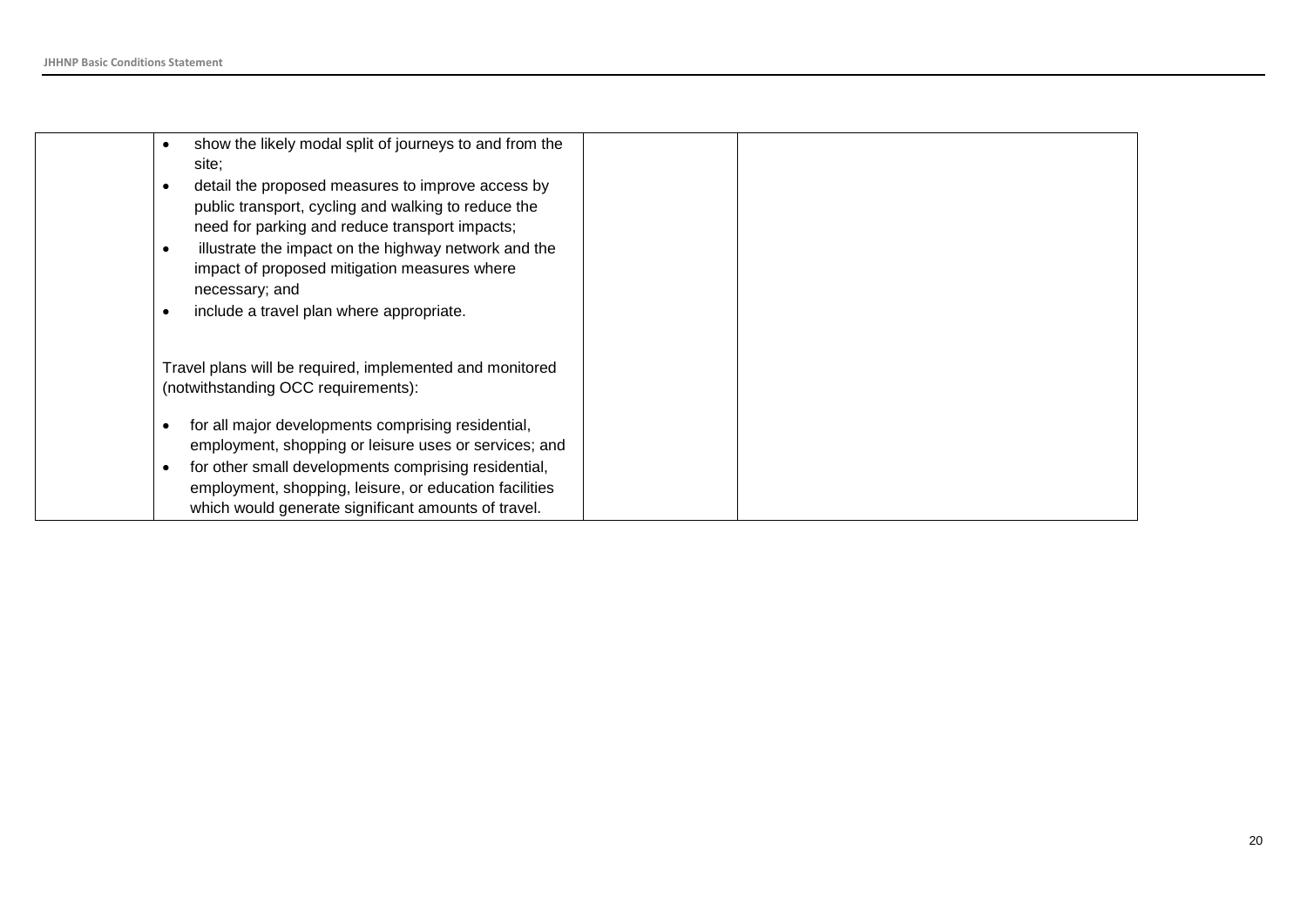| show the likely modal split of journeys to and from the<br>$\bullet$ |  |
|----------------------------------------------------------------------|--|
| site:                                                                |  |
| detail the proposed measures to improve access by<br>$\bullet$       |  |
| public transport, cycling and walking to reduce the                  |  |
| need for parking and reduce transport impacts;                       |  |
| illustrate the impact on the highway network and the<br>$\bullet$    |  |
| impact of proposed mitigation measures where                         |  |
| necessary; and                                                       |  |
| include a travel plan where appropriate.<br>$\bullet$                |  |
|                                                                      |  |
| Travel plans will be required, implemented and monitored             |  |
| (notwithstanding OCC requirements):                                  |  |
|                                                                      |  |
| for all major developments comprising residential,<br>$\bullet$      |  |
| employment, shopping or leisure uses or services; and                |  |
| for other small developments comprising residential,<br>$\bullet$    |  |
| employment, shopping, leisure, or education facilities               |  |
| which would generate significant amounts of travel.                  |  |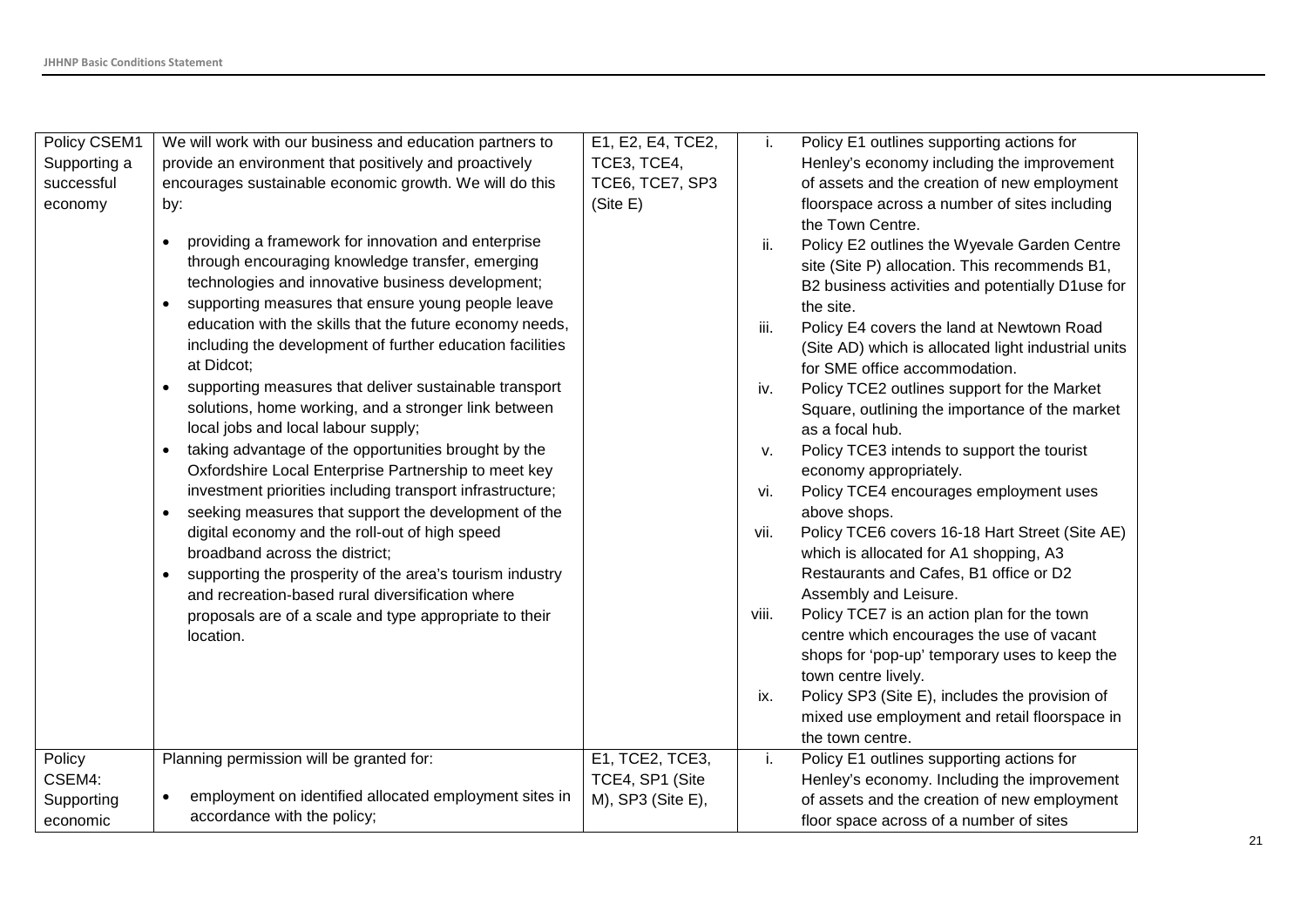| provide an environment that positively and proactively<br>TCE3, TCE4,<br>Supporting a<br>Henley's economy including the improvement<br>TCE6, TCE7, SP3<br>successful<br>encourages sustainable economic growth. We will do this<br>of assets and the creation of new employment<br>(Site E)<br>floorspace across a number of sites including<br>economy<br>by:<br>the Town Centre.<br>providing a framework for innovation and enterprise<br>$\bullet$<br>ii.<br>Policy E2 outlines the Wyevale Garden Centre<br>through encouraging knowledge transfer, emerging<br>site (Site P) allocation. This recommends B1,<br>technologies and innovative business development;<br>B2 business activities and potentially D1use for<br>supporting measures that ensure young people leave<br>the site.<br>education with the skills that the future economy needs,<br>iii.<br>Policy E4 covers the land at Newtown Road<br>including the development of further education facilities<br>(Site AD) which is allocated light industrial units<br>at Didcot;<br>for SME office accommodation.<br>supporting measures that deliver sustainable transport<br>Policy TCE2 outlines support for the Market<br>$\bullet$<br>iv.<br>solutions, home working, and a stronger link between<br>Square, outlining the importance of the market<br>local jobs and local labour supply;<br>as a focal hub.<br>taking advantage of the opportunities brought by the<br>Policy TCE3 intends to support the tourist<br>v.<br>Oxfordshire Local Enterprise Partnership to meet key<br>economy appropriately.<br>investment priorities including transport infrastructure;<br>Policy TCE4 encourages employment uses<br>vi.<br>seeking measures that support the development of the<br>above shops.<br>digital economy and the roll-out of high speed<br>Policy TCE6 covers 16-18 Hart Street (Site AE)<br>vii.<br>broadband across the district;<br>which is allocated for A1 shopping, A3<br>Restaurants and Cafes, B1 office or D2<br>supporting the prosperity of the area's tourism industry<br>$\bullet$<br>Assembly and Leisure.<br>and recreation-based rural diversification where<br>Policy TCE7 is an action plan for the town<br>viii.<br>proposals are of a scale and type appropriate to their<br>centre which encourages the use of vacant<br>location.<br>shops for 'pop-up' temporary uses to keep the<br>town centre lively.<br>Policy SP3 (Site E), includes the provision of<br>ix.<br>mixed use employment and retail floorspace in<br>the town centre.<br>Planning permission will be granted for:<br>E1, TCE2, TCE3,<br>Policy E1 outlines supporting actions for<br>Policy<br>i.<br>CSEM4:<br>TCE4, SP1 (Site<br>Henley's economy. Including the improvement<br>employment on identified allocated employment sites in<br>M), SP3 (Site E),<br>of assets and the creation of new employment<br>Supporting | Policy CSEM1 | We will work with our business and education partners to | E1, E2, E4, TCE2, | Ĺ. | Policy E1 outlines supporting actions for |
|-------------------------------------------------------------------------------------------------------------------------------------------------------------------------------------------------------------------------------------------------------------------------------------------------------------------------------------------------------------------------------------------------------------------------------------------------------------------------------------------------------------------------------------------------------------------------------------------------------------------------------------------------------------------------------------------------------------------------------------------------------------------------------------------------------------------------------------------------------------------------------------------------------------------------------------------------------------------------------------------------------------------------------------------------------------------------------------------------------------------------------------------------------------------------------------------------------------------------------------------------------------------------------------------------------------------------------------------------------------------------------------------------------------------------------------------------------------------------------------------------------------------------------------------------------------------------------------------------------------------------------------------------------------------------------------------------------------------------------------------------------------------------------------------------------------------------------------------------------------------------------------------------------------------------------------------------------------------------------------------------------------------------------------------------------------------------------------------------------------------------------------------------------------------------------------------------------------------------------------------------------------------------------------------------------------------------------------------------------------------------------------------------------------------------------------------------------------------------------------------------------------------------------------------------------------------------------------------------------------------------------------------------------------------------------------------------------------------------------------------------------------------------------------------------------------------------------------------------------------------------------------------------------|--------------|----------------------------------------------------------|-------------------|----|-------------------------------------------|
|                                                                                                                                                                                                                                                                                                                                                                                                                                                                                                                                                                                                                                                                                                                                                                                                                                                                                                                                                                                                                                                                                                                                                                                                                                                                                                                                                                                                                                                                                                                                                                                                                                                                                                                                                                                                                                                                                                                                                                                                                                                                                                                                                                                                                                                                                                                                                                                                                                                                                                                                                                                                                                                                                                                                                                                                                                                                                                       |              |                                                          |                   |    |                                           |
|                                                                                                                                                                                                                                                                                                                                                                                                                                                                                                                                                                                                                                                                                                                                                                                                                                                                                                                                                                                                                                                                                                                                                                                                                                                                                                                                                                                                                                                                                                                                                                                                                                                                                                                                                                                                                                                                                                                                                                                                                                                                                                                                                                                                                                                                                                                                                                                                                                                                                                                                                                                                                                                                                                                                                                                                                                                                                                       |              |                                                          |                   |    |                                           |
|                                                                                                                                                                                                                                                                                                                                                                                                                                                                                                                                                                                                                                                                                                                                                                                                                                                                                                                                                                                                                                                                                                                                                                                                                                                                                                                                                                                                                                                                                                                                                                                                                                                                                                                                                                                                                                                                                                                                                                                                                                                                                                                                                                                                                                                                                                                                                                                                                                                                                                                                                                                                                                                                                                                                                                                                                                                                                                       |              |                                                          |                   |    |                                           |
|                                                                                                                                                                                                                                                                                                                                                                                                                                                                                                                                                                                                                                                                                                                                                                                                                                                                                                                                                                                                                                                                                                                                                                                                                                                                                                                                                                                                                                                                                                                                                                                                                                                                                                                                                                                                                                                                                                                                                                                                                                                                                                                                                                                                                                                                                                                                                                                                                                                                                                                                                                                                                                                                                                                                                                                                                                                                                                       |              |                                                          |                   |    |                                           |
|                                                                                                                                                                                                                                                                                                                                                                                                                                                                                                                                                                                                                                                                                                                                                                                                                                                                                                                                                                                                                                                                                                                                                                                                                                                                                                                                                                                                                                                                                                                                                                                                                                                                                                                                                                                                                                                                                                                                                                                                                                                                                                                                                                                                                                                                                                                                                                                                                                                                                                                                                                                                                                                                                                                                                                                                                                                                                                       |              |                                                          |                   |    |                                           |
|                                                                                                                                                                                                                                                                                                                                                                                                                                                                                                                                                                                                                                                                                                                                                                                                                                                                                                                                                                                                                                                                                                                                                                                                                                                                                                                                                                                                                                                                                                                                                                                                                                                                                                                                                                                                                                                                                                                                                                                                                                                                                                                                                                                                                                                                                                                                                                                                                                                                                                                                                                                                                                                                                                                                                                                                                                                                                                       |              |                                                          |                   |    |                                           |
|                                                                                                                                                                                                                                                                                                                                                                                                                                                                                                                                                                                                                                                                                                                                                                                                                                                                                                                                                                                                                                                                                                                                                                                                                                                                                                                                                                                                                                                                                                                                                                                                                                                                                                                                                                                                                                                                                                                                                                                                                                                                                                                                                                                                                                                                                                                                                                                                                                                                                                                                                                                                                                                                                                                                                                                                                                                                                                       |              |                                                          |                   |    |                                           |
|                                                                                                                                                                                                                                                                                                                                                                                                                                                                                                                                                                                                                                                                                                                                                                                                                                                                                                                                                                                                                                                                                                                                                                                                                                                                                                                                                                                                                                                                                                                                                                                                                                                                                                                                                                                                                                                                                                                                                                                                                                                                                                                                                                                                                                                                                                                                                                                                                                                                                                                                                                                                                                                                                                                                                                                                                                                                                                       |              |                                                          |                   |    |                                           |
|                                                                                                                                                                                                                                                                                                                                                                                                                                                                                                                                                                                                                                                                                                                                                                                                                                                                                                                                                                                                                                                                                                                                                                                                                                                                                                                                                                                                                                                                                                                                                                                                                                                                                                                                                                                                                                                                                                                                                                                                                                                                                                                                                                                                                                                                                                                                                                                                                                                                                                                                                                                                                                                                                                                                                                                                                                                                                                       |              |                                                          |                   |    |                                           |
|                                                                                                                                                                                                                                                                                                                                                                                                                                                                                                                                                                                                                                                                                                                                                                                                                                                                                                                                                                                                                                                                                                                                                                                                                                                                                                                                                                                                                                                                                                                                                                                                                                                                                                                                                                                                                                                                                                                                                                                                                                                                                                                                                                                                                                                                                                                                                                                                                                                                                                                                                                                                                                                                                                                                                                                                                                                                                                       |              |                                                          |                   |    |                                           |
|                                                                                                                                                                                                                                                                                                                                                                                                                                                                                                                                                                                                                                                                                                                                                                                                                                                                                                                                                                                                                                                                                                                                                                                                                                                                                                                                                                                                                                                                                                                                                                                                                                                                                                                                                                                                                                                                                                                                                                                                                                                                                                                                                                                                                                                                                                                                                                                                                                                                                                                                                                                                                                                                                                                                                                                                                                                                                                       |              |                                                          |                   |    |                                           |
|                                                                                                                                                                                                                                                                                                                                                                                                                                                                                                                                                                                                                                                                                                                                                                                                                                                                                                                                                                                                                                                                                                                                                                                                                                                                                                                                                                                                                                                                                                                                                                                                                                                                                                                                                                                                                                                                                                                                                                                                                                                                                                                                                                                                                                                                                                                                                                                                                                                                                                                                                                                                                                                                                                                                                                                                                                                                                                       |              |                                                          |                   |    |                                           |
|                                                                                                                                                                                                                                                                                                                                                                                                                                                                                                                                                                                                                                                                                                                                                                                                                                                                                                                                                                                                                                                                                                                                                                                                                                                                                                                                                                                                                                                                                                                                                                                                                                                                                                                                                                                                                                                                                                                                                                                                                                                                                                                                                                                                                                                                                                                                                                                                                                                                                                                                                                                                                                                                                                                                                                                                                                                                                                       |              |                                                          |                   |    |                                           |
|                                                                                                                                                                                                                                                                                                                                                                                                                                                                                                                                                                                                                                                                                                                                                                                                                                                                                                                                                                                                                                                                                                                                                                                                                                                                                                                                                                                                                                                                                                                                                                                                                                                                                                                                                                                                                                                                                                                                                                                                                                                                                                                                                                                                                                                                                                                                                                                                                                                                                                                                                                                                                                                                                                                                                                                                                                                                                                       |              |                                                          |                   |    |                                           |
|                                                                                                                                                                                                                                                                                                                                                                                                                                                                                                                                                                                                                                                                                                                                                                                                                                                                                                                                                                                                                                                                                                                                                                                                                                                                                                                                                                                                                                                                                                                                                                                                                                                                                                                                                                                                                                                                                                                                                                                                                                                                                                                                                                                                                                                                                                                                                                                                                                                                                                                                                                                                                                                                                                                                                                                                                                                                                                       |              |                                                          |                   |    |                                           |
|                                                                                                                                                                                                                                                                                                                                                                                                                                                                                                                                                                                                                                                                                                                                                                                                                                                                                                                                                                                                                                                                                                                                                                                                                                                                                                                                                                                                                                                                                                                                                                                                                                                                                                                                                                                                                                                                                                                                                                                                                                                                                                                                                                                                                                                                                                                                                                                                                                                                                                                                                                                                                                                                                                                                                                                                                                                                                                       |              |                                                          |                   |    |                                           |
|                                                                                                                                                                                                                                                                                                                                                                                                                                                                                                                                                                                                                                                                                                                                                                                                                                                                                                                                                                                                                                                                                                                                                                                                                                                                                                                                                                                                                                                                                                                                                                                                                                                                                                                                                                                                                                                                                                                                                                                                                                                                                                                                                                                                                                                                                                                                                                                                                                                                                                                                                                                                                                                                                                                                                                                                                                                                                                       |              |                                                          |                   |    |                                           |
|                                                                                                                                                                                                                                                                                                                                                                                                                                                                                                                                                                                                                                                                                                                                                                                                                                                                                                                                                                                                                                                                                                                                                                                                                                                                                                                                                                                                                                                                                                                                                                                                                                                                                                                                                                                                                                                                                                                                                                                                                                                                                                                                                                                                                                                                                                                                                                                                                                                                                                                                                                                                                                                                                                                                                                                                                                                                                                       |              |                                                          |                   |    |                                           |
|                                                                                                                                                                                                                                                                                                                                                                                                                                                                                                                                                                                                                                                                                                                                                                                                                                                                                                                                                                                                                                                                                                                                                                                                                                                                                                                                                                                                                                                                                                                                                                                                                                                                                                                                                                                                                                                                                                                                                                                                                                                                                                                                                                                                                                                                                                                                                                                                                                                                                                                                                                                                                                                                                                                                                                                                                                                                                                       |              |                                                          |                   |    |                                           |
|                                                                                                                                                                                                                                                                                                                                                                                                                                                                                                                                                                                                                                                                                                                                                                                                                                                                                                                                                                                                                                                                                                                                                                                                                                                                                                                                                                                                                                                                                                                                                                                                                                                                                                                                                                                                                                                                                                                                                                                                                                                                                                                                                                                                                                                                                                                                                                                                                                                                                                                                                                                                                                                                                                                                                                                                                                                                                                       |              |                                                          |                   |    |                                           |
|                                                                                                                                                                                                                                                                                                                                                                                                                                                                                                                                                                                                                                                                                                                                                                                                                                                                                                                                                                                                                                                                                                                                                                                                                                                                                                                                                                                                                                                                                                                                                                                                                                                                                                                                                                                                                                                                                                                                                                                                                                                                                                                                                                                                                                                                                                                                                                                                                                                                                                                                                                                                                                                                                                                                                                                                                                                                                                       |              |                                                          |                   |    |                                           |
|                                                                                                                                                                                                                                                                                                                                                                                                                                                                                                                                                                                                                                                                                                                                                                                                                                                                                                                                                                                                                                                                                                                                                                                                                                                                                                                                                                                                                                                                                                                                                                                                                                                                                                                                                                                                                                                                                                                                                                                                                                                                                                                                                                                                                                                                                                                                                                                                                                                                                                                                                                                                                                                                                                                                                                                                                                                                                                       |              |                                                          |                   |    |                                           |
|                                                                                                                                                                                                                                                                                                                                                                                                                                                                                                                                                                                                                                                                                                                                                                                                                                                                                                                                                                                                                                                                                                                                                                                                                                                                                                                                                                                                                                                                                                                                                                                                                                                                                                                                                                                                                                                                                                                                                                                                                                                                                                                                                                                                                                                                                                                                                                                                                                                                                                                                                                                                                                                                                                                                                                                                                                                                                                       |              |                                                          |                   |    |                                           |
|                                                                                                                                                                                                                                                                                                                                                                                                                                                                                                                                                                                                                                                                                                                                                                                                                                                                                                                                                                                                                                                                                                                                                                                                                                                                                                                                                                                                                                                                                                                                                                                                                                                                                                                                                                                                                                                                                                                                                                                                                                                                                                                                                                                                                                                                                                                                                                                                                                                                                                                                                                                                                                                                                                                                                                                                                                                                                                       |              |                                                          |                   |    |                                           |
|                                                                                                                                                                                                                                                                                                                                                                                                                                                                                                                                                                                                                                                                                                                                                                                                                                                                                                                                                                                                                                                                                                                                                                                                                                                                                                                                                                                                                                                                                                                                                                                                                                                                                                                                                                                                                                                                                                                                                                                                                                                                                                                                                                                                                                                                                                                                                                                                                                                                                                                                                                                                                                                                                                                                                                                                                                                                                                       |              |                                                          |                   |    |                                           |
|                                                                                                                                                                                                                                                                                                                                                                                                                                                                                                                                                                                                                                                                                                                                                                                                                                                                                                                                                                                                                                                                                                                                                                                                                                                                                                                                                                                                                                                                                                                                                                                                                                                                                                                                                                                                                                                                                                                                                                                                                                                                                                                                                                                                                                                                                                                                                                                                                                                                                                                                                                                                                                                                                                                                                                                                                                                                                                       |              |                                                          |                   |    |                                           |
|                                                                                                                                                                                                                                                                                                                                                                                                                                                                                                                                                                                                                                                                                                                                                                                                                                                                                                                                                                                                                                                                                                                                                                                                                                                                                                                                                                                                                                                                                                                                                                                                                                                                                                                                                                                                                                                                                                                                                                                                                                                                                                                                                                                                                                                                                                                                                                                                                                                                                                                                                                                                                                                                                                                                                                                                                                                                                                       |              |                                                          |                   |    |                                           |
|                                                                                                                                                                                                                                                                                                                                                                                                                                                                                                                                                                                                                                                                                                                                                                                                                                                                                                                                                                                                                                                                                                                                                                                                                                                                                                                                                                                                                                                                                                                                                                                                                                                                                                                                                                                                                                                                                                                                                                                                                                                                                                                                                                                                                                                                                                                                                                                                                                                                                                                                                                                                                                                                                                                                                                                                                                                                                                       |              |                                                          |                   |    |                                           |
|                                                                                                                                                                                                                                                                                                                                                                                                                                                                                                                                                                                                                                                                                                                                                                                                                                                                                                                                                                                                                                                                                                                                                                                                                                                                                                                                                                                                                                                                                                                                                                                                                                                                                                                                                                                                                                                                                                                                                                                                                                                                                                                                                                                                                                                                                                                                                                                                                                                                                                                                                                                                                                                                                                                                                                                                                                                                                                       |              |                                                          |                   |    |                                           |
|                                                                                                                                                                                                                                                                                                                                                                                                                                                                                                                                                                                                                                                                                                                                                                                                                                                                                                                                                                                                                                                                                                                                                                                                                                                                                                                                                                                                                                                                                                                                                                                                                                                                                                                                                                                                                                                                                                                                                                                                                                                                                                                                                                                                                                                                                                                                                                                                                                                                                                                                                                                                                                                                                                                                                                                                                                                                                                       |              |                                                          |                   |    |                                           |
|                                                                                                                                                                                                                                                                                                                                                                                                                                                                                                                                                                                                                                                                                                                                                                                                                                                                                                                                                                                                                                                                                                                                                                                                                                                                                                                                                                                                                                                                                                                                                                                                                                                                                                                                                                                                                                                                                                                                                                                                                                                                                                                                                                                                                                                                                                                                                                                                                                                                                                                                                                                                                                                                                                                                                                                                                                                                                                       |              |                                                          |                   |    |                                           |
|                                                                                                                                                                                                                                                                                                                                                                                                                                                                                                                                                                                                                                                                                                                                                                                                                                                                                                                                                                                                                                                                                                                                                                                                                                                                                                                                                                                                                                                                                                                                                                                                                                                                                                                                                                                                                                                                                                                                                                                                                                                                                                                                                                                                                                                                                                                                                                                                                                                                                                                                                                                                                                                                                                                                                                                                                                                                                                       |              |                                                          |                   |    |                                           |
|                                                                                                                                                                                                                                                                                                                                                                                                                                                                                                                                                                                                                                                                                                                                                                                                                                                                                                                                                                                                                                                                                                                                                                                                                                                                                                                                                                                                                                                                                                                                                                                                                                                                                                                                                                                                                                                                                                                                                                                                                                                                                                                                                                                                                                                                                                                                                                                                                                                                                                                                                                                                                                                                                                                                                                                                                                                                                                       | economic     | accordance with the policy;                              |                   |    | floor space across of a number of sites   |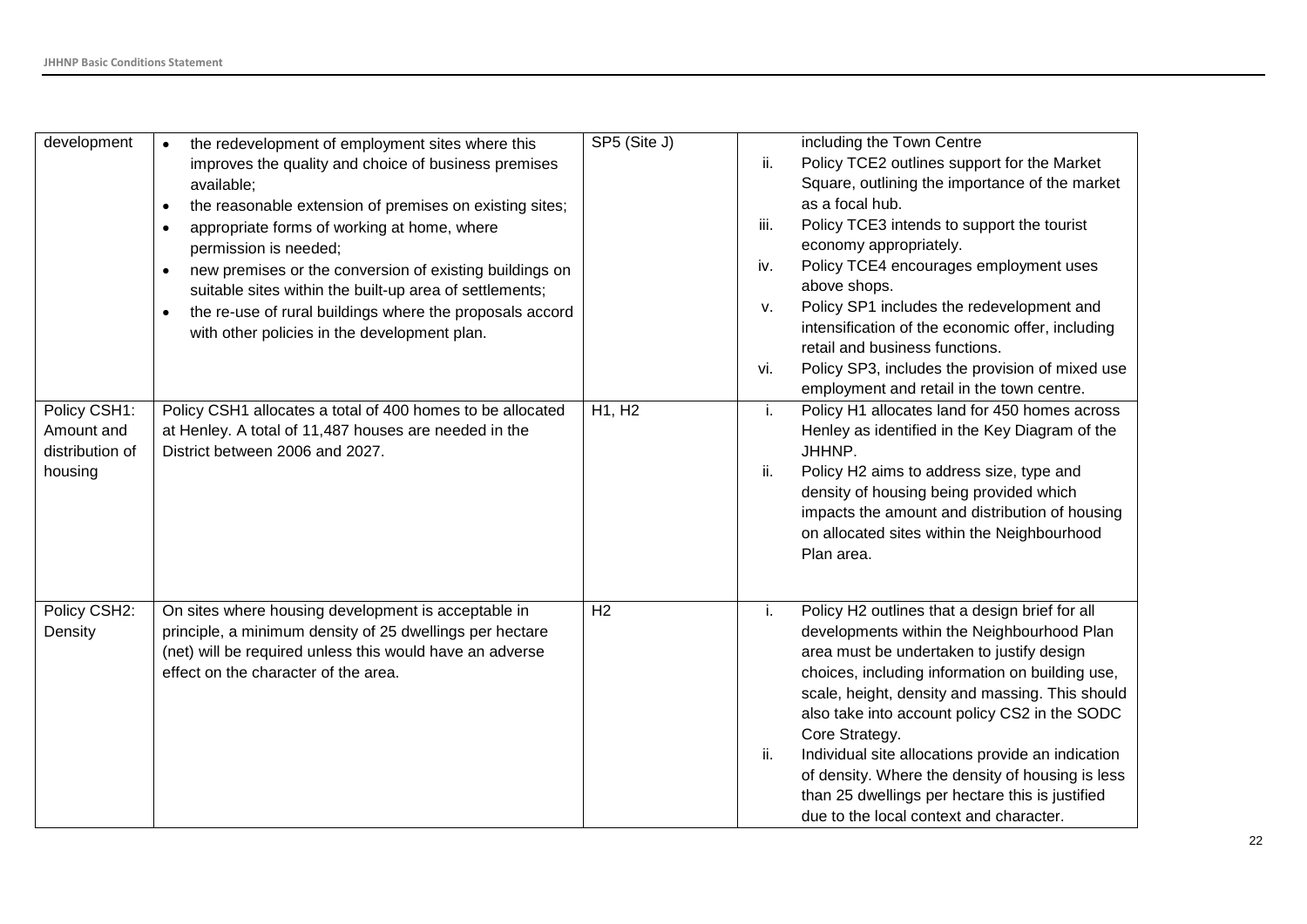| development                                              | the redevelopment of employment sites where this<br>$\bullet$<br>improves the quality and choice of business premises<br>available;<br>the reasonable extension of premises on existing sites;<br>appropriate forms of working at home, where<br>٠<br>permission is needed;<br>new premises or the conversion of existing buildings on<br>suitable sites within the built-up area of settlements;<br>the re-use of rural buildings where the proposals accord<br>$\bullet$<br>with other policies in the development plan. | SP5 (Site J) | including the Town Centre<br>Policy TCE2 outlines support for the Market<br>ii.<br>Square, outlining the importance of the market<br>as a focal hub.<br>Policy TCE3 intends to support the tourist<br>iii.<br>economy appropriately.<br>Policy TCE4 encourages employment uses<br>iv.<br>above shops.<br>Policy SP1 includes the redevelopment and<br>v.<br>intensification of the economic offer, including<br>retail and business functions.<br>Policy SP3, includes the provision of mixed use<br>vi.<br>employment and retail in the town centre. |
|----------------------------------------------------------|----------------------------------------------------------------------------------------------------------------------------------------------------------------------------------------------------------------------------------------------------------------------------------------------------------------------------------------------------------------------------------------------------------------------------------------------------------------------------------------------------------------------------|--------------|-------------------------------------------------------------------------------------------------------------------------------------------------------------------------------------------------------------------------------------------------------------------------------------------------------------------------------------------------------------------------------------------------------------------------------------------------------------------------------------------------------------------------------------------------------|
| Policy CSH1:<br>Amount and<br>distribution of<br>housing | Policy CSH1 allocates a total of 400 homes to be allocated<br>at Henley. A total of 11,487 houses are needed in the<br>District between 2006 and 2027.                                                                                                                                                                                                                                                                                                                                                                     | H1, H2       | Policy H1 allocates land for 450 homes across<br>i.<br>Henley as identified in the Key Diagram of the<br>JHHNP.<br>ii.<br>Policy H2 aims to address size, type and<br>density of housing being provided which<br>impacts the amount and distribution of housing<br>on allocated sites within the Neighbourhood<br>Plan area.                                                                                                                                                                                                                          |
| Policy CSH2:<br>Density                                  | On sites where housing development is acceptable in<br>principle, a minimum density of 25 dwellings per hectare<br>(net) will be required unless this would have an adverse<br>effect on the character of the area.                                                                                                                                                                                                                                                                                                        | H2           | Policy H2 outlines that a design brief for all<br>i.<br>developments within the Neighbourhood Plan<br>area must be undertaken to justify design<br>choices, including information on building use,<br>scale, height, density and massing. This should<br>also take into account policy CS2 in the SODC<br>Core Strategy.<br>Individual site allocations provide an indication<br>ii.<br>of density. Where the density of housing is less<br>than 25 dwellings per hectare this is justified<br>due to the local context and character.                |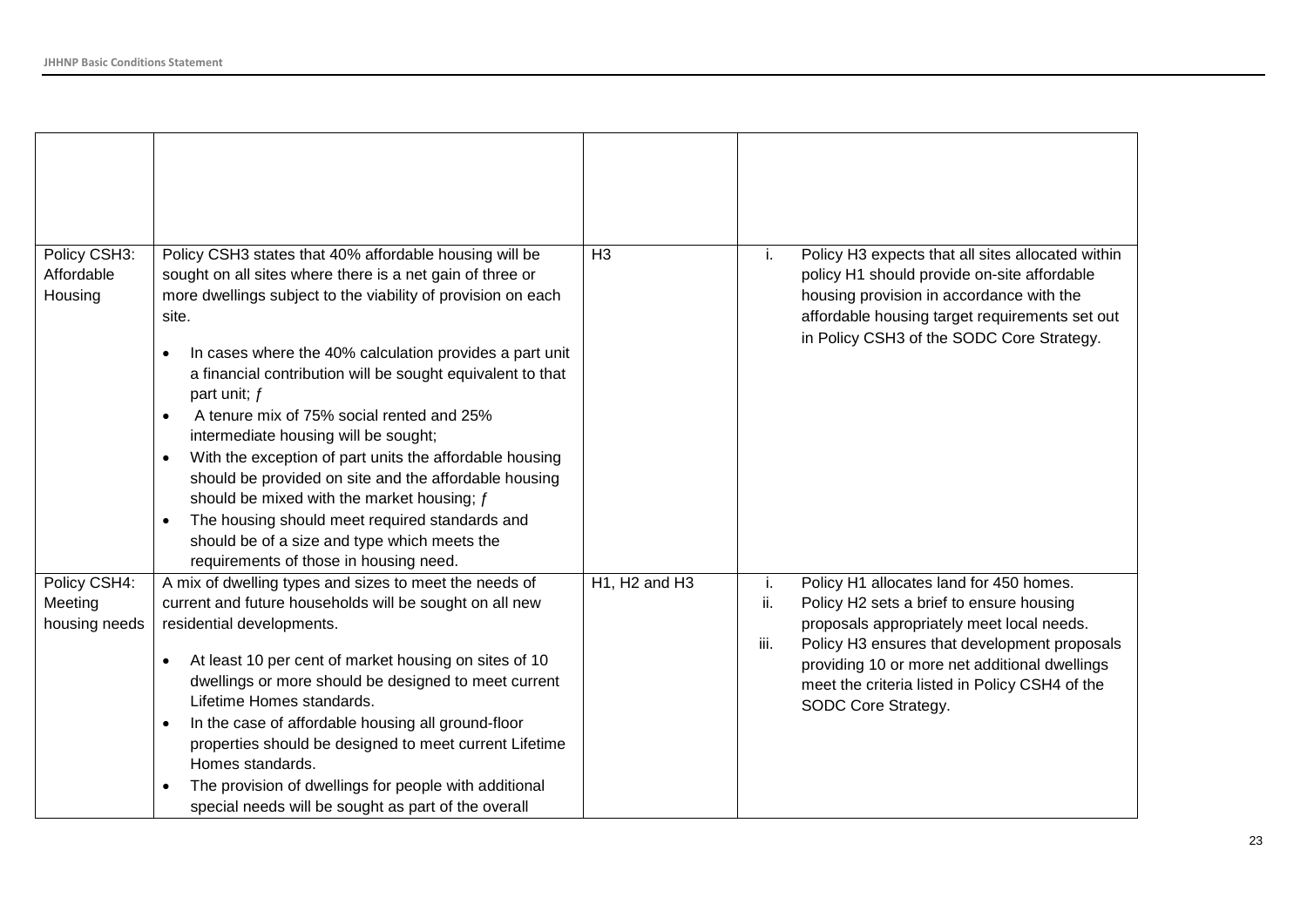| Policy CSH3:<br>Affordable<br>Housing    | Policy CSH3 states that 40% affordable housing will be<br>sought on all sites where there is a net gain of three or<br>more dwellings subject to the viability of provision on each<br>site.<br>In cases where the 40% calculation provides a part unit<br>a financial contribution will be sought equivalent to that<br>part unit; f<br>A tenure mix of 75% social rented and 25%<br>intermediate housing will be sought;<br>With the exception of part units the affordable housing<br>$\bullet$<br>should be provided on site and the affordable housing<br>should be mixed with the market housing; $f$<br>The housing should meet required standards and<br>should be of a size and type which meets the<br>requirements of those in housing need. | H <sub>3</sub>                                     | Policy H3 expects that all sites allocated within<br>j.<br>policy H1 should provide on-site affordable<br>housing provision in accordance with the<br>affordable housing target requirements set out<br>in Policy CSH3 of the SODC Core Strategy.                                                                               |
|------------------------------------------|---------------------------------------------------------------------------------------------------------------------------------------------------------------------------------------------------------------------------------------------------------------------------------------------------------------------------------------------------------------------------------------------------------------------------------------------------------------------------------------------------------------------------------------------------------------------------------------------------------------------------------------------------------------------------------------------------------------------------------------------------------|----------------------------------------------------|---------------------------------------------------------------------------------------------------------------------------------------------------------------------------------------------------------------------------------------------------------------------------------------------------------------------------------|
| Policy CSH4:<br>Meeting<br>housing needs | A mix of dwelling types and sizes to meet the needs of<br>current and future households will be sought on all new<br>residential developments.<br>At least 10 per cent of market housing on sites of 10<br>dwellings or more should be designed to meet current<br>Lifetime Homes standards.<br>In the case of affordable housing all ground-floor<br>properties should be designed to meet current Lifetime<br>Homes standards.<br>The provision of dwellings for people with additional<br>special needs will be sought as part of the overall                                                                                                                                                                                                        | H <sub>1</sub> , H <sub>2</sub> and H <sub>3</sub> | i.<br>Policy H1 allocates land for 450 homes.<br>ii.<br>Policy H2 sets a brief to ensure housing<br>proposals appropriately meet local needs.<br>iii.<br>Policy H3 ensures that development proposals<br>providing 10 or more net additional dwellings<br>meet the criteria listed in Policy CSH4 of the<br>SODC Core Strategy. |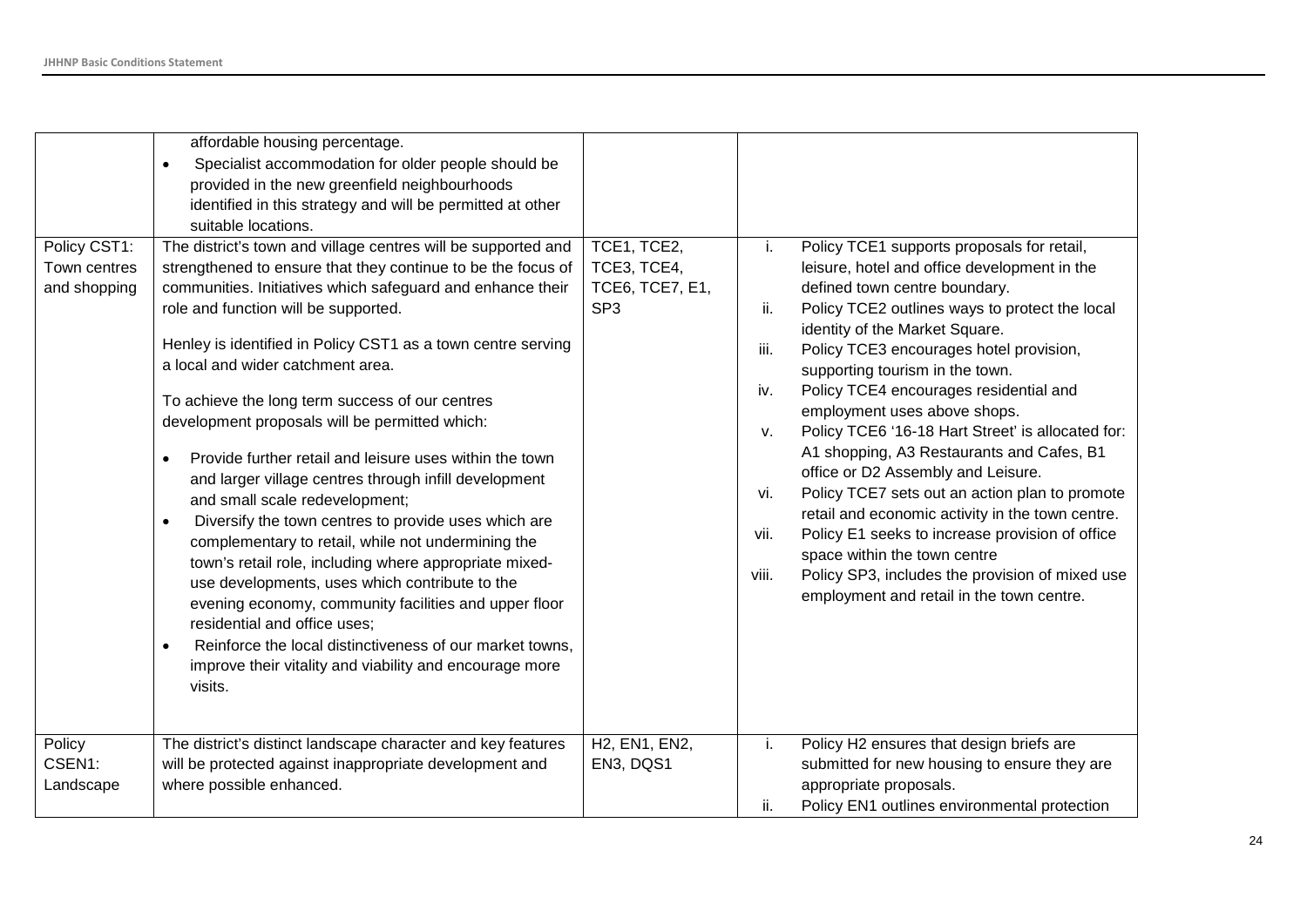| Policy CST1:<br>Town centres<br>and shopping<br>Policy | affordable housing percentage.<br>Specialist accommodation for older people should be<br>provided in the new greenfield neighbourhoods<br>identified in this strategy and will be permitted at other<br>suitable locations.<br>The district's town and village centres will be supported and<br>strengthened to ensure that they continue to be the focus of<br>communities. Initiatives which safeguard and enhance their<br>role and function will be supported.<br>Henley is identified in Policy CST1 as a town centre serving<br>a local and wider catchment area.<br>To achieve the long term success of our centres<br>development proposals will be permitted which:<br>Provide further retail and leisure uses within the town<br>and larger village centres through infill development<br>and small scale redevelopment;<br>Diversify the town centres to provide uses which are<br>complementary to retail, while not undermining the<br>town's retail role, including where appropriate mixed-<br>use developments, uses which contribute to the<br>evening economy, community facilities and upper floor<br>residential and office uses;<br>Reinforce the local distinctiveness of our market towns,<br>improve their vitality and viability and encourage more<br>visits.<br>The district's distinct landscape character and key features | TCE1, TCE2,<br>TCE3, TCE4,<br><b>TCE6, TCE7, E1,</b><br>SP <sub>3</sub><br>H2, EN1, EN2, | i.<br>ii.<br>iii.<br>iv.<br>ν.<br>vi.<br>vii.<br>viii.<br>i. | Policy TCE1 supports proposals for retail,<br>leisure, hotel and office development in the<br>defined town centre boundary.<br>Policy TCE2 outlines ways to protect the local<br>identity of the Market Square.<br>Policy TCE3 encourages hotel provision,<br>supporting tourism in the town.<br>Policy TCE4 encourages residential and<br>employment uses above shops.<br>Policy TCE6 '16-18 Hart Street' is allocated for:<br>A1 shopping, A3 Restaurants and Cafes, B1<br>office or D2 Assembly and Leisure.<br>Policy TCE7 sets out an action plan to promote<br>retail and economic activity in the town centre.<br>Policy E1 seeks to increase provision of office<br>space within the town centre<br>Policy SP3, includes the provision of mixed use<br>employment and retail in the town centre.<br>Policy H2 ensures that design briefs are |
|--------------------------------------------------------|---------------------------------------------------------------------------------------------------------------------------------------------------------------------------------------------------------------------------------------------------------------------------------------------------------------------------------------------------------------------------------------------------------------------------------------------------------------------------------------------------------------------------------------------------------------------------------------------------------------------------------------------------------------------------------------------------------------------------------------------------------------------------------------------------------------------------------------------------------------------------------------------------------------------------------------------------------------------------------------------------------------------------------------------------------------------------------------------------------------------------------------------------------------------------------------------------------------------------------------------------------------------------------------------------------------------------------------------------------|------------------------------------------------------------------------------------------|--------------------------------------------------------------|------------------------------------------------------------------------------------------------------------------------------------------------------------------------------------------------------------------------------------------------------------------------------------------------------------------------------------------------------------------------------------------------------------------------------------------------------------------------------------------------------------------------------------------------------------------------------------------------------------------------------------------------------------------------------------------------------------------------------------------------------------------------------------------------------------------------------------------------------|
| CSEN1:                                                 | will be protected against inappropriate development and                                                                                                                                                                                                                                                                                                                                                                                                                                                                                                                                                                                                                                                                                                                                                                                                                                                                                                                                                                                                                                                                                                                                                                                                                                                                                                 | EN3, DQS1                                                                                |                                                              | submitted for new housing to ensure they are                                                                                                                                                                                                                                                                                                                                                                                                                                                                                                                                                                                                                                                                                                                                                                                                         |
| Landscape                                              | where possible enhanced.                                                                                                                                                                                                                                                                                                                                                                                                                                                                                                                                                                                                                                                                                                                                                                                                                                                                                                                                                                                                                                                                                                                                                                                                                                                                                                                                |                                                                                          |                                                              | appropriate proposals.                                                                                                                                                                                                                                                                                                                                                                                                                                                                                                                                                                                                                                                                                                                                                                                                                               |
|                                                        |                                                                                                                                                                                                                                                                                                                                                                                                                                                                                                                                                                                                                                                                                                                                                                                                                                                                                                                                                                                                                                                                                                                                                                                                                                                                                                                                                         |                                                                                          | ii.                                                          | Policy EN1 outlines environmental protection                                                                                                                                                                                                                                                                                                                                                                                                                                                                                                                                                                                                                                                                                                                                                                                                         |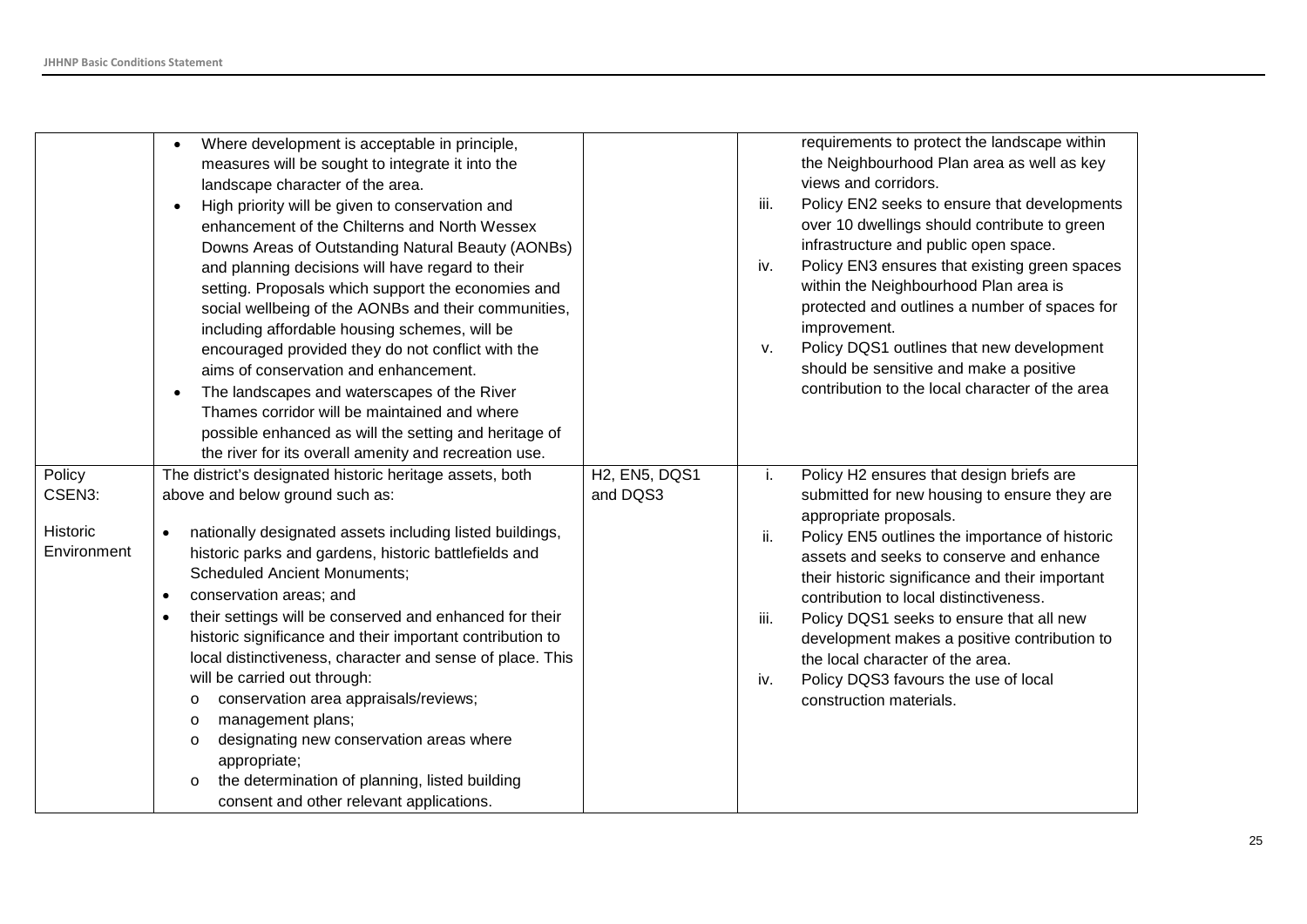|             | Where development is acceptable in principle,<br>$\bullet$            |                      |      | requirements to protect the landscape within    |
|-------------|-----------------------------------------------------------------------|----------------------|------|-------------------------------------------------|
|             | measures will be sought to integrate it into the                      |                      |      | the Neighbourhood Plan area as well as key      |
|             | landscape character of the area.                                      |                      |      | views and corridors.                            |
|             | High priority will be given to conservation and<br>$\bullet$          |                      | iii. | Policy EN2 seeks to ensure that developments    |
|             | enhancement of the Chilterns and North Wessex                         |                      |      | over 10 dwellings should contribute to green    |
|             | Downs Areas of Outstanding Natural Beauty (AONBs)                     |                      |      | infrastructure and public open space.           |
|             | and planning decisions will have regard to their                      |                      | iv.  | Policy EN3 ensures that existing green spaces   |
|             | setting. Proposals which support the economies and                    |                      |      | within the Neighbourhood Plan area is           |
|             | social wellbeing of the AONBs and their communities,                  |                      |      | protected and outlines a number of spaces for   |
|             | including affordable housing schemes, will be                         |                      |      | improvement.                                    |
|             | encouraged provided they do not conflict with the                     |                      | V.   | Policy DQS1 outlines that new development       |
|             | aims of conservation and enhancement.                                 |                      |      | should be sensitive and make a positive         |
|             | The landscapes and waterscapes of the River<br>$\bullet$              |                      |      | contribution to the local character of the area |
|             | Thames corridor will be maintained and where                          |                      |      |                                                 |
|             | possible enhanced as will the setting and heritage of                 |                      |      |                                                 |
|             | the river for its overall amenity and recreation use.                 |                      |      |                                                 |
|             |                                                                       |                      |      |                                                 |
| Policy      | The district's designated historic heritage assets, both              | <b>H2, EN5, DQS1</b> | i.   | Policy H2 ensures that design briefs are        |
| CSEN3:      | above and below ground such as:                                       | and DQS3             |      | submitted for new housing to ensure they are    |
| Historic    | nationally designated assets including listed buildings,<br>$\bullet$ |                      |      | appropriate proposals.                          |
| Environment | historic parks and gardens, historic battlefields and                 |                      | ii.  | Policy EN5 outlines the importance of historic  |
|             | <b>Scheduled Ancient Monuments;</b>                                   |                      |      | assets and seeks to conserve and enhance        |
|             |                                                                       |                      |      | their historic significance and their important |
|             | conservation areas; and<br>$\bullet$                                  |                      |      | contribution to local distinctiveness.          |
|             | their settings will be conserved and enhanced for their<br>$\bullet$  |                      | iii. | Policy DQS1 seeks to ensure that all new        |
|             | historic significance and their important contribution to             |                      |      | development makes a positive contribution to    |
|             | local distinctiveness, character and sense of place. This             |                      |      | the local character of the area.                |
|             | will be carried out through:                                          |                      | iv.  | Policy DQS3 favours the use of local            |
|             | conservation area appraisals/reviews;<br>$\circ$                      |                      |      | construction materials.                         |
|             | management plans;<br>$\circ$                                          |                      |      |                                                 |
|             | designating new conservation areas where<br>$\circ$                   |                      |      |                                                 |
|             | appropriate;                                                          |                      |      |                                                 |
|             | the determination of planning, listed building<br>$\circ$             |                      |      |                                                 |
|             | consent and other relevant applications.                              |                      |      |                                                 |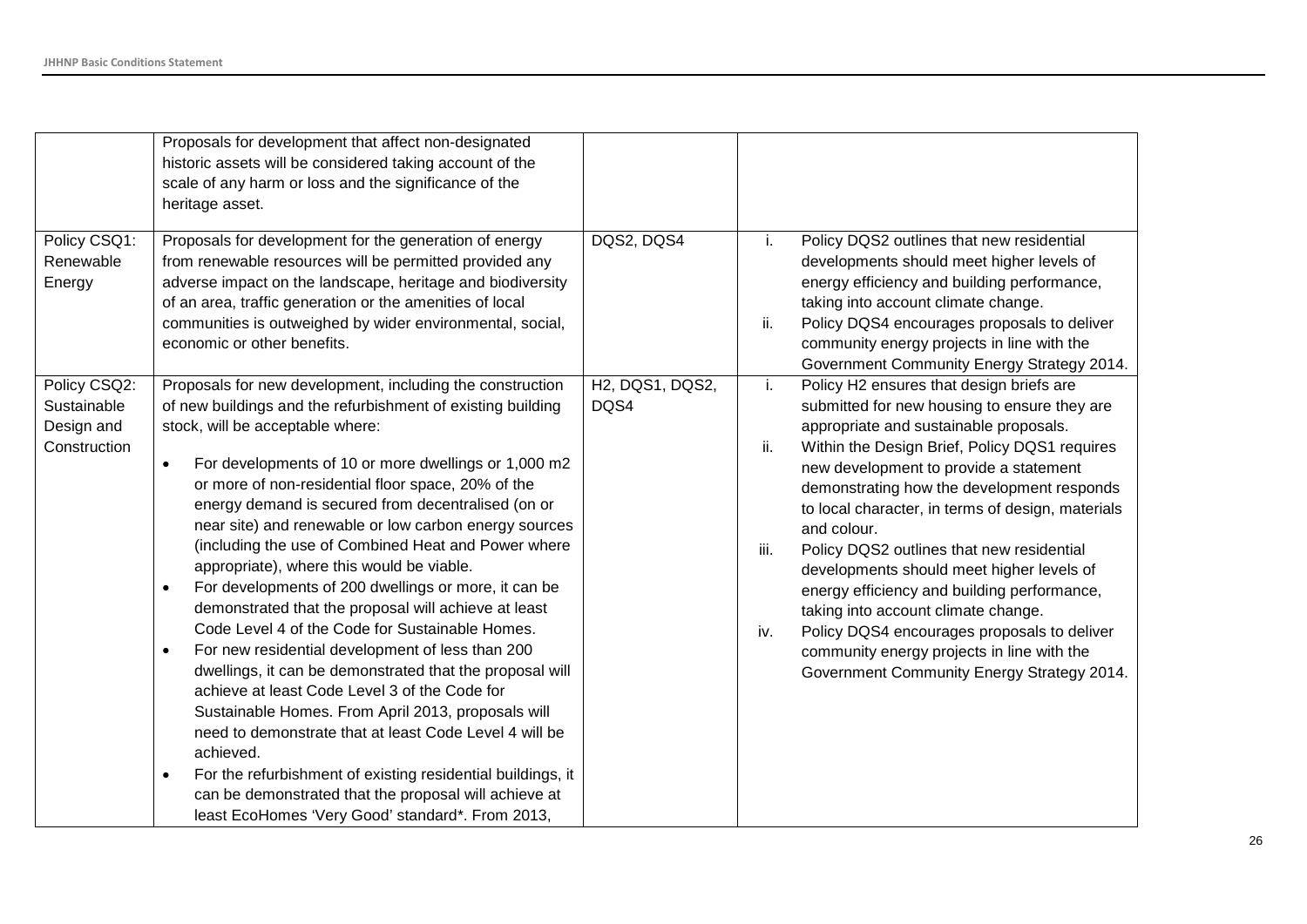|                                                           | Proposals for development that affect non-designated<br>historic assets will be considered taking account of the<br>scale of any harm or loss and the significance of the<br>heritage asset.                                                                                                                                                                                                                                                                                                                                                                                                                                                                                                                                                                                                                                                                                                                                                                                                                                                                                                                                                                                                   |                         |                                                                                                                                                                                                                                                                                                                                                                                                                                                                                                                                                                                                                                                                                                        |
|-----------------------------------------------------------|------------------------------------------------------------------------------------------------------------------------------------------------------------------------------------------------------------------------------------------------------------------------------------------------------------------------------------------------------------------------------------------------------------------------------------------------------------------------------------------------------------------------------------------------------------------------------------------------------------------------------------------------------------------------------------------------------------------------------------------------------------------------------------------------------------------------------------------------------------------------------------------------------------------------------------------------------------------------------------------------------------------------------------------------------------------------------------------------------------------------------------------------------------------------------------------------|-------------------------|--------------------------------------------------------------------------------------------------------------------------------------------------------------------------------------------------------------------------------------------------------------------------------------------------------------------------------------------------------------------------------------------------------------------------------------------------------------------------------------------------------------------------------------------------------------------------------------------------------------------------------------------------------------------------------------------------------|
| Policy CSQ1:<br>Renewable<br>Energy                       | Proposals for development for the generation of energy<br>from renewable resources will be permitted provided any<br>adverse impact on the landscape, heritage and biodiversity<br>of an area, traffic generation or the amenities of local<br>communities is outweighed by wider environmental, social,<br>economic or other benefits.                                                                                                                                                                                                                                                                                                                                                                                                                                                                                                                                                                                                                                                                                                                                                                                                                                                        | DQS2, DQS4              | Policy DQS2 outlines that new residential<br>j.<br>developments should meet higher levels of<br>energy efficiency and building performance,<br>taking into account climate change.<br>ii.<br>Policy DQS4 encourages proposals to deliver<br>community energy projects in line with the<br>Government Community Energy Strategy 2014.                                                                                                                                                                                                                                                                                                                                                                   |
| Policy CSQ2:<br>Sustainable<br>Design and<br>Construction | Proposals for new development, including the construction<br>of new buildings and the refurbishment of existing building<br>stock, will be acceptable where:<br>For developments of 10 or more dwellings or 1,000 m2<br>$\bullet$<br>or more of non-residential floor space, 20% of the<br>energy demand is secured from decentralised (on or<br>near site) and renewable or low carbon energy sources<br>(including the use of Combined Heat and Power where<br>appropriate), where this would be viable.<br>For developments of 200 dwellings or more, it can be<br>$\bullet$<br>demonstrated that the proposal will achieve at least<br>Code Level 4 of the Code for Sustainable Homes.<br>For new residential development of less than 200<br>$\bullet$<br>dwellings, it can be demonstrated that the proposal will<br>achieve at least Code Level 3 of the Code for<br>Sustainable Homes. From April 2013, proposals will<br>need to demonstrate that at least Code Level 4 will be<br>achieved.<br>For the refurbishment of existing residential buildings, it<br>$\bullet$<br>can be demonstrated that the proposal will achieve at<br>least EcoHomes 'Very Good' standard*. From 2013, | H2, DQS1, DQS2,<br>DQS4 | Policy H2 ensures that design briefs are<br>j.<br>submitted for new housing to ensure they are<br>appropriate and sustainable proposals.<br>ii.<br>Within the Design Brief, Policy DQS1 requires<br>new development to provide a statement<br>demonstrating how the development responds<br>to local character, in terms of design, materials<br>and colour.<br>Policy DQS2 outlines that new residential<br>iii.<br>developments should meet higher levels of<br>energy efficiency and building performance,<br>taking into account climate change.<br>Policy DQS4 encourages proposals to deliver<br>iv.<br>community energy projects in line with the<br>Government Community Energy Strategy 2014. |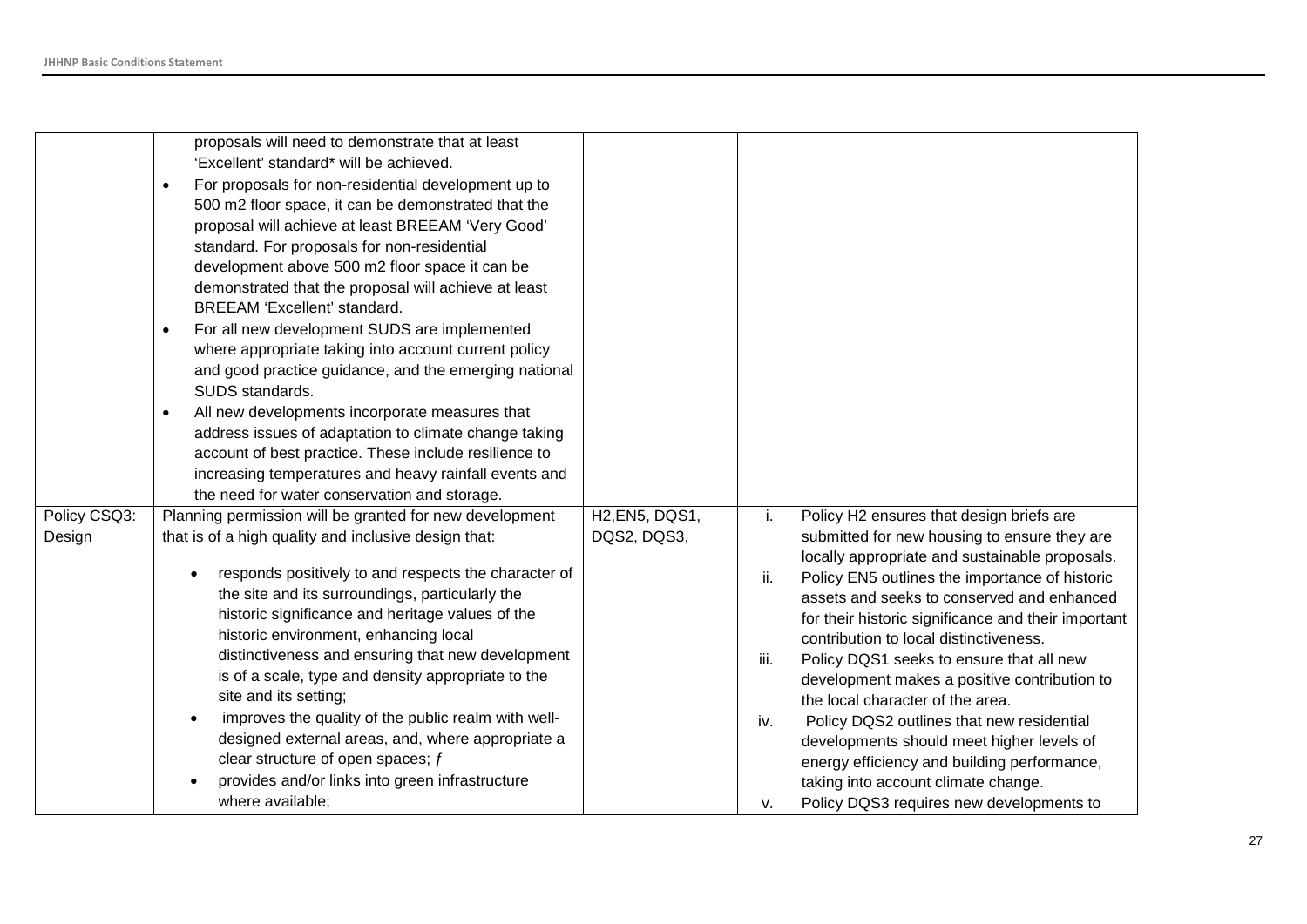|              | proposals will need to demonstrate that at least                 |                |      |                                                     |
|--------------|------------------------------------------------------------------|----------------|------|-----------------------------------------------------|
|              | 'Excellent' standard* will be achieved.                          |                |      |                                                     |
|              | For proposals for non-residential development up to<br>$\bullet$ |                |      |                                                     |
|              | 500 m2 floor space, it can be demonstrated that the              |                |      |                                                     |
|              | proposal will achieve at least BREEAM 'Very Good'                |                |      |                                                     |
|              | standard. For proposals for non-residential                      |                |      |                                                     |
|              | development above 500 m2 floor space it can be                   |                |      |                                                     |
|              | demonstrated that the proposal will achieve at least             |                |      |                                                     |
|              | BREEAM 'Excellent' standard.                                     |                |      |                                                     |
|              | For all new development SUDS are implemented<br>$\bullet$        |                |      |                                                     |
|              | where appropriate taking into account current policy             |                |      |                                                     |
|              | and good practice guidance, and the emerging national            |                |      |                                                     |
|              | SUDS standards.                                                  |                |      |                                                     |
|              | All new developments incorporate measures that<br>$\bullet$      |                |      |                                                     |
|              | address issues of adaptation to climate change taking            |                |      |                                                     |
|              | account of best practice. These include resilience to            |                |      |                                                     |
|              | increasing temperatures and heavy rainfall events and            |                |      |                                                     |
|              | the need for water conservation and storage.                     |                |      |                                                     |
| Policy CSQ3: | Planning permission will be granted for new development          | H2, EN5, DQS1, | i.   | Policy H2 ensures that design briefs are            |
| Design       | that is of a high quality and inclusive design that:             | DQS2, DQS3,    |      | submitted for new housing to ensure they are        |
|              |                                                                  |                |      | locally appropriate and sustainable proposals.      |
|              | responds positively to and respects the character of             |                | ii.  | Policy EN5 outlines the importance of historic      |
|              | the site and its surroundings, particularly the                  |                |      | assets and seeks to conserved and enhanced          |
|              | historic significance and heritage values of the                 |                |      | for their historic significance and their important |
|              | historic environment, enhancing local                            |                |      | contribution to local distinctiveness.              |
|              | distinctiveness and ensuring that new development                |                | iii. | Policy DQS1 seeks to ensure that all new            |
|              | is of a scale, type and density appropriate to the               |                |      | development makes a positive contribution to        |
|              | site and its setting;                                            |                |      | the local character of the area.                    |
|              | improves the quality of the public realm with well-              |                | iv.  | Policy DQS2 outlines that new residential           |
|              | designed external areas, and, where appropriate a                |                |      | developments should meet higher levels of           |
|              | clear structure of open spaces; $f$                              |                |      | energy efficiency and building performance,         |
|              | provides and/or links into green infrastructure                  |                |      | taking into account climate change.                 |
|              | where available;                                                 |                | ۷.   | Policy DQS3 requires new developments to            |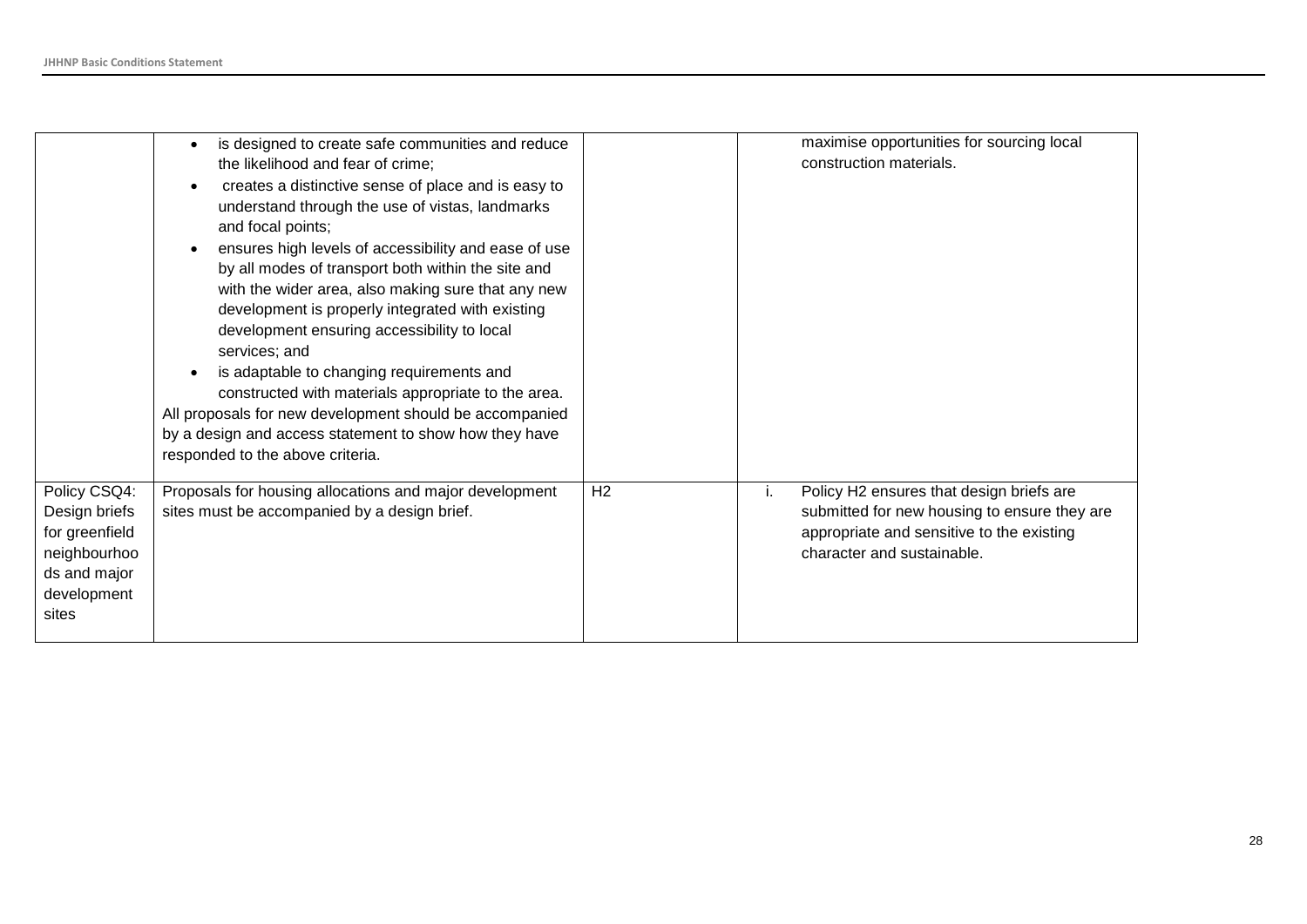|                                                                                                         | is designed to create safe communities and reduce<br>$\bullet$<br>the likelihood and fear of crime;<br>creates a distinctive sense of place and is easy to<br>$\bullet$<br>understand through the use of vistas, landmarks<br>and focal points;<br>ensures high levels of accessibility and ease of use<br>$\bullet$<br>by all modes of transport both within the site and<br>with the wider area, also making sure that any new<br>development is properly integrated with existing<br>development ensuring accessibility to local<br>services; and<br>is adaptable to changing requirements and<br>$\bullet$<br>constructed with materials appropriate to the area.<br>All proposals for new development should be accompanied<br>by a design and access statement to show how they have<br>responded to the above criteria. |                | maximise opportunities for sourcing local<br>construction materials.                                                                                                      |
|---------------------------------------------------------------------------------------------------------|--------------------------------------------------------------------------------------------------------------------------------------------------------------------------------------------------------------------------------------------------------------------------------------------------------------------------------------------------------------------------------------------------------------------------------------------------------------------------------------------------------------------------------------------------------------------------------------------------------------------------------------------------------------------------------------------------------------------------------------------------------------------------------------------------------------------------------|----------------|---------------------------------------------------------------------------------------------------------------------------------------------------------------------------|
| Policy CSQ4:<br>Design briefs<br>for greenfield<br>neighbourhoo<br>ds and major<br>development<br>sites | Proposals for housing allocations and major development<br>sites must be accompanied by a design brief.                                                                                                                                                                                                                                                                                                                                                                                                                                                                                                                                                                                                                                                                                                                        | H <sub>2</sub> | Policy H2 ensures that design briefs are<br>ι.<br>submitted for new housing to ensure they are<br>appropriate and sensitive to the existing<br>character and sustainable. |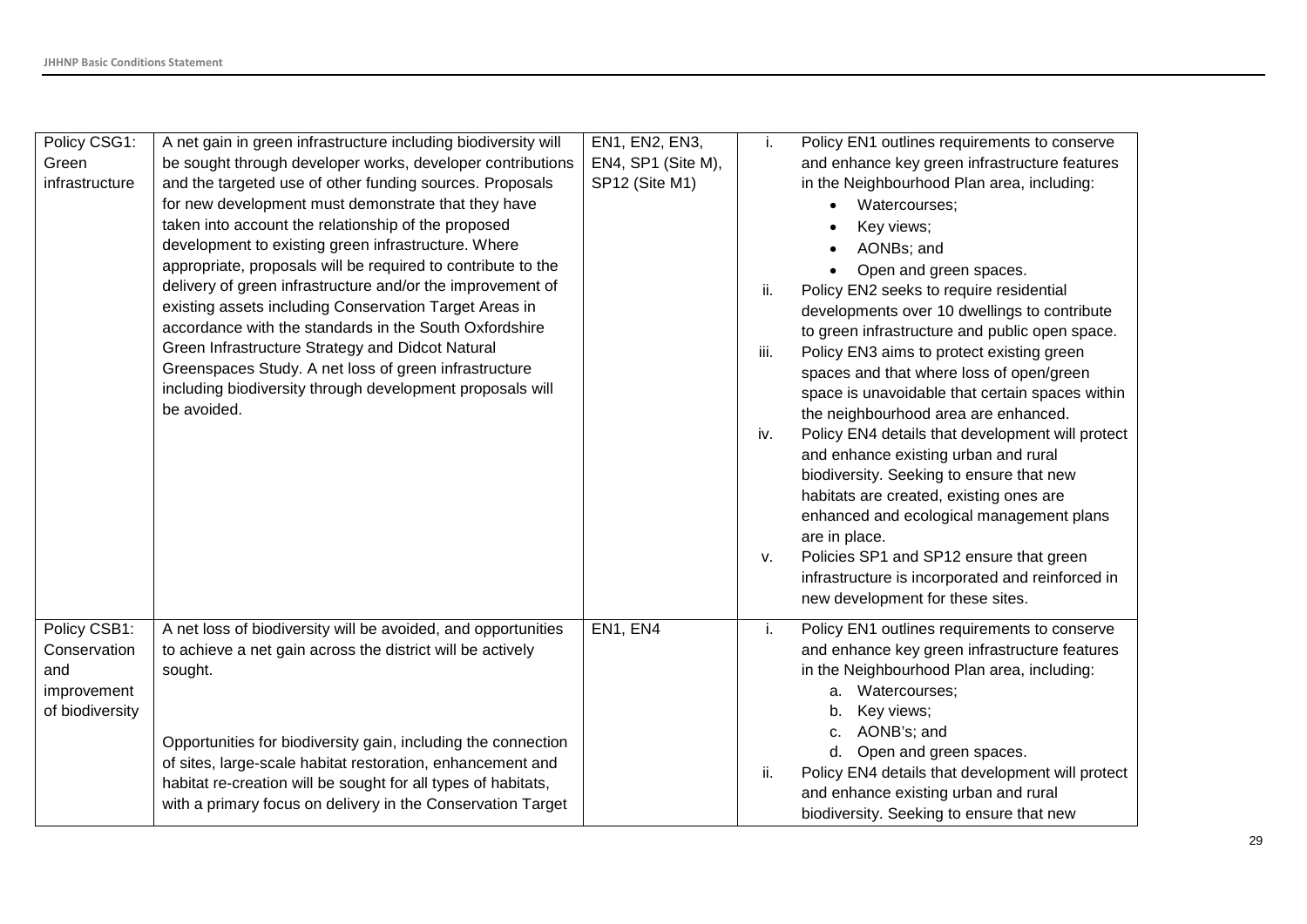| Policy CSG1:<br>Green<br>infrastructure                               | A net gain in green infrastructure including biodiversity will<br>be sought through developer works, developer contributions<br>and the targeted use of other funding sources. Proposals<br>for new development must demonstrate that they have<br>taken into account the relationship of the proposed<br>development to existing green infrastructure. Where<br>appropriate, proposals will be required to contribute to the<br>delivery of green infrastructure and/or the improvement of<br>existing assets including Conservation Target Areas in<br>accordance with the standards in the South Oxfordshire<br>Green Infrastructure Strategy and Didcot Natural<br>Greenspaces Study. A net loss of green infrastructure<br>including biodiversity through development proposals will<br>be avoided. | EN1, EN2, EN3,<br>EN4, SP1 (Site M),<br>SP12 (Site M1) | j.<br>ii.<br>iii.<br>iv.<br>V. | Policy EN1 outlines requirements to conserve<br>and enhance key green infrastructure features<br>in the Neighbourhood Plan area, including:<br>Watercourses;<br>Key views;<br>AONBs; and<br>Open and green spaces.<br>Policy EN2 seeks to require residential<br>developments over 10 dwellings to contribute<br>to green infrastructure and public open space.<br>Policy EN3 aims to protect existing green<br>spaces and that where loss of open/green<br>space is unavoidable that certain spaces within<br>the neighbourhood area are enhanced.<br>Policy EN4 details that development will protect<br>and enhance existing urban and rural<br>biodiversity. Seeking to ensure that new<br>habitats are created, existing ones are<br>enhanced and ecological management plans<br>are in place.<br>Policies SP1 and SP12 ensure that green<br>infrastructure is incorporated and reinforced in<br>new development for these sites. |
|-----------------------------------------------------------------------|----------------------------------------------------------------------------------------------------------------------------------------------------------------------------------------------------------------------------------------------------------------------------------------------------------------------------------------------------------------------------------------------------------------------------------------------------------------------------------------------------------------------------------------------------------------------------------------------------------------------------------------------------------------------------------------------------------------------------------------------------------------------------------------------------------|--------------------------------------------------------|--------------------------------|----------------------------------------------------------------------------------------------------------------------------------------------------------------------------------------------------------------------------------------------------------------------------------------------------------------------------------------------------------------------------------------------------------------------------------------------------------------------------------------------------------------------------------------------------------------------------------------------------------------------------------------------------------------------------------------------------------------------------------------------------------------------------------------------------------------------------------------------------------------------------------------------------------------------------------------|
| Policy CSB1:<br>Conservation<br>and<br>improvement<br>of biodiversity | A net loss of biodiversity will be avoided, and opportunities<br>to achieve a net gain across the district will be actively<br>sought.<br>Opportunities for biodiversity gain, including the connection<br>of sites, large-scale habitat restoration, enhancement and<br>habitat re-creation will be sought for all types of habitats,<br>with a primary focus on delivery in the Conservation Target                                                                                                                                                                                                                                                                                                                                                                                                    | EN1, EN4                                               | j.<br>ii.                      | Policy EN1 outlines requirements to conserve<br>and enhance key green infrastructure features<br>in the Neighbourhood Plan area, including:<br>Watercourses;<br>а.<br>Key views;<br>b.<br>AONB's; and<br>C.<br>d. Open and green spaces.<br>Policy EN4 details that development will protect<br>and enhance existing urban and rural<br>biodiversity. Seeking to ensure that new                                                                                                                                                                                                                                                                                                                                                                                                                                                                                                                                                       |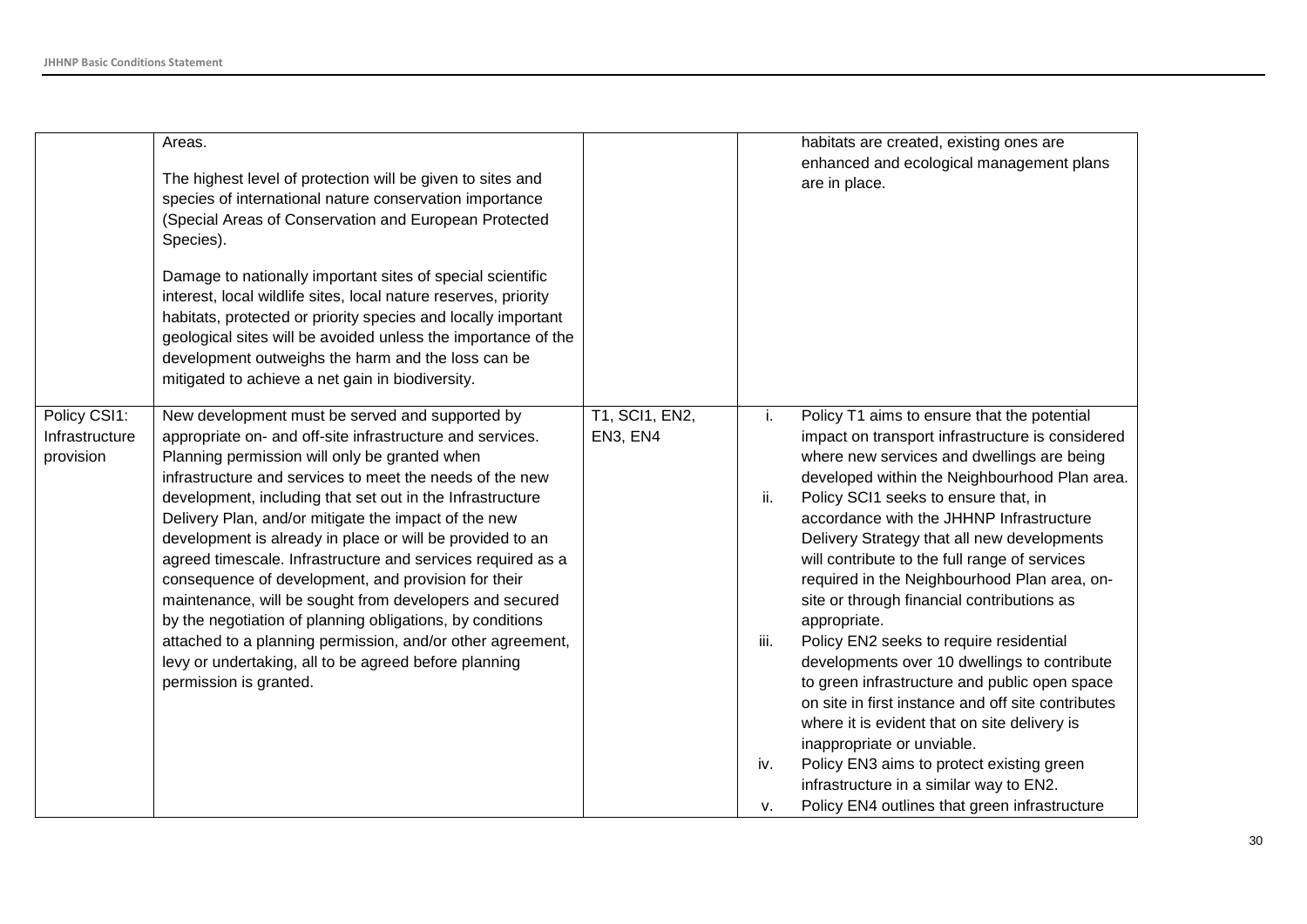|                                             | Areas.<br>The highest level of protection will be given to sites and<br>species of international nature conservation importance<br>(Special Areas of Conservation and European Protected<br>Species).<br>Damage to nationally important sites of special scientific<br>interest, local wildlife sites, local nature reserves, priority<br>habitats, protected or priority species and locally important<br>geological sites will be avoided unless the importance of the<br>development outweighs the harm and the loss can be<br>mitigated to achieve a net gain in biodiversity.                                                                                                                                                                                                                         |                            |                                | habitats are created, existing ones are<br>enhanced and ecological management plans<br>are in place.                                                                                                                                                                                                                                                                                                                                                                                                                                                                                                                                                                                                                                                                                                                                                                                                                      |
|---------------------------------------------|------------------------------------------------------------------------------------------------------------------------------------------------------------------------------------------------------------------------------------------------------------------------------------------------------------------------------------------------------------------------------------------------------------------------------------------------------------------------------------------------------------------------------------------------------------------------------------------------------------------------------------------------------------------------------------------------------------------------------------------------------------------------------------------------------------|----------------------------|--------------------------------|---------------------------------------------------------------------------------------------------------------------------------------------------------------------------------------------------------------------------------------------------------------------------------------------------------------------------------------------------------------------------------------------------------------------------------------------------------------------------------------------------------------------------------------------------------------------------------------------------------------------------------------------------------------------------------------------------------------------------------------------------------------------------------------------------------------------------------------------------------------------------------------------------------------------------|
| Policy CSI1:<br>Infrastructure<br>provision | New development must be served and supported by<br>appropriate on- and off-site infrastructure and services.<br>Planning permission will only be granted when<br>infrastructure and services to meet the needs of the new<br>development, including that set out in the Infrastructure<br>Delivery Plan, and/or mitigate the impact of the new<br>development is already in place or will be provided to an<br>agreed timescale. Infrastructure and services required as a<br>consequence of development, and provision for their<br>maintenance, will be sought from developers and secured<br>by the negotiation of planning obligations, by conditions<br>attached to a planning permission, and/or other agreement,<br>levy or undertaking, all to be agreed before planning<br>permission is granted. | T1, SCI1, EN2,<br>EN3, EN4 | i.<br>ii.<br>iii.<br>iv.<br>v. | Policy T1 aims to ensure that the potential<br>impact on transport infrastructure is considered<br>where new services and dwellings are being<br>developed within the Neighbourhood Plan area.<br>Policy SCI1 seeks to ensure that, in<br>accordance with the JHHNP Infrastructure<br>Delivery Strategy that all new developments<br>will contribute to the full range of services<br>required in the Neighbourhood Plan area, on-<br>site or through financial contributions as<br>appropriate.<br>Policy EN2 seeks to require residential<br>developments over 10 dwellings to contribute<br>to green infrastructure and public open space<br>on site in first instance and off site contributes<br>where it is evident that on site delivery is<br>inappropriate or unviable.<br>Policy EN3 aims to protect existing green<br>infrastructure in a similar way to EN2.<br>Policy EN4 outlines that green infrastructure |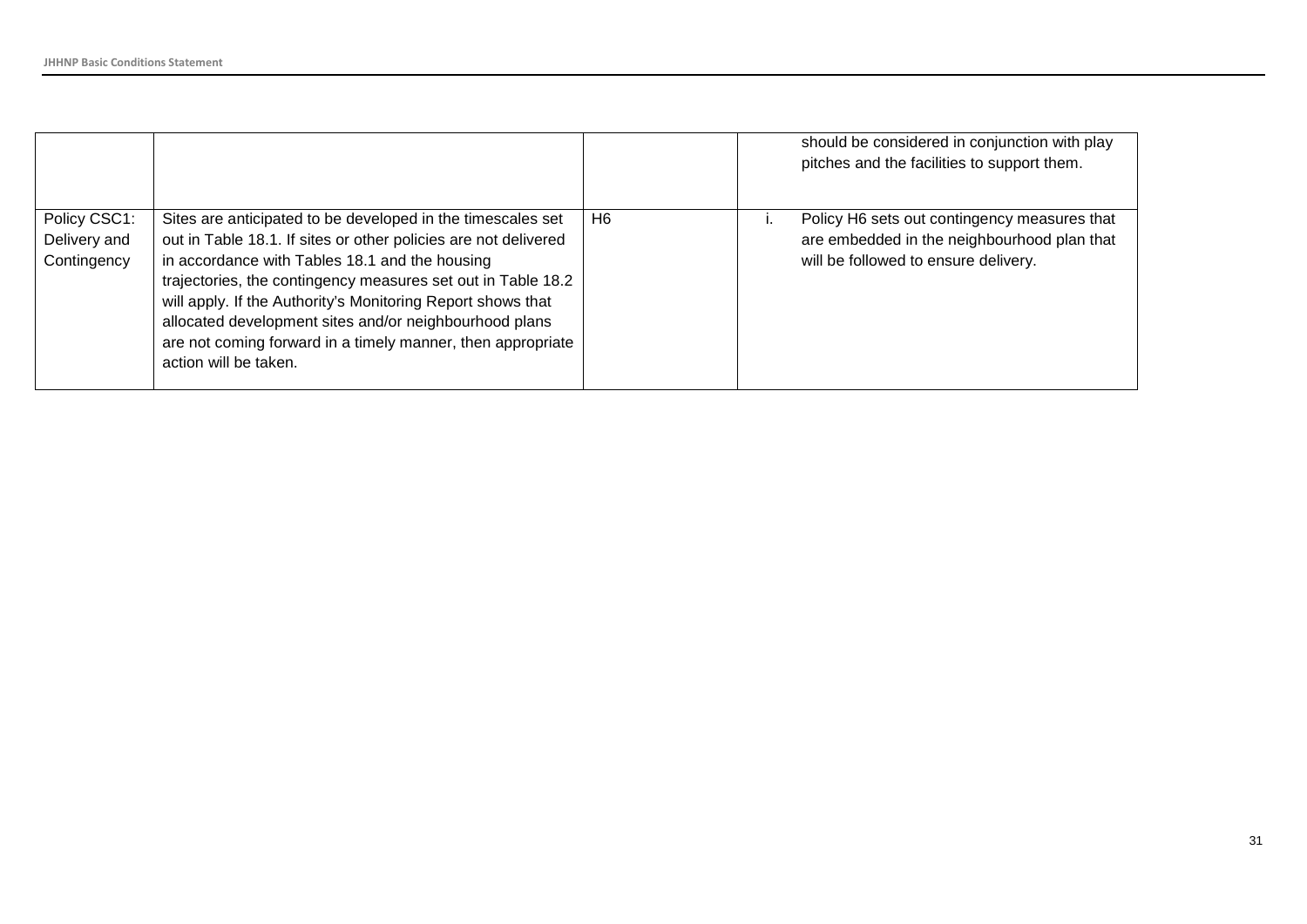|                                             |                                                                                                                                                                                                                                                                                                                                                                                                                                                                   |                | should be considered in conjunction with play<br>pitches and the facilities to support them.                                        |
|---------------------------------------------|-------------------------------------------------------------------------------------------------------------------------------------------------------------------------------------------------------------------------------------------------------------------------------------------------------------------------------------------------------------------------------------------------------------------------------------------------------------------|----------------|-------------------------------------------------------------------------------------------------------------------------------------|
| Policy CSC1:<br>Delivery and<br>Contingency | Sites are anticipated to be developed in the timescales set<br>out in Table 18.1. If sites or other policies are not delivered<br>in accordance with Tables 18.1 and the housing<br>trajectories, the contingency measures set out in Table 18.2<br>will apply. If the Authority's Monitoring Report shows that<br>allocated development sites and/or neighbourhood plans<br>are not coming forward in a timely manner, then appropriate<br>action will be taken. | H <sub>6</sub> | Policy H6 sets out contingency measures that<br>are embedded in the neighbourhood plan that<br>will be followed to ensure delivery. |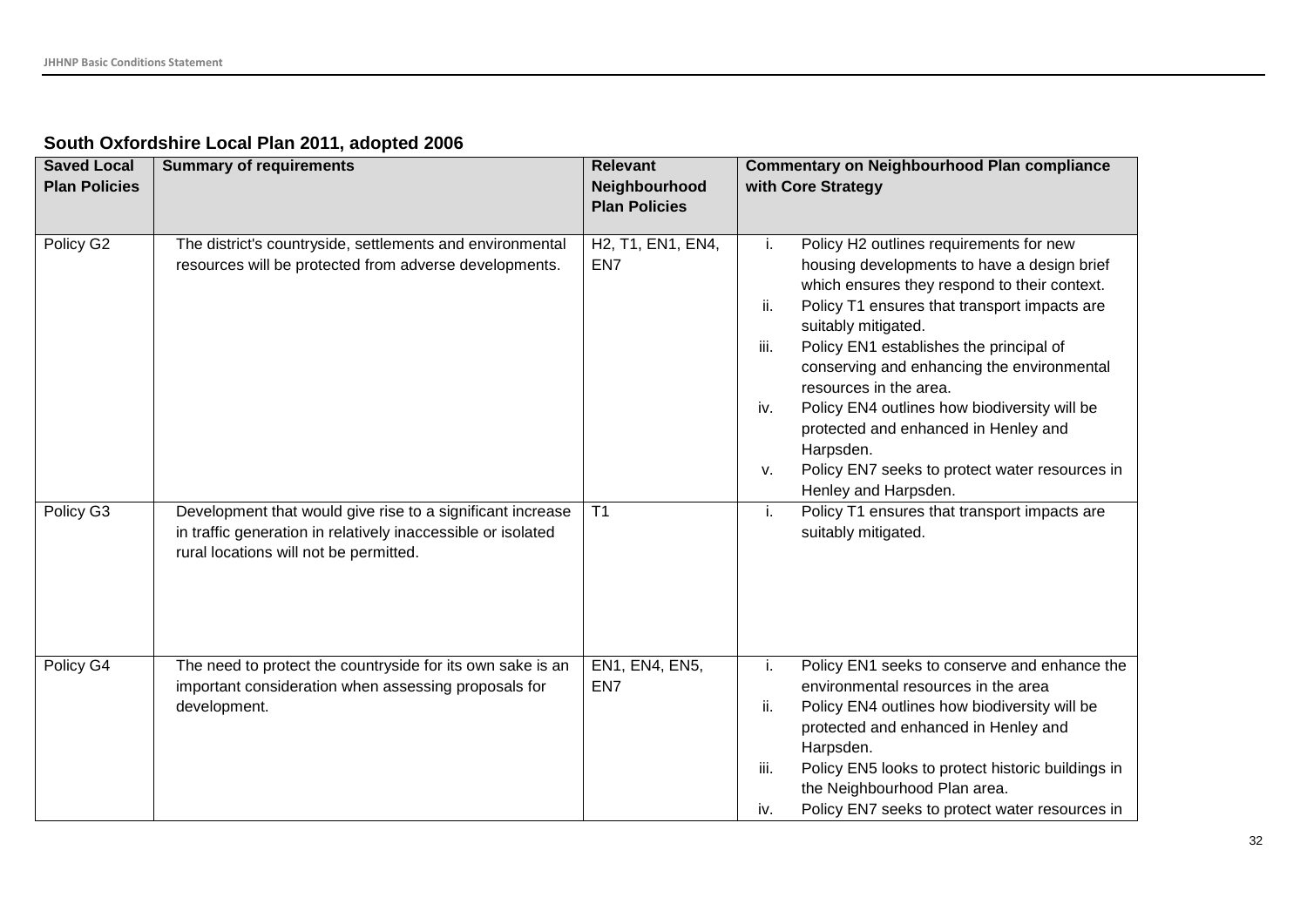| South Oxfordshire Local Plan 2011, adopted 2006 |  |  |  |  |
|-------------------------------------------------|--|--|--|--|
|-------------------------------------------------|--|--|--|--|

| <b>Saved Local</b>   | <b>Summary of requirements</b>                                                                                                                                       | <b>Relevant</b>                                                              | <b>Commentary on Neighbourhood Plan compliance</b>                                                                                                                                                                                                                                                                                                                                                                                                                                                                                                |
|----------------------|----------------------------------------------------------------------------------------------------------------------------------------------------------------------|------------------------------------------------------------------------------|---------------------------------------------------------------------------------------------------------------------------------------------------------------------------------------------------------------------------------------------------------------------------------------------------------------------------------------------------------------------------------------------------------------------------------------------------------------------------------------------------------------------------------------------------|
| <b>Plan Policies</b> |                                                                                                                                                                      | Neighbourhood<br><b>Plan Policies</b>                                        | with Core Strategy                                                                                                                                                                                                                                                                                                                                                                                                                                                                                                                                |
| Policy G2            | The district's countryside, settlements and environmental<br>resources will be protected from adverse developments.                                                  | H <sub>2</sub> , T <sub>1</sub> , EN <sub>1</sub> , EN <sub>4</sub> ,<br>EN7 | Policy H2 outlines requirements for new<br>i.<br>housing developments to have a design brief<br>which ensures they respond to their context.<br>ii.<br>Policy T1 ensures that transport impacts are<br>suitably mitigated.<br>Policy EN1 establishes the principal of<br>iii.<br>conserving and enhancing the environmental<br>resources in the area.<br>Policy EN4 outlines how biodiversity will be<br>iv.<br>protected and enhanced in Henley and<br>Harpsden.<br>Policy EN7 seeks to protect water resources in<br>V.<br>Henley and Harpsden. |
| Policy G3            | Development that would give rise to a significant increase<br>in traffic generation in relatively inaccessible or isolated<br>rural locations will not be permitted. | T <sub>1</sub>                                                               | Policy T1 ensures that transport impacts are<br>j.<br>suitably mitigated.                                                                                                                                                                                                                                                                                                                                                                                                                                                                         |
| Policy G4            | The need to protect the countryside for its own sake is an<br>important consideration when assessing proposals for<br>development.                                   | EN1, EN4, EN5,<br>EN7                                                        | Policy EN1 seeks to conserve and enhance the<br>i.<br>environmental resources in the area<br>Policy EN4 outlines how biodiversity will be<br>ii.<br>protected and enhanced in Henley and<br>Harpsden.<br>Policy EN5 looks to protect historic buildings in<br>iii.<br>the Neighbourhood Plan area.<br>Policy EN7 seeks to protect water resources in<br>iv.                                                                                                                                                                                       |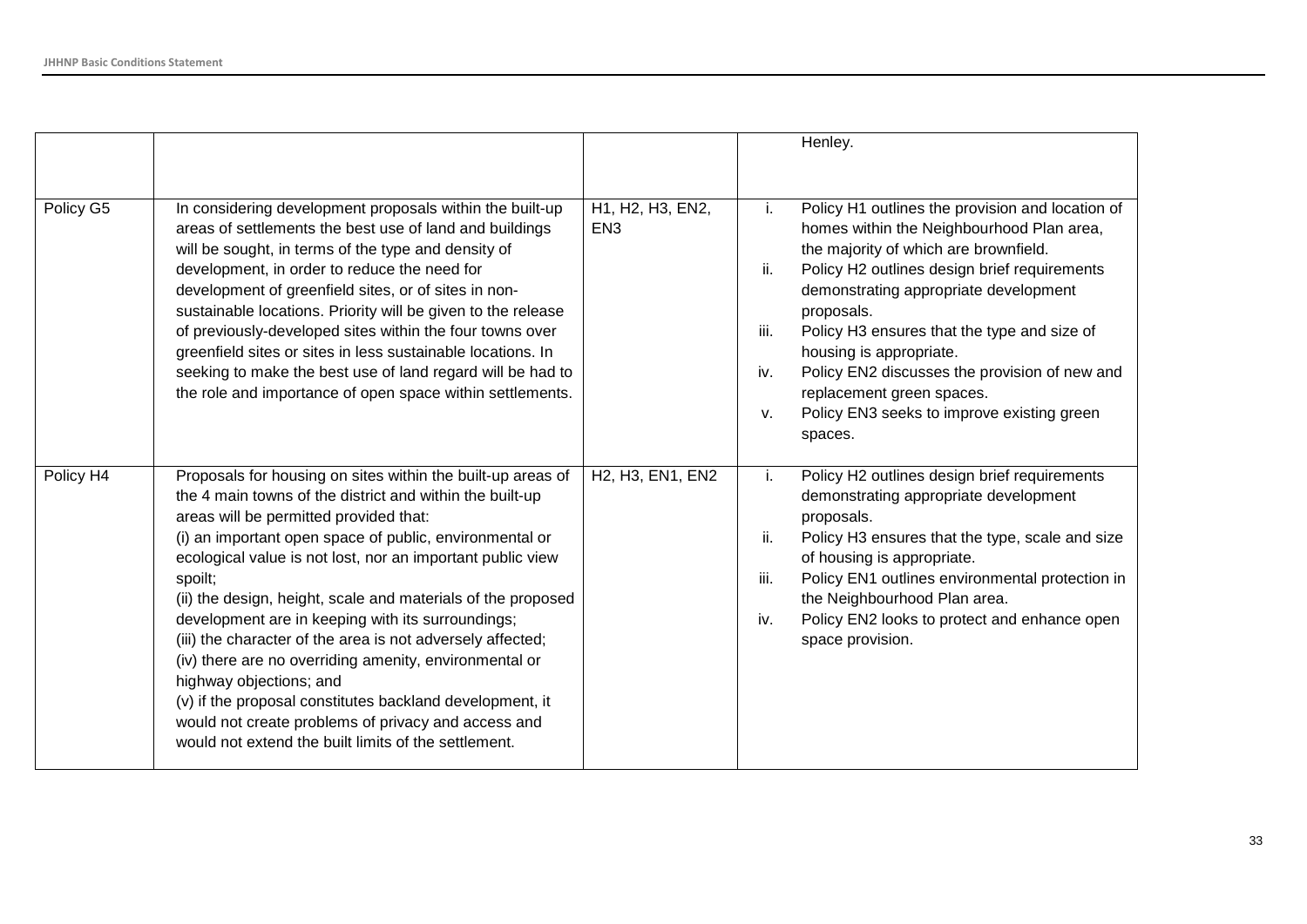|           |                                                                                                                                                                                                                                                                                                                                                                                                                                                                                                                                                                                                                                                                                                                                                          |                                                                     | Henley.                                                                                                                                                                                                                                                                                                                                                                                                                                                                                                   |
|-----------|----------------------------------------------------------------------------------------------------------------------------------------------------------------------------------------------------------------------------------------------------------------------------------------------------------------------------------------------------------------------------------------------------------------------------------------------------------------------------------------------------------------------------------------------------------------------------------------------------------------------------------------------------------------------------------------------------------------------------------------------------------|---------------------------------------------------------------------|-----------------------------------------------------------------------------------------------------------------------------------------------------------------------------------------------------------------------------------------------------------------------------------------------------------------------------------------------------------------------------------------------------------------------------------------------------------------------------------------------------------|
| Policy G5 | In considering development proposals within the built-up<br>areas of settlements the best use of land and buildings<br>will be sought, in terms of the type and density of<br>development, in order to reduce the need for<br>development of greenfield sites, or of sites in non-<br>sustainable locations. Priority will be given to the release<br>of previously-developed sites within the four towns over<br>greenfield sites or sites in less sustainable locations. In<br>seeking to make the best use of land regard will be had to<br>the role and importance of open space within settlements.                                                                                                                                                 | H1, H2, H3, EN2,<br>EN <sub>3</sub>                                 | Policy H1 outlines the provision and location of<br>Ť.<br>homes within the Neighbourhood Plan area,<br>the majority of which are brownfield.<br>ii.<br>Policy H2 outlines design brief requirements<br>demonstrating appropriate development<br>proposals.<br>iii.<br>Policy H3 ensures that the type and size of<br>housing is appropriate.<br>Policy EN2 discusses the provision of new and<br>iv.<br>replacement green spaces.<br>Policy EN3 seeks to improve existing green<br>$V_{\cdot}$<br>spaces. |
| Policy H4 | Proposals for housing on sites within the built-up areas of<br>the 4 main towns of the district and within the built-up<br>areas will be permitted provided that:<br>(i) an important open space of public, environmental or<br>ecological value is not lost, nor an important public view<br>spoilt;<br>(ii) the design, height, scale and materials of the proposed<br>development are in keeping with its surroundings;<br>(iii) the character of the area is not adversely affected;<br>(iv) there are no overriding amenity, environmental or<br>highway objections; and<br>(v) if the proposal constitutes backland development, it<br>would not create problems of privacy and access and<br>would not extend the built limits of the settlement. | H <sub>2</sub> , H <sub>3</sub> , EN <sub>1</sub> , EN <sub>2</sub> | Policy H2 outlines design brief requirements<br>i.<br>demonstrating appropriate development<br>proposals.<br>ii.<br>Policy H3 ensures that the type, scale and size<br>of housing is appropriate.<br>iii.<br>Policy EN1 outlines environmental protection in<br>the Neighbourhood Plan area.<br>Policy EN2 looks to protect and enhance open<br>iv.<br>space provision.                                                                                                                                   |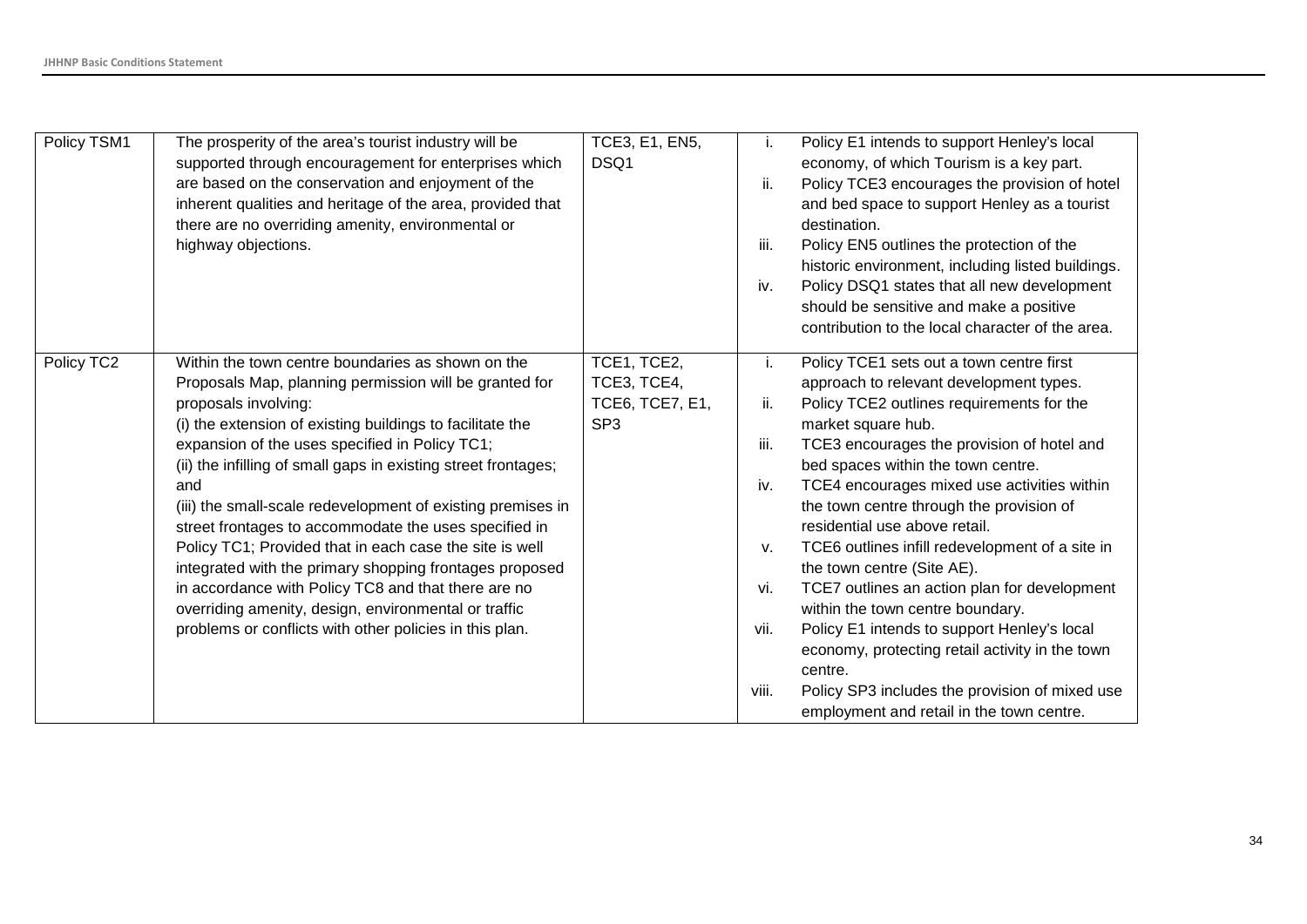| Policy TSM1 | The prosperity of the area's tourist industry will be<br>supported through encouragement for enterprises which<br>are based on the conservation and enjoyment of the<br>inherent qualities and heritage of the area, provided that<br>there are no overriding amenity, environmental or<br>highway objections.                                                                                                                                                                                                                                                                                                                                                                                                                                      | TCE3, E1, EN5,<br>DSQ1                                           | i.<br>ii.<br>iii.<br>iv.                               | Policy E1 intends to support Henley's local<br>economy, of which Tourism is a key part.<br>Policy TCE3 encourages the provision of hotel<br>and bed space to support Henley as a tourist<br>destination.<br>Policy EN5 outlines the protection of the<br>historic environment, including listed buildings.<br>Policy DSQ1 states that all new development<br>should be sensitive and make a positive<br>contribution to the local character of the area.                                                                                                                                                                                                                                                                                                |
|-------------|-----------------------------------------------------------------------------------------------------------------------------------------------------------------------------------------------------------------------------------------------------------------------------------------------------------------------------------------------------------------------------------------------------------------------------------------------------------------------------------------------------------------------------------------------------------------------------------------------------------------------------------------------------------------------------------------------------------------------------------------------------|------------------------------------------------------------------|--------------------------------------------------------|---------------------------------------------------------------------------------------------------------------------------------------------------------------------------------------------------------------------------------------------------------------------------------------------------------------------------------------------------------------------------------------------------------------------------------------------------------------------------------------------------------------------------------------------------------------------------------------------------------------------------------------------------------------------------------------------------------------------------------------------------------|
| Policy TC2  | Within the town centre boundaries as shown on the<br>Proposals Map, planning permission will be granted for<br>proposals involving:<br>(i) the extension of existing buildings to facilitate the<br>expansion of the uses specified in Policy TC1;<br>(ii) the infilling of small gaps in existing street frontages;<br>and<br>(iii) the small-scale redevelopment of existing premises in<br>street frontages to accommodate the uses specified in<br>Policy TC1; Provided that in each case the site is well<br>integrated with the primary shopping frontages proposed<br>in accordance with Policy TC8 and that there are no<br>overriding amenity, design, environmental or traffic<br>problems or conflicts with other policies in this plan. | TCE1, TCE2,<br>TCE3, TCE4,<br>TCE6, TCE7, E1,<br>SP <sub>3</sub> | i.<br>ii.<br>iii.<br>iv.<br>v.<br>vi.<br>vii.<br>viii. | Policy TCE1 sets out a town centre first<br>approach to relevant development types.<br>Policy TCE2 outlines requirements for the<br>market square hub.<br>TCE3 encourages the provision of hotel and<br>bed spaces within the town centre.<br>TCE4 encourages mixed use activities within<br>the town centre through the provision of<br>residential use above retail.<br>TCE6 outlines infill redevelopment of a site in<br>the town centre (Site AE).<br>TCE7 outlines an action plan for development<br>within the town centre boundary.<br>Policy E1 intends to support Henley's local<br>economy, protecting retail activity in the town<br>centre.<br>Policy SP3 includes the provision of mixed use<br>employment and retail in the town centre. |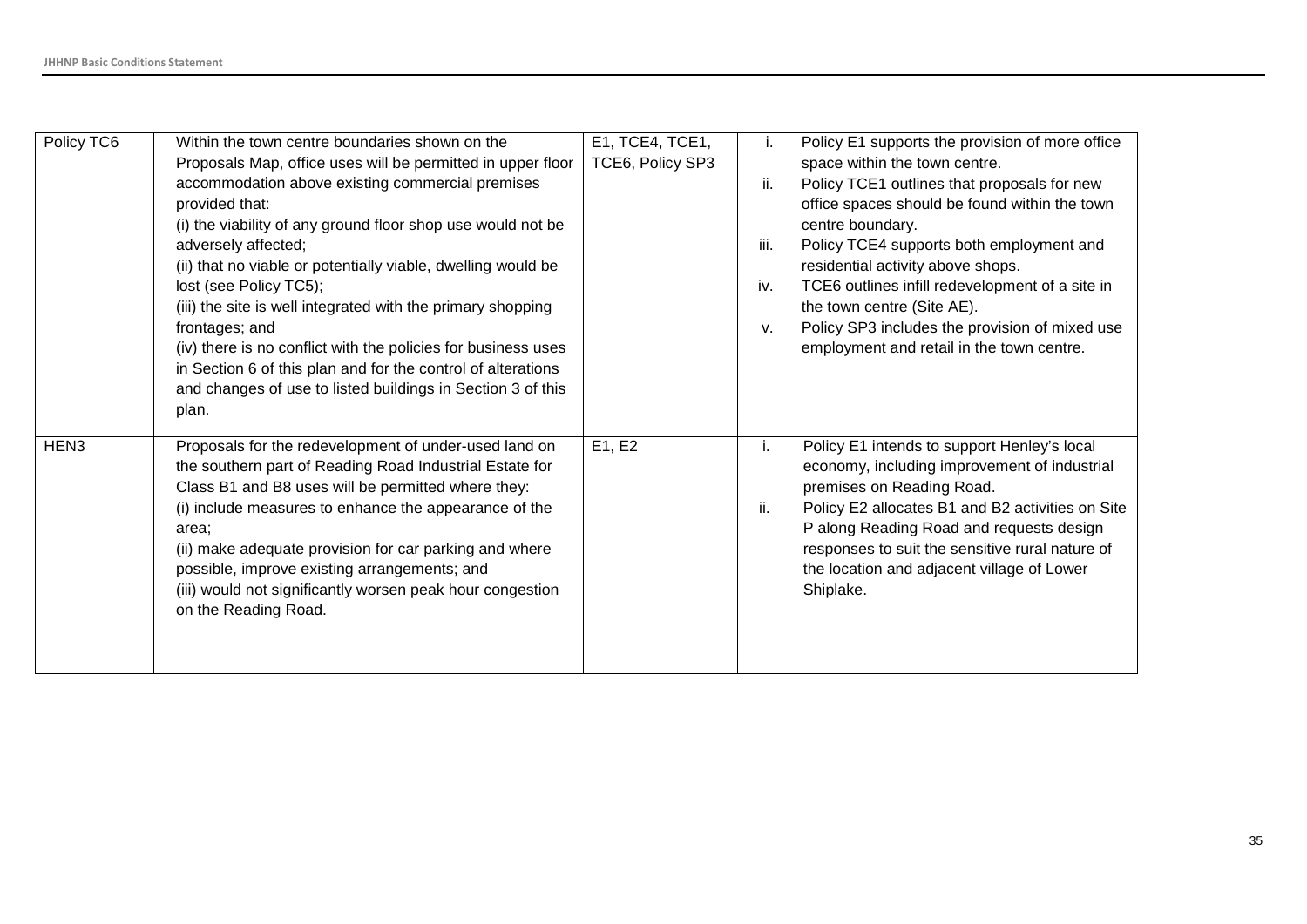| Policy TC6       | Within the town centre boundaries shown on the<br>Proposals Map, office uses will be permitted in upper floor<br>accommodation above existing commercial premises<br>provided that:<br>(i) the viability of any ground floor shop use would not be<br>adversely affected;<br>(ii) that no viable or potentially viable, dwelling would be<br>lost (see Policy TC5);                                                                     | E1, TCE4, TCE1,<br>TCE6, Policy SP3 | ii.<br>iii.<br>iv. | Policy E1 supports the provision of more office<br>space within the town centre.<br>Policy TCE1 outlines that proposals for new<br>office spaces should be found within the town<br>centre boundary.<br>Policy TCE4 supports both employment and<br>residential activity above shops.<br>TCE6 outlines infill redevelopment of a site in |
|------------------|-----------------------------------------------------------------------------------------------------------------------------------------------------------------------------------------------------------------------------------------------------------------------------------------------------------------------------------------------------------------------------------------------------------------------------------------|-------------------------------------|--------------------|------------------------------------------------------------------------------------------------------------------------------------------------------------------------------------------------------------------------------------------------------------------------------------------------------------------------------------------|
|                  | (iii) the site is well integrated with the primary shopping<br>frontages; and<br>(iv) there is no conflict with the policies for business uses<br>in Section 6 of this plan and for the control of alterations<br>and changes of use to listed buildings in Section 3 of this<br>plan.                                                                                                                                                  |                                     | v.                 | the town centre (Site AE).<br>Policy SP3 includes the provision of mixed use<br>employment and retail in the town centre.                                                                                                                                                                                                                |
| HEN <sub>3</sub> | Proposals for the redevelopment of under-used land on<br>the southern part of Reading Road Industrial Estate for<br>Class B1 and B8 uses will be permitted where they:<br>(i) include measures to enhance the appearance of the<br>area:<br>(ii) make adequate provision for car parking and where<br>possible, improve existing arrangements; and<br>(iii) would not significantly worsen peak hour congestion<br>on the Reading Road. | E1, E2                              | i.<br>ii.          | Policy E1 intends to support Henley's local<br>economy, including improvement of industrial<br>premises on Reading Road.<br>Policy E2 allocates B1 and B2 activities on Site<br>P along Reading Road and requests design<br>responses to suit the sensitive rural nature of<br>the location and adjacent village of Lower<br>Shiplake.   |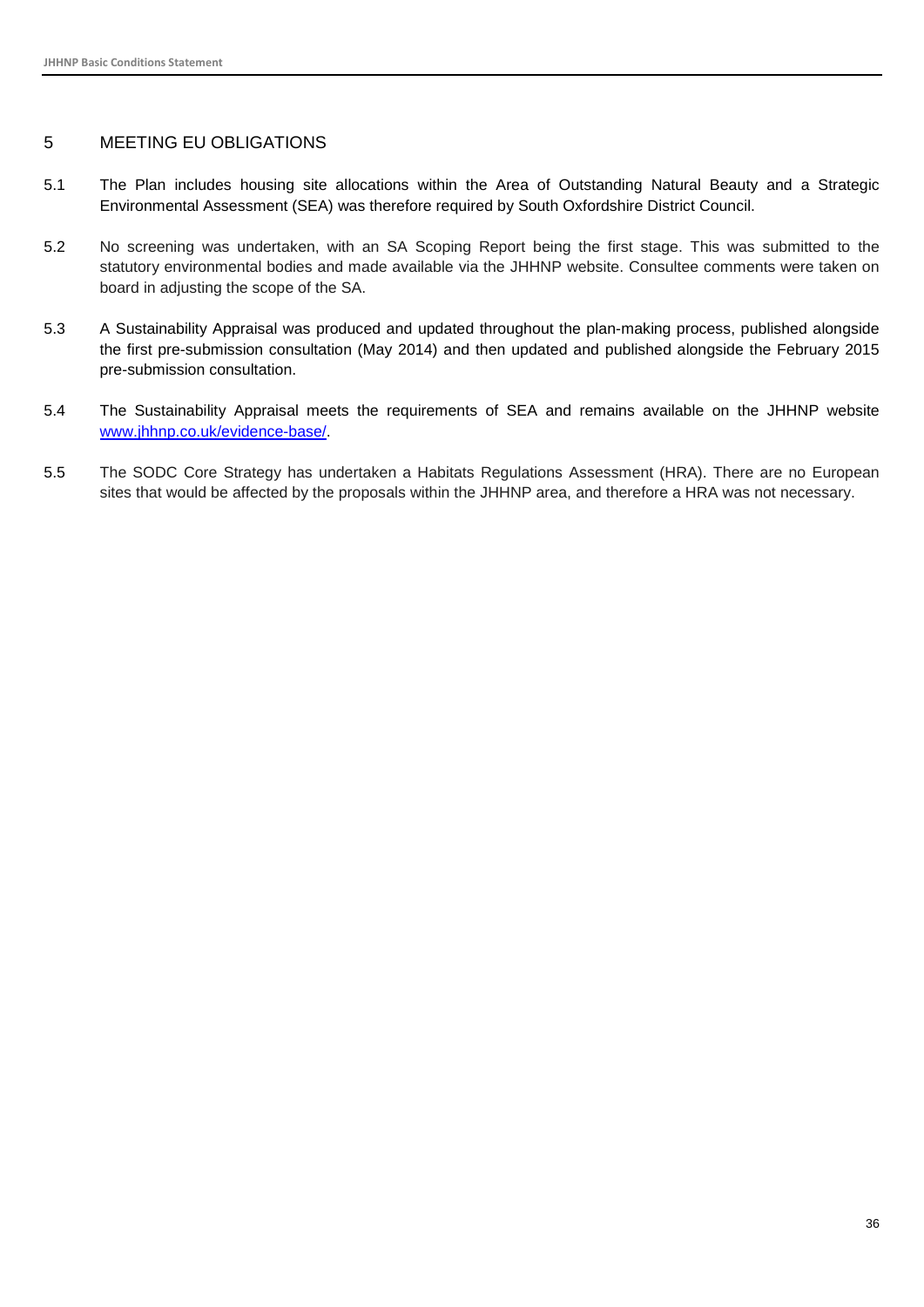#### <span id="page-36-0"></span>5 MEETING EU OBLIGATIONS

- 5.1 The Plan includes housing site allocations within the Area of Outstanding Natural Beauty and a Strategic Environmental Assessment (SEA) was therefore required by South Oxfordshire District Council.
- 5.2 No screening was undertaken, with an SA Scoping Report being the first stage. This was submitted to the statutory environmental bodies and made available via the JHHNP website. Consultee comments were taken on board in adjusting the scope of the SA.
- 5.3 A Sustainability Appraisal was produced and updated throughout the plan-making process, published alongside the first pre-submission consultation (May 2014) and then updated and published alongside the February 2015 pre-submission consultation.
- 5.4 The Sustainability Appraisal meets the requirements of SEA and remains available on the JHHNP website [www.jhhnp.co.uk/evidence-base/.](http://www.jhhnp.co.uk/evidence-base/)
- 5.5 The SODC Core Strategy has undertaken a Habitats Regulations Assessment (HRA). There are no European sites that would be affected by the proposals within the JHHNP area, and therefore a HRA was not necessary.